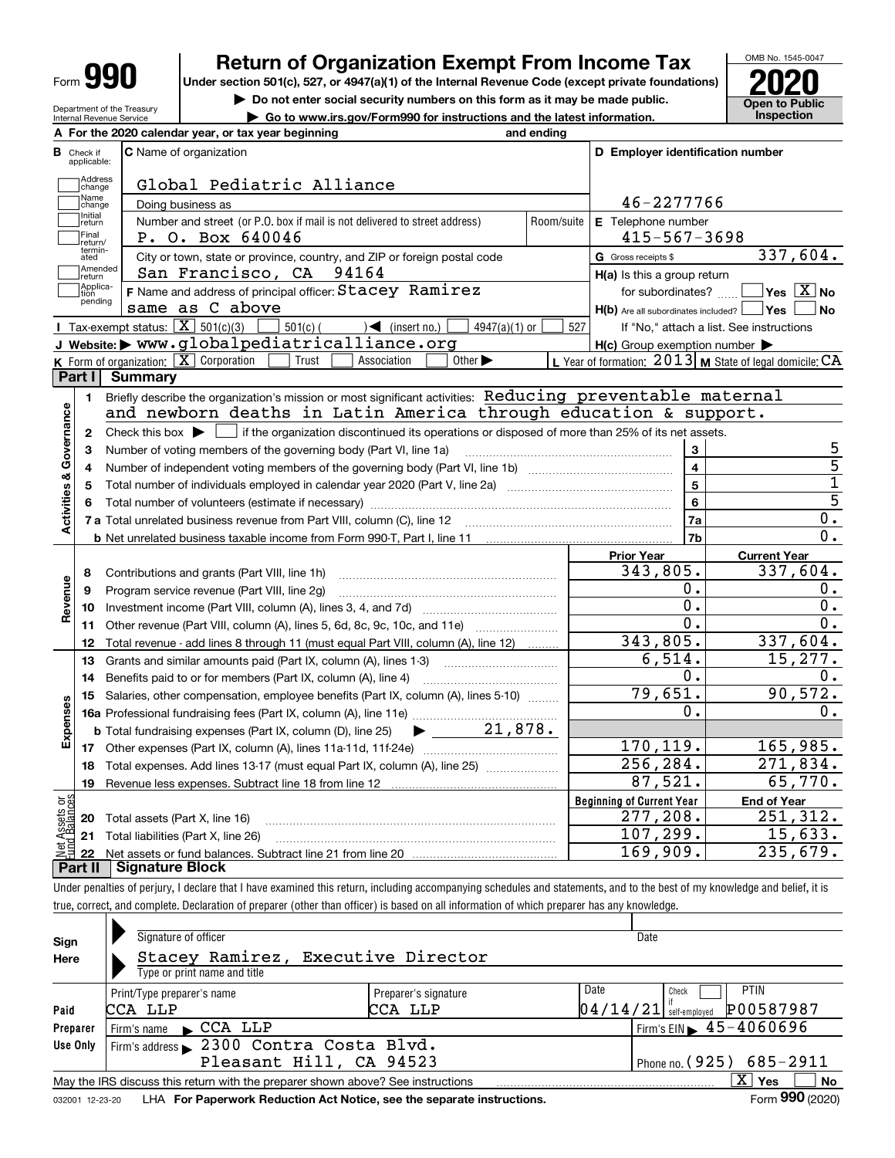| Form | T |
|------|---|
|------|---|

Check if applicable:**Address**<br>Change Name<br>Change Initial<br>
return

**B**

# **Return of Organization Exempt From Income Tax**

**Under section 501(c), 527, or 4947(a)(1) of the Internal Revenue Code (except private foundations) 2020**

**| Do not enter social security numbers on this form as it may be made public. | Go to www.irs.gov/Form990 for instructions and the latest information. Inspection**

Number and street (or P.O. box if mail is not delivered to street address)  $\qquad \qquad \mid$  Room/suite  $\mid$  E Telephone number

**Open to Public** 

**C D Employer identification number**

46-2277766

Room/suite **E** Telephone number

OMB No. 1545-0047

| Department of the Treasury |  |
|----------------------------|--|
| Internal Revenue Service   |  |

C Name of organization

Doing business as

|                                                                     | Final<br> return/   | P. O. Box 640046                                                                                                                            |     | $415 - 567 - 3698$                                        |                                          |                      |
|---------------------------------------------------------------------|---------------------|---------------------------------------------------------------------------------------------------------------------------------------------|-----|-----------------------------------------------------------|------------------------------------------|----------------------|
|                                                                     | termin-<br>ated     | G Gross receipts \$                                                                                                                         |     | 337,604.                                                  |                                          |                      |
|                                                                     | ]Amended<br>]return | San Francisco, CA 94164                                                                                                                     |     | $H(a)$ is this a group return                             |                                          |                      |
|                                                                     | Applica-<br>Ition   | F Name and address of principal officer: Stacey Ramirez                                                                                     |     | for subordinates?                                         |                                          | $Yes$ $\boxed{X}$ No |
|                                                                     | pending             | same as C above                                                                                                                             |     | $H(b)$ Are all subordinates included? $\Box$ Yes          |                                          | No                   |
|                                                                     |                     | Tax-exempt status: $X \mid 501(c)(3)$<br>$501(c)$ (<br>4947(a)(1) or<br>(insert no.)                                                        | 527 |                                                           | If "No," attach a list. See instructions |                      |
|                                                                     |                     | J Website: > www.globalpediatricalliance.org                                                                                                |     | $H(c)$ Group exemption number $\blacktriangleright$       |                                          |                      |
|                                                                     |                     | <b>K</b> Form of organization: $\boxed{\mathbf{X}}$ Corporation<br>Other $\blacktriangleright$<br>Trust<br>Association                      |     | L Year of formation: $2013$ M State of legal domicile: CA |                                          |                      |
|                                                                     | Part I              | <b>Summary</b>                                                                                                                              |     |                                                           |                                          |                      |
|                                                                     |                     | Briefly describe the organization's mission or most significant activities: Reducing preventable maternal                                   |     |                                                           |                                          |                      |
| ပ္ပ                                                                 |                     | and newborn deaths in Latin America through education & support.                                                                            |     |                                                           |                                          |                      |
| Governan                                                            |                     | Check this box $\blacktriangleright$ $\Box$ if the organization discontinued its operations or disposed of more than 25% of its net assets. |     |                                                           |                                          |                      |
|                                                                     |                     | Number of voting members of the governing body (Part VI, line 1a)                                                                           |     |                                                           |                                          |                      |
|                                                                     | 4                   | Number of independent voting members of the governing body (Part VI, line 1b)                                                               |     |                                                           | 4                                        |                      |
| య<br>s                                                              | 5.                  | Total number of individuals employed in calendar year 2020 (Part V, line 2a)                                                                |     |                                                           | 5                                        |                      |
| ctivitie<br>6<br>Total number of volunteers (estimate if necessary) |                     |                                                                                                                                             |     |                                                           |                                          |                      |
|                                                                     |                     | 7 a Total unrelated business revenue from Part VIII, column (C), line 12                                                                    |     |                                                           | 7a                                       | Ο.                   |
|                                                                     |                     |                                                                                                                                             |     |                                                           |                                          |                      |

**A For the 2020 calendar year, or tax year beginning and ending**

Global Pediatric Alliance

|                        |         | 00011.00 the organization o mnoolon or moot organizative activities.<br>and newborn deaths in Latin America through education & support.              |                                  |                     |
|------------------------|---------|-------------------------------------------------------------------------------------------------------------------------------------------------------|----------------------------------|---------------------|
| Governance             | 2       | Check this box $\blacktriangleright$ $\mid$ $\mid$<br>if the organization discontinued its operations or disposed of more than 25% of its net assets. |                                  |                     |
|                        | 3       | Number of voting members of the governing body (Part VI, line 1a)                                                                                     | 3                                | 5                   |
| ಹ                      | 4       |                                                                                                                                                       | $\overline{\mathbf{4}}$          |                     |
|                        | 5       |                                                                                                                                                       | $\overline{\mathbf{5}}$          |                     |
|                        | 6       | Total number of volunteers (estimate if necessary)                                                                                                    | 6                                | 5                   |
| <b>Activities</b>      |         |                                                                                                                                                       | 7a                               | 0.                  |
|                        |         |                                                                                                                                                       | 7b                               | 0.                  |
|                        |         |                                                                                                                                                       | <b>Prior Year</b>                | <b>Current Year</b> |
|                        | 8       | Contributions and grants (Part VIII, line 1h)                                                                                                         | 343,805.                         | 337,604.            |
| Revenue                | 9       | Program service revenue (Part VIII, line 2q)                                                                                                          | 0.                               | 0.                  |
|                        | 10      |                                                                                                                                                       | 0.                               | $\overline{0}$ .    |
|                        | 11      | Other revenue (Part VIII, column (A), lines 5, 6d, 8c, 9c, 10c, and 11e)                                                                              | $0$ .                            | 0.                  |
|                        | 12      | Total revenue - add lines 8 through 11 (must equal Part VIII, column (A), line 12)                                                                    | 343,805.                         | 337,604.            |
|                        | 13      | Grants and similar amounts paid (Part IX, column (A), lines 1-3)                                                                                      | 6,514.                           | 15,277.             |
|                        | 14      | Benefits paid to or for members (Part IX, column (A), line 4)                                                                                         | 0.                               | 0.                  |
|                        | 15      | Salaries, other compensation, employee benefits (Part IX, column (A), lines 5-10)                                                                     | $\overline{79,651.}$             | 90, 572.            |
| Expenses               |         | 16a Professional fundraising fees (Part IX, column (A), line 11e)                                                                                     | $0$ .                            | 0.                  |
|                        |         | <b>b</b> Total fundraising expenses (Part IX, column (D), line 25) $\bullet$ 21, 878.                                                                 |                                  |                     |
|                        | 17      |                                                                                                                                                       | 170, 119.                        | 165,985.            |
|                        | 18      | Total expenses. Add lines 13-17 (must equal Part IX, column (A), line 25)                                                                             | 256, 284.                        | 271,834.            |
|                        | 19      |                                                                                                                                                       | 87,521.                          | 65,770.             |
| Assets or<br>LBalances |         |                                                                                                                                                       | <b>Beginning of Current Year</b> | <b>End of Year</b>  |
|                        | 20      | Total assets (Part X, line 16)                                                                                                                        | 277,208.                         | 251, 312.           |
|                        | 21      | Total liabilities (Part X, line 26)                                                                                                                   | 107, 299.                        | 15,633.             |
|                        | 22      |                                                                                                                                                       | 169,909.                         | 235,679.            |
|                        | Part II | <b>Signature Block</b>                                                                                                                                |                                  |                     |

Under penalties of perjury, I declare that I have examined this return, including accompanying schedules and statements, and to the best of my knowledge and belief, it is true, correct, and complete. Declaration of preparer (other than officer) is based on all information of which preparer has any knowledge.

| Sign     | Signature of officer                                                                                    |                              | Date                                          |  |  |  |  |
|----------|---------------------------------------------------------------------------------------------------------|------------------------------|-----------------------------------------------|--|--|--|--|
| Here     | Stacey Ramirez, Executive Director                                                                      |                              |                                               |  |  |  |  |
|          | Type or print name and title                                                                            |                              |                                               |  |  |  |  |
|          | Print/Type preparer's name                                                                              | Date<br>Preparer's signature | <b>PTIN</b><br>Check                          |  |  |  |  |
| Paid     | CCA LLP                                                                                                 | 04/14/21<br>CCA LLP          | P00587987<br>self-emploved                    |  |  |  |  |
| Preparer | $\mathbb L$ CCA LLP<br>Firm's name                                                                      |                              | Firm's EIN $\blacktriangleright$ 45 - 4060696 |  |  |  |  |
| Use Only | Firm's address 2300 Contra Costa Blvd.                                                                  |                              |                                               |  |  |  |  |
|          | Pleasant Hill, CA 94523                                                                                 |                              | Phone no. $(925)$ 685-2911                    |  |  |  |  |
|          | $X \vert Y$ es<br>No<br>May the IRS discuss this return with the preparer shown above? See instructions |                              |                                               |  |  |  |  |
|          | $000 \times 0.00$<br>-                                                                                  |                              |                                               |  |  |  |  |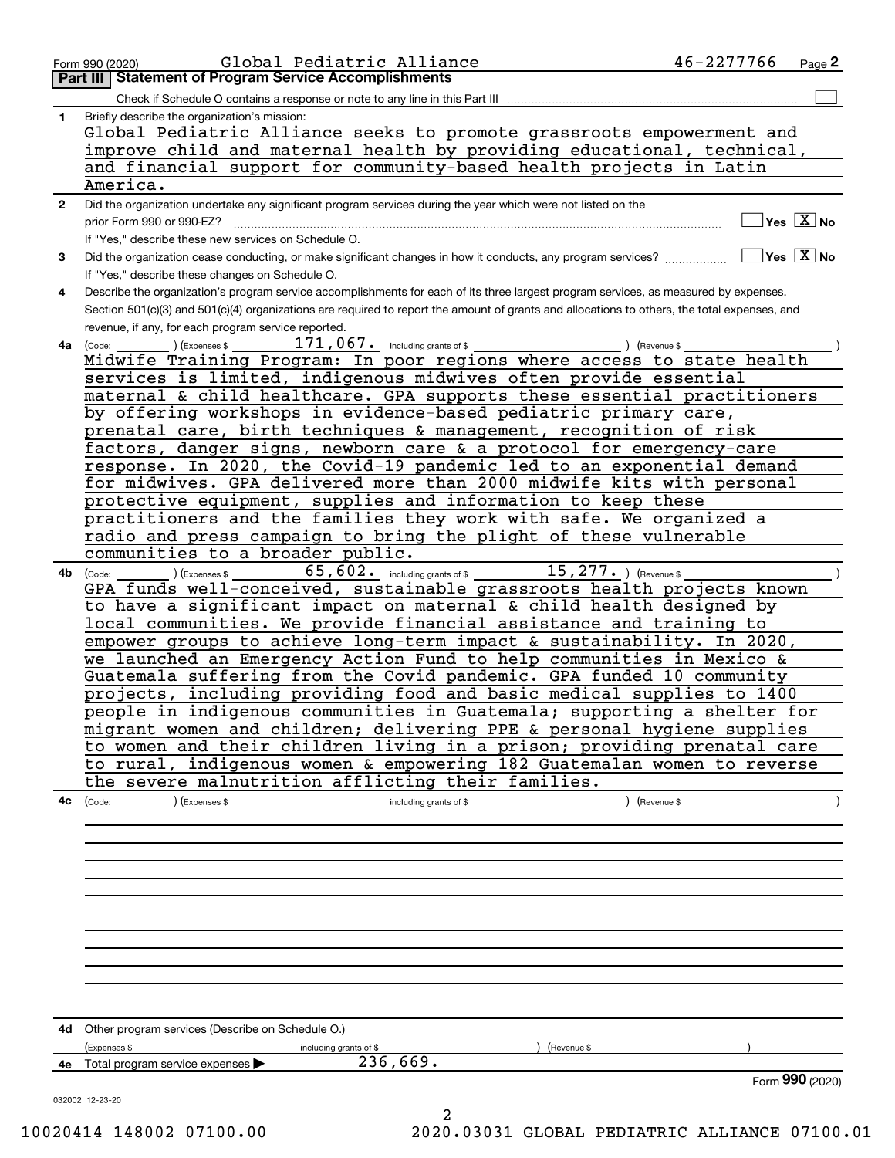|              | Global Pediatric Alliance<br>Form 990 (2020)                                                                                                 | 46-2277766 | Page $2$                                      |
|--------------|----------------------------------------------------------------------------------------------------------------------------------------------|------------|-----------------------------------------------|
|              | Part III   Statement of Program Service Accomplishments                                                                                      |            |                                               |
|              | Check if Schedule O contains a response or note to any line in this Part III                                                                 |            |                                               |
| 1            | Briefly describe the organization's mission:                                                                                                 |            |                                               |
|              | Global Pediatric Alliance seeks to promote grassroots empowerment and                                                                        |            |                                               |
|              | improve child and maternal health by providing educational, technical,                                                                       |            |                                               |
|              | and financial support for community-based health projects in Latin                                                                           |            |                                               |
|              | America.                                                                                                                                     |            |                                               |
| $\mathbf{2}$ |                                                                                                                                              |            |                                               |
|              | Did the organization undertake any significant program services during the year which were not listed on the                                 |            | $\sqrt{}$ Yes $\sqrt{}$ $\overline{\rm X}$ No |
|              | prior Form 990 or 990-EZ?                                                                                                                    |            |                                               |
|              | If "Yes," describe these new services on Schedule O.                                                                                         |            |                                               |
| 3            | Did the organization cease conducting, or make significant changes in how it conducts, any program services?                                 |            | $\Box$ Yes $\Box X$ No                        |
|              | If "Yes," describe these changes on Schedule O.                                                                                              |            |                                               |
| 4            | Describe the organization's program service accomplishments for each of its three largest program services, as measured by expenses.         |            |                                               |
|              | Section 501(c)(3) and 501(c)(4) organizations are required to report the amount of grants and allocations to others, the total expenses, and |            |                                               |
|              | revenue, if any, for each program service reported.                                                                                          |            |                                               |
| 4a           | $171,067$ . including grants of \$<br>(Expenses \$<br>) (Revenue \$<br>(Code:                                                                |            |                                               |
|              | Midwife Training Program: In poor regions where access to state health                                                                       |            |                                               |
|              | services is limited, indigenous midwives often provide essential                                                                             |            |                                               |
|              | maternal & child healthcare. GPA supports these essential practitioners                                                                      |            |                                               |
|              | by offering workshops in evidence-based pediatric primary care,                                                                              |            |                                               |
|              | prenatal care, birth techniques & management, recognition of risk                                                                            |            |                                               |
|              | factors, danger signs, newborn care & a protocol for emergency-care                                                                          |            |                                               |
|              | response. In 2020, the Covid-19 pandemic led to an exponential demand                                                                        |            |                                               |
|              | for midwives. GPA delivered more than 2000 midwife kits with personal                                                                        |            |                                               |
|              | protective equipment, supplies and information to keep these                                                                                 |            |                                               |
|              | practitioners and the families they work with safe. We organized a                                                                           |            |                                               |
|              | radio and press campaign to bring the plight of these vulnerable                                                                             |            |                                               |
|              | communities to a broader public.                                                                                                             |            |                                               |
| 4b           | 65, 602. including grants of \$<br>$15$ , $277.$ ) (Revenue \$<br>$(\textsf{Expenses $ } \$<br>(Code:                                        |            |                                               |
|              | GPA funds well-conceived, sustainable grassroots health projects known                                                                       |            |                                               |
|              | to have a significant impact on maternal & child health designed by                                                                          |            |                                               |
|              | local communities. We provide financial assistance and training to                                                                           |            |                                               |
|              | empower groups to achieve long-term impact & sustainability. In 2020,                                                                        |            |                                               |
|              | we launched an Emergency Action Fund to help communities in Mexico &                                                                         |            |                                               |
|              | Guatemala suffering from the Covid pandemic. GPA funded 10 community                                                                         |            |                                               |
|              | projects, including providing food and basic medical supplies to 1400                                                                        |            |                                               |
|              | people in indigenous communities in Guatemala; supporting a shelter for                                                                      |            |                                               |
|              | migrant women and children; delivering PPE & personal hygiene supplies                                                                       |            |                                               |
|              | to women and their children living in a prison; providing prenatal care                                                                      |            |                                               |
|              | to rural, indigenous women & empowering 182 Guatemalan women to reverse                                                                      |            |                                               |
|              | the severe malnutrition afflicting their families.                                                                                           |            |                                               |
| 4c           |                                                                                                                                              |            |                                               |
|              |                                                                                                                                              |            |                                               |
|              |                                                                                                                                              |            |                                               |
|              |                                                                                                                                              |            |                                               |
|              |                                                                                                                                              |            |                                               |
|              |                                                                                                                                              |            |                                               |
|              |                                                                                                                                              |            |                                               |
|              |                                                                                                                                              |            |                                               |
|              |                                                                                                                                              |            |                                               |
|              |                                                                                                                                              |            |                                               |
|              |                                                                                                                                              |            |                                               |
|              |                                                                                                                                              |            |                                               |
|              |                                                                                                                                              |            |                                               |
|              | 4d Other program services (Describe on Schedule O.)                                                                                          |            |                                               |
|              | (Expenses \$<br>) (Revenue \$<br><u> 1980 - Johann Barbara, martxa alemaniar a</u>                                                           |            |                                               |
|              | including grants of $$$<br>4e Total program service expenses 236,669.                                                                        |            |                                               |
|              |                                                                                                                                              |            | Form 990 (2020)                               |
|              | 032002 12-23-20                                                                                                                              |            |                                               |
|              |                                                                                                                                              |            |                                               |

2 10020414 148002 07100.00 2020.03031 GLOBAL PEDIATRIC ALLIANCE 07100.01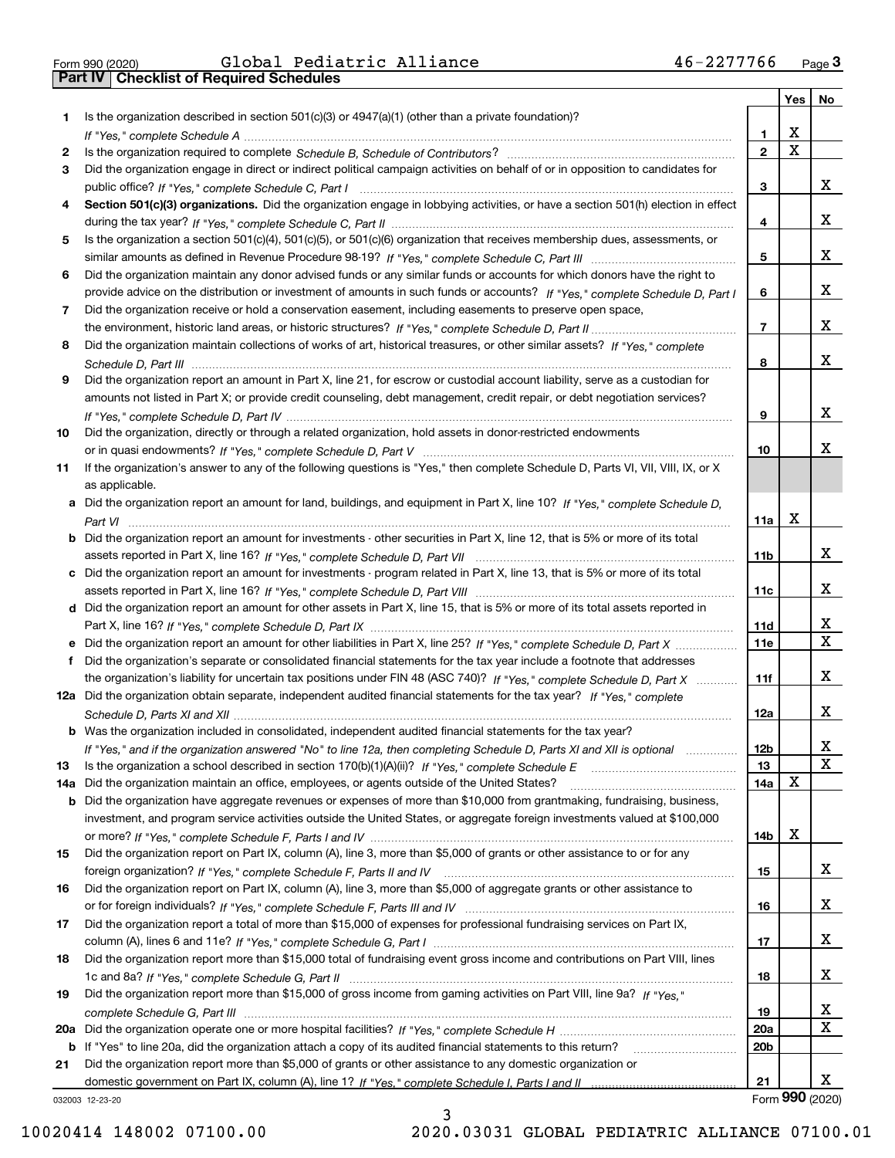|  | Form 990 (2020) |
|--|-----------------|

|     |                                                                                                                                       |                 | Yes                     | No                      |
|-----|---------------------------------------------------------------------------------------------------------------------------------------|-----------------|-------------------------|-------------------------|
| 1   | Is the organization described in section $501(c)(3)$ or $4947(a)(1)$ (other than a private foundation)?                               |                 |                         |                         |
|     |                                                                                                                                       | 1               | X                       |                         |
| 2   |                                                                                                                                       | $\overline{2}$  | $\overline{\mathbf{x}}$ |                         |
| 3   | Did the organization engage in direct or indirect political campaign activities on behalf of or in opposition to candidates for       |                 |                         |                         |
|     |                                                                                                                                       | 3               |                         | x                       |
| 4   | Section 501(c)(3) organizations. Did the organization engage in lobbying activities, or have a section 501(h) election in effect      |                 |                         |                         |
|     |                                                                                                                                       | 4               |                         | x                       |
| 5   | Is the organization a section 501(c)(4), 501(c)(5), or 501(c)(6) organization that receives membership dues, assessments, or          |                 |                         |                         |
|     |                                                                                                                                       | 5               |                         | x                       |
| 6   | Did the organization maintain any donor advised funds or any similar funds or accounts for which donors have the right to             |                 |                         | x                       |
|     | provide advice on the distribution or investment of amounts in such funds or accounts? If "Yes," complete Schedule D, Part I          | 6               |                         |                         |
| 7   | Did the organization receive or hold a conservation easement, including easements to preserve open space,                             | $\overline{7}$  |                         | x                       |
|     |                                                                                                                                       |                 |                         |                         |
| 8   | Did the organization maintain collections of works of art, historical treasures, or other similar assets? If "Yes," complete          | 8               |                         | x                       |
| 9   | Did the organization report an amount in Part X, line 21, for escrow or custodial account liability, serve as a custodian for         |                 |                         |                         |
|     | amounts not listed in Part X; or provide credit counseling, debt management, credit repair, or debt negotiation services?             |                 |                         |                         |
|     |                                                                                                                                       | 9               |                         | x                       |
| 10  | Did the organization, directly or through a related organization, hold assets in donor-restricted endowments                          |                 |                         |                         |
|     |                                                                                                                                       | 10              |                         | x                       |
| 11  | If the organization's answer to any of the following questions is "Yes," then complete Schedule D, Parts VI, VII, VIII, IX, or X      |                 |                         |                         |
|     | as applicable.                                                                                                                        |                 |                         |                         |
|     | a Did the organization report an amount for land, buildings, and equipment in Part X, line 10? If "Yes." complete Schedule D.         |                 |                         |                         |
|     |                                                                                                                                       | 11a             | X                       |                         |
|     | <b>b</b> Did the organization report an amount for investments - other securities in Part X, line 12, that is 5% or more of its total |                 |                         |                         |
|     |                                                                                                                                       | 11b             |                         | x                       |
|     | Did the organization report an amount for investments - program related in Part X, line 13, that is 5% or more of its total           |                 |                         |                         |
|     |                                                                                                                                       | 11c             |                         | x                       |
|     | d Did the organization report an amount for other assets in Part X, line 15, that is 5% or more of its total assets reported in       |                 |                         |                         |
|     |                                                                                                                                       | 11d             |                         | x                       |
|     | e Did the organization report an amount for other liabilities in Part X, line 25? If "Yes," complete Schedule D, Part X               | 11e             |                         | $\overline{\mathbf{x}}$ |
| f   | Did the organization's separate or consolidated financial statements for the tax year include a footnote that addresses               |                 |                         |                         |
|     | the organization's liability for uncertain tax positions under FIN 48 (ASC 740)? If "Yes," complete Schedule D, Part X                | 11f             |                         | x                       |
|     | 12a Did the organization obtain separate, independent audited financial statements for the tax year? If "Yes," complete               |                 |                         |                         |
|     |                                                                                                                                       | 12a             |                         | x                       |
|     | <b>b</b> Was the organization included in consolidated, independent audited financial statements for the tax year?                    |                 |                         |                         |
|     | If "Yes," and if the organization answered "No" to line 12a, then completing Schedule D, Parts XI and XII is optional                 | 12b             |                         | ▵                       |
| 13  |                                                                                                                                       | 13              |                         | $\mathbf X$             |
| 14a | Did the organization maintain an office, employees, or agents outside of the United States?                                           | 14a             | X                       |                         |
| b   | Did the organization have aggregate revenues or expenses of more than \$10,000 from grantmaking, fundraising, business,               |                 |                         |                         |
|     | investment, and program service activities outside the United States, or aggregate foreign investments valued at \$100,000            |                 |                         |                         |
|     |                                                                                                                                       | 14b             | х                       |                         |
| 15  | Did the organization report on Part IX, column (A), line 3, more than \$5,000 of grants or other assistance to or for any             |                 |                         |                         |
|     |                                                                                                                                       | 15              |                         | x                       |
| 16  | Did the organization report on Part IX, column (A), line 3, more than \$5,000 of aggregate grants or other assistance to              |                 |                         |                         |
|     |                                                                                                                                       | 16              |                         | X                       |
| 17  | Did the organization report a total of more than \$15,000 of expenses for professional fundraising services on Part IX,               |                 |                         |                         |
|     |                                                                                                                                       | 17              |                         | x                       |
| 18  | Did the organization report more than \$15,000 total of fundraising event gross income and contributions on Part VIII, lines          |                 |                         |                         |
|     |                                                                                                                                       | 18              |                         | x                       |
| 19  | Did the organization report more than \$15,000 of gross income from gaming activities on Part VIII, line 9a? If "Yes."                |                 |                         |                         |
|     |                                                                                                                                       | 19              |                         | X                       |
| 20a |                                                                                                                                       | 20a             |                         | $\mathbf X$             |
|     | b If "Yes" to line 20a, did the organization attach a copy of its audited financial statements to this return?                        | 20 <sub>b</sub> |                         |                         |
| 21  | Did the organization report more than \$5,000 of grants or other assistance to any domestic organization or                           |                 |                         |                         |
|     |                                                                                                                                       | 21              |                         | x<br>Form 990 (2020)    |
|     | 032003 12-23-20                                                                                                                       |                 |                         |                         |

032003 12-23-20

3 10020414 148002 07100.00 2020.03031 GLOBAL PEDIATRIC ALLIANCE 07100.01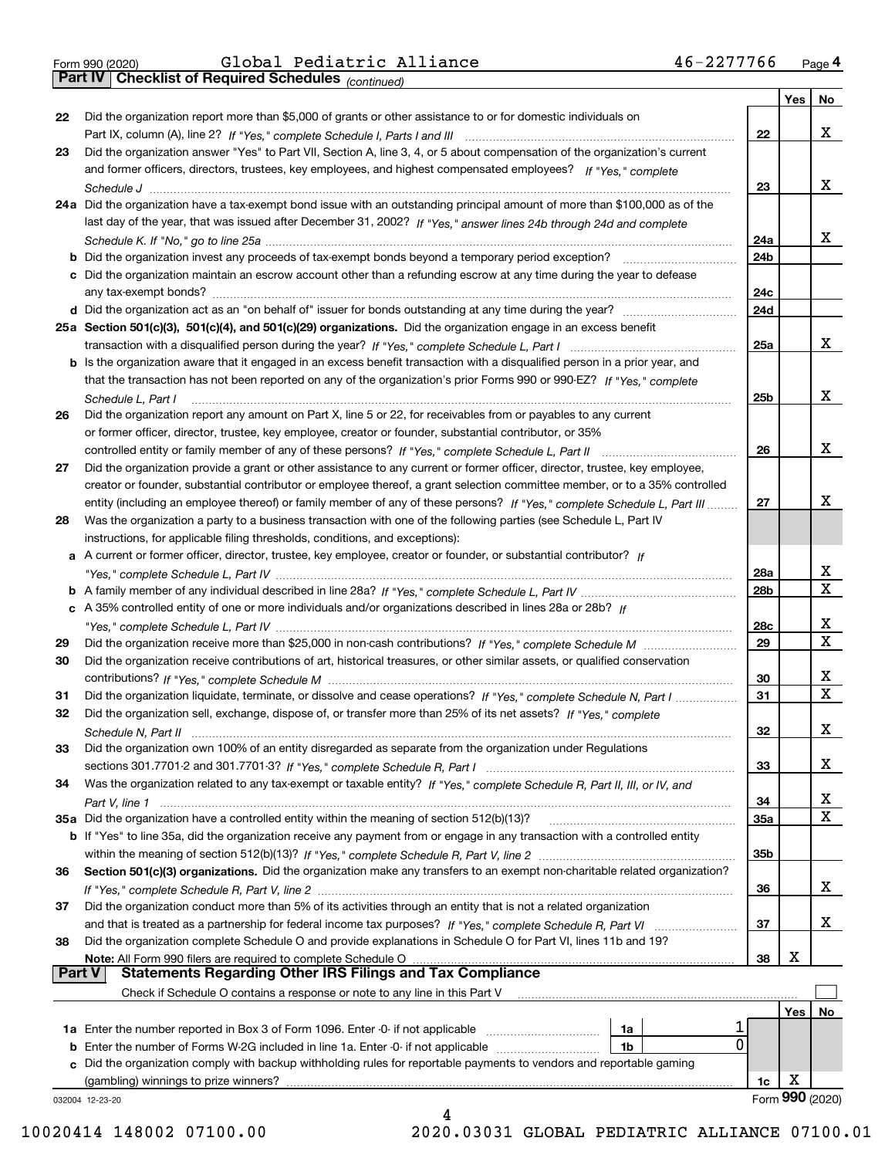|  | Form 990 (2020) |
|--|-----------------|
|  |                 |

*(continued)*

|               |                                                                                                                              |                 | Yes | No.              |
|---------------|------------------------------------------------------------------------------------------------------------------------------|-----------------|-----|------------------|
| 22            | Did the organization report more than \$5,000 of grants or other assistance to or for domestic individuals on                |                 |     |                  |
|               |                                                                                                                              | 22              |     | x                |
| 23            | Did the organization answer "Yes" to Part VII, Section A, line 3, 4, or 5 about compensation of the organization's current   |                 |     |                  |
|               | and former officers, directors, trustees, key employees, and highest compensated employees? If "Yes," complete               |                 |     |                  |
|               |                                                                                                                              | 23              |     | х                |
|               | 24a Did the organization have a tax-exempt bond issue with an outstanding principal amount of more than \$100,000 as of the  |                 |     |                  |
|               | last day of the year, that was issued after December 31, 2002? If "Yes," answer lines 24b through 24d and complete           |                 |     |                  |
|               |                                                                                                                              | 24a             |     | x                |
|               | b Did the organization invest any proceeds of tax-exempt bonds beyond a temporary period exception?                          | 24b             |     |                  |
|               | c Did the organization maintain an escrow account other than a refunding escrow at any time during the year to defease       |                 |     |                  |
|               |                                                                                                                              | 24c             |     |                  |
|               |                                                                                                                              | 24d             |     |                  |
|               | 25a Section 501(c)(3), 501(c)(4), and 501(c)(29) organizations. Did the organization engage in an excess benefit             |                 |     |                  |
|               |                                                                                                                              | 25a             |     | х                |
|               | b Is the organization aware that it engaged in an excess benefit transaction with a disqualified person in a prior year, and |                 |     |                  |
|               | that the transaction has not been reported on any of the organization's prior Forms 990 or 990-EZ? If "Yes," complete        |                 |     |                  |
|               | Schedule L, Part I                                                                                                           | 25 <sub>b</sub> |     | х                |
| 26            | Did the organization report any amount on Part X, line 5 or 22, for receivables from or payables to any current              |                 |     |                  |
|               | or former officer, director, trustee, key employee, creator or founder, substantial contributor, or 35%                      |                 |     |                  |
|               |                                                                                                                              | 26              |     | х                |
| 27            | Did the organization provide a grant or other assistance to any current or former officer, director, trustee, key employee,  |                 |     |                  |
|               | creator or founder, substantial contributor or employee thereof, a grant selection committee member, or to a 35% controlled  |                 |     |                  |
|               | entity (including an employee thereof) or family member of any of these persons? If "Yes," complete Schedule L, Part III     | 27              |     | х                |
| 28            | Was the organization a party to a business transaction with one of the following parties (see Schedule L, Part IV            |                 |     |                  |
|               | instructions, for applicable filing thresholds, conditions, and exceptions):                                                 |                 |     |                  |
|               | a A current or former officer, director, trustee, key employee, creator or founder, or substantial contributor? If           |                 |     |                  |
|               |                                                                                                                              | 28a             |     | x                |
|               |                                                                                                                              | 28b             |     | $\mathbf X$      |
|               |                                                                                                                              |                 |     |                  |
|               | c A 35% controlled entity of one or more individuals and/or organizations described in lines 28a or 28b? If                  |                 |     | х                |
|               |                                                                                                                              | 28c             |     | $\mathbf X$      |
| 29            |                                                                                                                              | 29              |     |                  |
| 30            | Did the organization receive contributions of art, historical treasures, or other similar assets, or qualified conservation  |                 |     |                  |
|               |                                                                                                                              | 30              |     | x<br>$\mathbf x$ |
| 31            | Did the organization liquidate, terminate, or dissolve and cease operations? If "Yes," complete Schedule N, Part I           | 31              |     |                  |
| 32            | Did the organization sell, exchange, dispose of, or transfer more than 25% of its net assets? If "Yes," complete             |                 |     |                  |
|               | Schedule N, Part II                                                                                                          | 32              |     | х                |
| 33            | Did the organization own 100% of an entity disregarded as separate from the organization under Regulations                   |                 |     |                  |
|               |                                                                                                                              | 33              |     | х                |
| 34            | Was the organization related to any tax-exempt or taxable entity? If "Yes," complete Schedule R, Part II, III, or IV, and    |                 |     |                  |
|               |                                                                                                                              | 34              |     | х                |
|               | 35a Did the organization have a controlled entity within the meaning of section 512(b)(13)?                                  | 35a             |     | X                |
|               | b If "Yes" to line 35a, did the organization receive any payment from or engage in any transaction with a controlled entity  |                 |     |                  |
|               |                                                                                                                              | 35 <sub>b</sub> |     |                  |
| 36            | Section 501(c)(3) organizations. Did the organization make any transfers to an exempt non-charitable related organization?   |                 |     |                  |
|               |                                                                                                                              | 36              |     | x                |
| 37            | Did the organization conduct more than 5% of its activities through an entity that is not a related organization             |                 |     |                  |
|               | and that is treated as a partnership for federal income tax purposes? If "Yes," complete Schedule R, Part VI                 | 37              |     | x                |
| 38            | Did the organization complete Schedule O and provide explanations in Schedule O for Part VI, lines 11b and 19?               |                 |     |                  |
|               | Note: All Form 990 filers are required to complete Schedule O                                                                | 38              | х   |                  |
| <b>Part V</b> | <b>Statements Regarding Other IRS Filings and Tax Compliance</b>                                                             |                 |     |                  |
|               | Check if Schedule O contains a response or note to any line in this Part V                                                   |                 |     |                  |
|               |                                                                                                                              |                 | Yes | No               |
|               | <b>1a</b> Enter the number reported in Box 3 of Form 1096. Enter -0- if not applicable <i>manumumumum</i><br>1a              |                 |     |                  |
|               | 0<br>1b                                                                                                                      |                 |     |                  |
|               | c Did the organization comply with backup withholding rules for reportable payments to vendors and reportable gaming         |                 |     |                  |
|               | (gambling) winnings to prize winners?                                                                                        | 1c              | х   |                  |
|               | 032004 12-23-20                                                                                                              |                 |     | Form 990 (2020)  |
|               |                                                                                                                              |                 |     |                  |

10020414 148002 07100.00 2020.03031 GLOBAL PEDIATRIC ALLIANCE 07100.01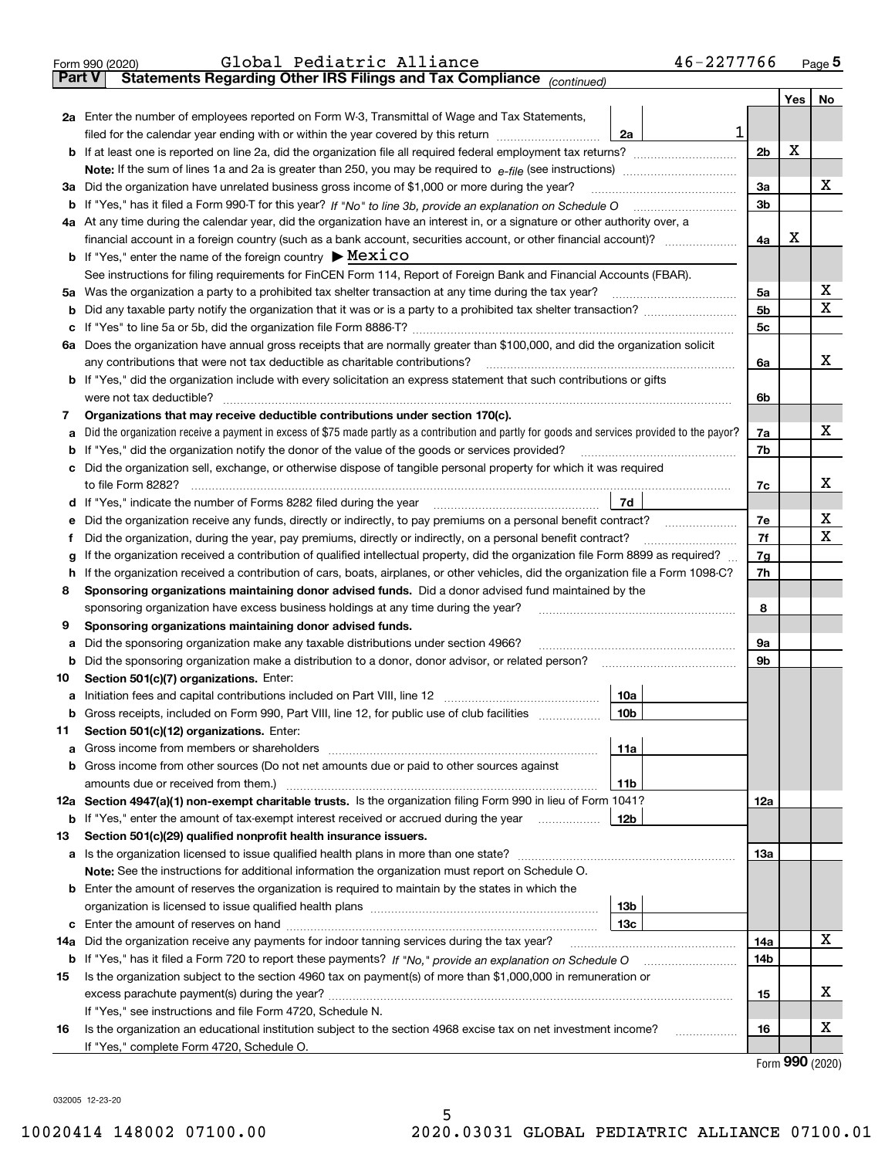|               | 46-2277766<br>Global Pediatric Alliance<br>Form 990 (2020)                                                                                      |                |     | <u>Page</u> 5               |
|---------------|-------------------------------------------------------------------------------------------------------------------------------------------------|----------------|-----|-----------------------------|
| <b>Part V</b> | Statements Regarding Other IRS Filings and Tax Compliance (continued)                                                                           |                |     |                             |
|               |                                                                                                                                                 |                | Yes | No                          |
|               | 2a Enter the number of employees reported on Form W-3, Transmittal of Wage and Tax Statements,                                                  |                |     |                             |
|               | 1<br>filed for the calendar year ending with or within the year covered by this return www.communition<br>2a                                    |                |     |                             |
|               |                                                                                                                                                 | 2 <sub>b</sub> | X   |                             |
|               |                                                                                                                                                 |                |     |                             |
| За            | Did the organization have unrelated business gross income of \$1,000 or more during the year?                                                   | 3a             |     | х                           |
|               |                                                                                                                                                 | 3b             |     |                             |
|               | 4a At any time during the calendar year, did the organization have an interest in, or a signature or other authority over, a                    |                |     |                             |
|               | financial account in a foreign country (such as a bank account, securities account, or other financial account)?                                | 4a             | X   |                             |
|               | <b>b</b> If "Yes," enter the name of the foreign country $\blacktriangleright$ Mexico                                                           |                |     |                             |
|               | See instructions for filing requirements for FinCEN Form 114, Report of Foreign Bank and Financial Accounts (FBAR).                             |                |     |                             |
| 5a            |                                                                                                                                                 | 5a             |     | х                           |
| b             |                                                                                                                                                 | 5b             |     | Χ                           |
| c             |                                                                                                                                                 | 5 <sub>c</sub> |     |                             |
|               | 6a Does the organization have annual gross receipts that are normally greater than \$100,000, and did the organization solicit                  |                |     |                             |
|               | any contributions that were not tax deductible as charitable contributions? [[[[[[[[[[[[[[[[[[[[[[[]]]]]]]]]]]                                  | 6a             |     | х                           |
|               | <b>b</b> If "Yes," did the organization include with every solicitation an express statement that such contributions or gifts                   |                |     |                             |
|               |                                                                                                                                                 |                |     |                             |
|               |                                                                                                                                                 | 6b             |     |                             |
| 7             | Organizations that may receive deductible contributions under section 170(c).                                                                   |                |     | х                           |
| a             | Did the organization receive a payment in excess of \$75 made partly as a contribution and partly for goods and services provided to the payor? | 7a             |     |                             |
| b             | If "Yes," did the organization notify the donor of the value of the goods or services provided?                                                 | 7b             |     |                             |
| c             | Did the organization sell, exchange, or otherwise dispose of tangible personal property for which it was required                               |                |     |                             |
|               |                                                                                                                                                 | 7c             |     | х                           |
|               | 7d                                                                                                                                              |                |     |                             |
| е             |                                                                                                                                                 | 7e             |     | X                           |
| f             | Did the organization, during the year, pay premiums, directly or indirectly, on a personal benefit contract?                                    | 7f             |     | Χ                           |
| g             | If the organization received a contribution of qualified intellectual property, did the organization file Form 8899 as required?                | 7g             |     |                             |
| h             | If the organization received a contribution of cars, boats, airplanes, or other vehicles, did the organization file a Form 1098-C?              | 7h             |     |                             |
| 8             | Sponsoring organizations maintaining donor advised funds. Did a donor advised fund maintained by the                                            |                |     |                             |
|               | sponsoring organization have excess business holdings at any time during the year?                                                              | 8              |     |                             |
| 9             | Sponsoring organizations maintaining donor advised funds.                                                                                       |                |     |                             |
| а             | Did the sponsoring organization make any taxable distributions under section 4966?                                                              | 9а             |     |                             |
| b             |                                                                                                                                                 | 9b             |     |                             |
| 10            | Section 501(c)(7) organizations. Enter:                                                                                                         |                |     |                             |
|               | 10a                                                                                                                                             |                |     |                             |
|               | Gross receipts, included on Form 990, Part VIII, line 12, for public use of club facilities<br> 10 <sub>b</sub>                                 |                |     |                             |
| 11            | Section 501(c)(12) organizations. Enter:                                                                                                        |                |     |                             |
| а             | 11a                                                                                                                                             |                |     |                             |
| b             | Gross income from other sources (Do not net amounts due or paid to other sources against                                                        |                |     |                             |
|               | 11b                                                                                                                                             |                |     |                             |
|               | 12a Section 4947(a)(1) non-exempt charitable trusts. Is the organization filing Form 990 in lieu of Form 1041?                                  | 12a            |     |                             |
|               | 12b<br><b>b</b> If "Yes," enter the amount of tax-exempt interest received or accrued during the year <i>manument</i>                           |                |     |                             |
| 13            | Section 501(c)(29) qualified nonprofit health insurance issuers.                                                                                |                |     |                             |
| а             | Is the organization licensed to issue qualified health plans in more than one state?                                                            | 13a            |     |                             |
|               | Note: See the instructions for additional information the organization must report on Schedule O.                                               |                |     |                             |
| b             | Enter the amount of reserves the organization is required to maintain by the states in which the                                                |                |     |                             |
|               | 13b<br>organization is licensed to issue qualified health plans [111] matter contains an interest in the set of an in                           |                |     |                             |
|               | 13с                                                                                                                                             |                |     |                             |
| 14a           | Did the organization receive any payments for indoor tanning services during the tax year?                                                      | 14a            |     | x                           |
|               | <b>b</b> If "Yes," has it filed a Form 720 to report these payments? If "No," provide an explanation on Schedule O                              | 14b            |     |                             |
| 15            | Is the organization subject to the section 4960 tax on payment(s) of more than \$1,000,000 in remuneration or                                   |                |     |                             |
|               |                                                                                                                                                 | 15             |     | х                           |
|               | If "Yes," see instructions and file Form 4720, Schedule N.                                                                                      |                |     |                             |
| 16            | Is the organization an educational institution subject to the section 4968 excise tax on net investment income?                                 | 16             |     | х                           |
|               | If "Yes," complete Form 4720, Schedule O.                                                                                                       |                |     |                             |
|               |                                                                                                                                                 |                |     | $F_{\text{arm}}$ 990 (2020) |

Form (2020) **990**

032005 12-23-20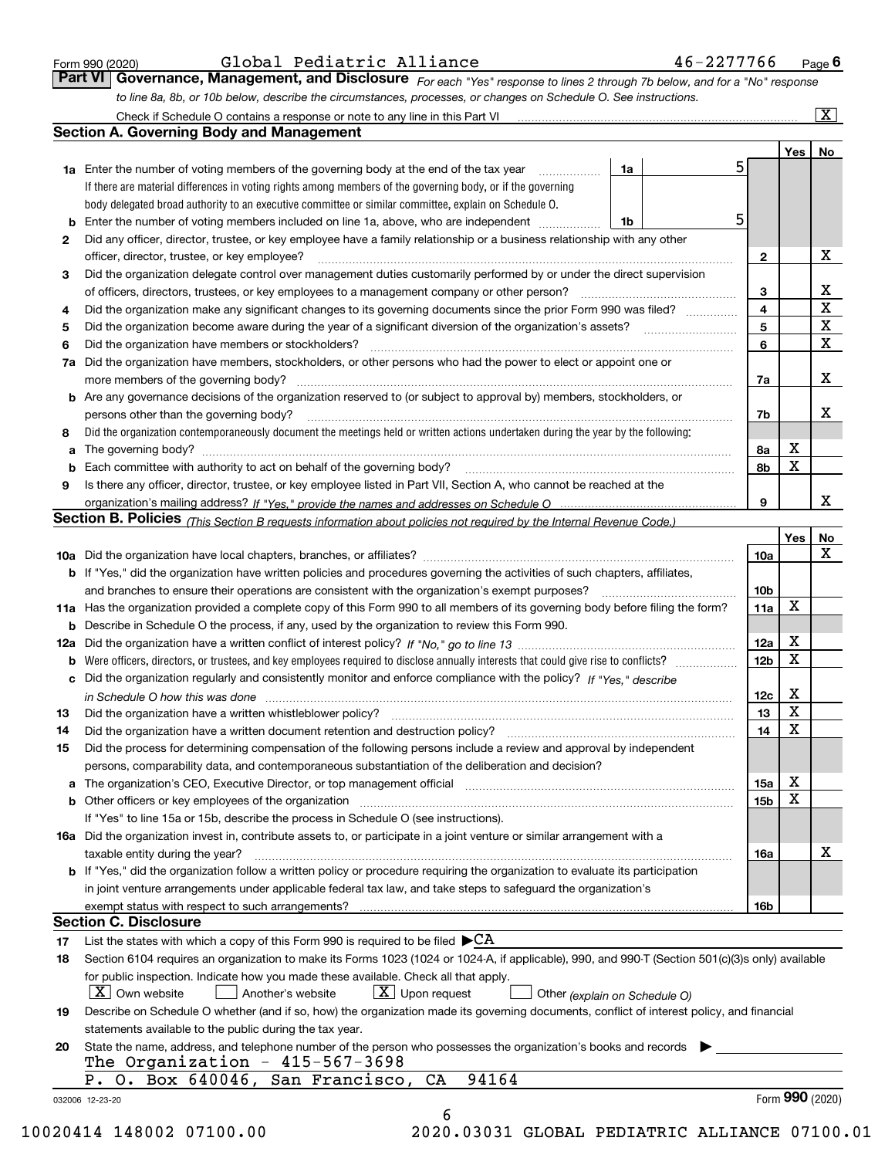|  | Form 990 (2020) |
|--|-----------------|
|  |                 |

| Form 990 (2020) | Global Pediatric Alliance | 46-2277766                                                                                                                    | $P$ <sub>age</sub> $6$ |
|-----------------|---------------------------|-------------------------------------------------------------------------------------------------------------------------------|------------------------|
|                 |                           | Part VI   Governance, Management, and Disclosure For each "Yes" response to lines 2 through 7b below, and for a "No" response |                        |
|                 |                           | to line 8a, 8b, or 10b below, describe the circumstances, processes, or changes on Schedule O. See instructions.              |                        |

|     | Check if Schedule O contains a response or note to any line in this Part VI                                                                                                                                                   |    |  |                         |             | $\overline{\mathbf{X}}$ |  |  |
|-----|-------------------------------------------------------------------------------------------------------------------------------------------------------------------------------------------------------------------------------|----|--|-------------------------|-------------|-------------------------|--|--|
|     | <b>Section A. Governing Body and Management</b>                                                                                                                                                                               |    |  |                         |             |                         |  |  |
|     |                                                                                                                                                                                                                               |    |  |                         | Yes         | No                      |  |  |
|     | <b>1a</b> Enter the number of voting members of the governing body at the end of the tax year                                                                                                                                 | 1a |  | 5                       |             |                         |  |  |
|     | If there are material differences in voting rights among members of the governing body, or if the governing                                                                                                                   |    |  |                         |             |                         |  |  |
|     | body delegated broad authority to an executive committee or similar committee, explain on Schedule O.                                                                                                                         |    |  |                         |             |                         |  |  |
| b   | Enter the number of voting members included on line 1a, above, who are independent                                                                                                                                            | 1b |  | 5                       |             |                         |  |  |
| 2   | Did any officer, director, trustee, or key employee have a family relationship or a business relationship with any other                                                                                                      |    |  |                         |             |                         |  |  |
|     | officer, director, trustee, or key employee?                                                                                                                                                                                  |    |  | $\mathbf{2}$            |             | X                       |  |  |
| 3   | Did the organization delegate control over management duties customarily performed by or under the direct supervision                                                                                                         |    |  |                         |             |                         |  |  |
|     | of officers, directors, trustees, or key employees to a management company or other person?                                                                                                                                   |    |  | 3                       |             | X                       |  |  |
| 4   | Did the organization make any significant changes to its governing documents since the prior Form 990 was filed?                                                                                                              |    |  | $\overline{\mathbf{4}}$ |             | X                       |  |  |
| 5   | Did the organization become aware during the year of a significant diversion of the organization's assets?                                                                                                                    |    |  | 5                       |             | X                       |  |  |
| 6   | Did the organization have members or stockholders?                                                                                                                                                                            |    |  |                         |             |                         |  |  |
| 7a  | Did the organization have members, stockholders, or other persons who had the power to elect or appoint one or                                                                                                                |    |  |                         |             |                         |  |  |
|     | more members of the governing body?                                                                                                                                                                                           |    |  | 7a                      |             | X                       |  |  |
|     | <b>b</b> Are any governance decisions of the organization reserved to (or subject to approval by) members, stockholders, or                                                                                                   |    |  |                         |             |                         |  |  |
|     | persons other than the governing body?                                                                                                                                                                                        |    |  |                         |             |                         |  |  |
| 8   | Did the organization contemporaneously document the meetings held or written actions undertaken during the year by the following:                                                                                             |    |  |                         |             |                         |  |  |
| a   |                                                                                                                                                                                                                               |    |  | 8а                      | X           |                         |  |  |
| b   |                                                                                                                                                                                                                               |    |  | 8b                      | X           |                         |  |  |
| 9   | Is there any officer, director, trustee, or key employee listed in Part VII, Section A, who cannot be reached at the                                                                                                          |    |  |                         |             |                         |  |  |
|     |                                                                                                                                                                                                                               |    |  | 9                       |             | x                       |  |  |
|     | Section B. Policies <sub>(This Section B requests information about policies not required by the Internal Revenue Code.)</sub>                                                                                                |    |  |                         |             |                         |  |  |
|     |                                                                                                                                                                                                                               |    |  |                         | Yes         | No                      |  |  |
|     |                                                                                                                                                                                                                               |    |  | 10a                     |             | X                       |  |  |
|     | <b>b</b> If "Yes," did the organization have written policies and procedures governing the activities of such chapters, affiliates,                                                                                           |    |  |                         |             |                         |  |  |
|     | and branches to ensure their operations are consistent with the organization's exempt purposes?                                                                                                                               |    |  | 10 <sub>b</sub>         |             |                         |  |  |
|     | 11a Has the organization provided a complete copy of this Form 990 to all members of its governing body before filing the form?                                                                                               |    |  | 11a                     | $\mathbf X$ |                         |  |  |
| b   | Describe in Schedule O the process, if any, used by the organization to review this Form 990.                                                                                                                                 |    |  |                         |             |                         |  |  |
| 12a |                                                                                                                                                                                                                               |    |  | 12a                     | X           |                         |  |  |
| b   | Were officers, directors, or trustees, and key employees required to disclose annually interests that could give rise to conflicts?                                                                                           |    |  |                         |             |                         |  |  |
| с   | Did the organization regularly and consistently monitor and enforce compliance with the policy? If "Yes," describe                                                                                                            |    |  |                         |             |                         |  |  |
|     | in Schedule O how this was done measured and contain an account of the state of the state of the state of the                                                                                                                 |    |  | 12c                     | X           |                         |  |  |
| 13  | Did the organization have a written whistleblower policy?                                                                                                                                                                     |    |  | 13                      | X           |                         |  |  |
| 14  | Did the organization have a written document retention and destruction policy?                                                                                                                                                |    |  | 14                      | $\mathbf X$ |                         |  |  |
| 15  | Did the process for determining compensation of the following persons include a review and approval by independent                                                                                                            |    |  |                         |             |                         |  |  |
|     | persons, comparability data, and contemporaneous substantiation of the deliberation and decision?                                                                                                                             |    |  |                         |             |                         |  |  |
|     | The organization's CEO, Executive Director, or top management official manufactured contains and contained a support of the Director, or top management official manufactured and contain a support of the state of the state |    |  | 15a                     | х           |                         |  |  |
| b   | Other officers or key employees of the organization                                                                                                                                                                           |    |  | 15b                     | X           |                         |  |  |
|     | If "Yes" to line 15a or 15b, describe the process in Schedule O (see instructions).                                                                                                                                           |    |  |                         |             |                         |  |  |
|     | 16a Did the organization invest in, contribute assets to, or participate in a joint venture or similar arrangement with a                                                                                                     |    |  |                         |             |                         |  |  |
|     | taxable entity during the year?                                                                                                                                                                                               |    |  | 16a                     |             | X                       |  |  |
|     | b If "Yes," did the organization follow a written policy or procedure requiring the organization to evaluate its participation                                                                                                |    |  |                         |             |                         |  |  |
|     | in joint venture arrangements under applicable federal tax law, and take steps to safeguard the organization's                                                                                                                |    |  |                         |             |                         |  |  |
|     | exempt status with respect to such arrangements?                                                                                                                                                                              |    |  | 16b                     |             |                         |  |  |
|     | <b>Section C. Disclosure</b>                                                                                                                                                                                                  |    |  |                         |             |                         |  |  |
| 17  | List the states with which a copy of this Form 990 is required to be filed $\blacktriangleright$ CA                                                                                                                           |    |  |                         |             |                         |  |  |
| 18  | Section 6104 requires an organization to make its Forms 1023 (1024 or 1024-A, if applicable), 990, and 990-T (Section 501(c)(3)s only) available                                                                              |    |  |                         |             |                         |  |  |
|     | for public inspection. Indicate how you made these available. Check all that apply.                                                                                                                                           |    |  |                         |             |                         |  |  |
|     | $X$ Own website<br>$X$ Upon request<br>Another's website<br>Other (explain on Schedule O)                                                                                                                                     |    |  |                         |             |                         |  |  |
| 19  | Describe on Schedule O whether (and if so, how) the organization made its governing documents, conflict of interest policy, and financial                                                                                     |    |  |                         |             |                         |  |  |
|     | statements available to the public during the tax year.                                                                                                                                                                       |    |  |                         |             |                         |  |  |
| 20  | State the name, address, and telephone number of the person who possesses the organization's books and records                                                                                                                |    |  |                         |             |                         |  |  |
|     | The Organization - $415-567-3698$                                                                                                                                                                                             |    |  |                         |             |                         |  |  |
|     | 94164<br>P. O. Box 640046, San Francisco, CA                                                                                                                                                                                  |    |  |                         |             |                         |  |  |
|     | 032006 12-23-20                                                                                                                                                                                                               |    |  |                         |             | Form 990 (2020)         |  |  |
|     | 6                                                                                                                                                                                                                             |    |  |                         |             |                         |  |  |
|     | 0.000<br>0.7100                                                                                                                                                                                                               |    |  |                         |             |                         |  |  |

10020414 148002 07100.00 2020.03031 GLOBAL PEDIATRIC ALLIANCE 07100.01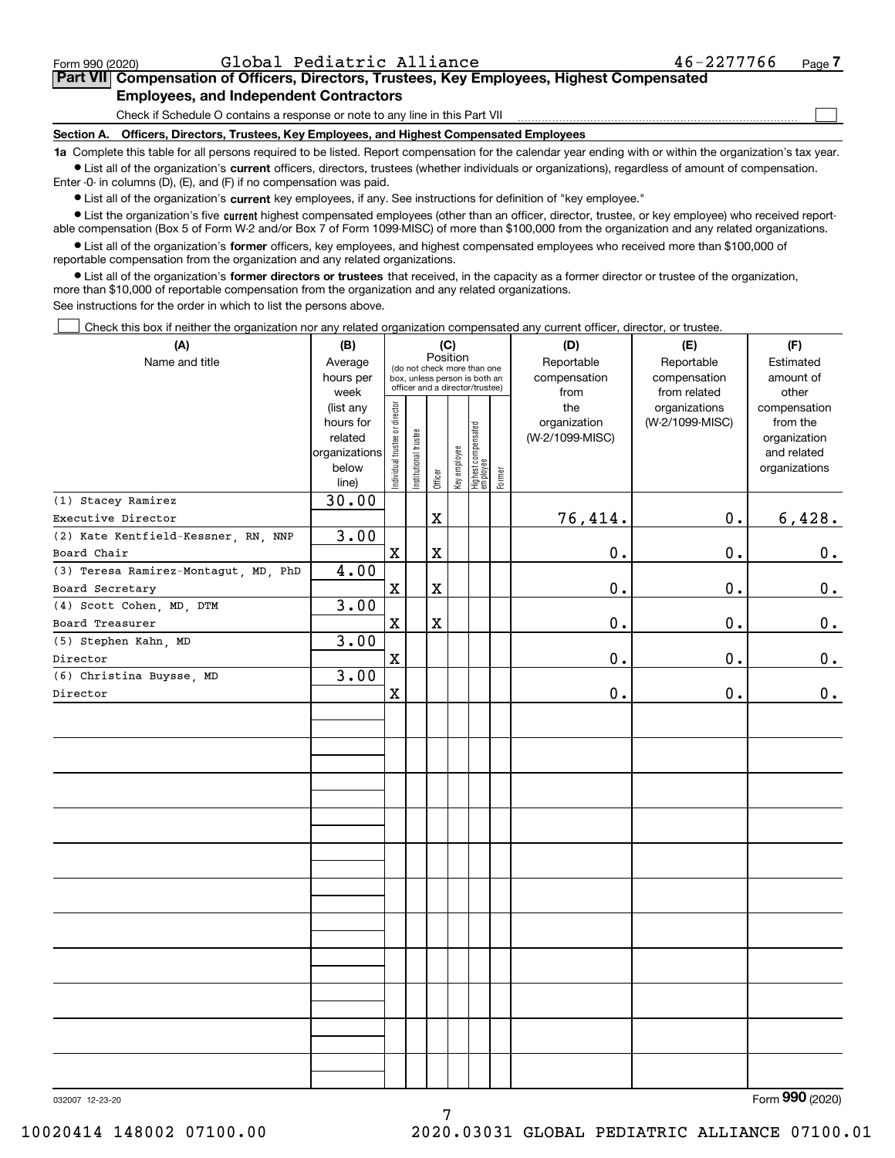$\mathcal{L}^{\text{max}}$ 

# **7Part VII Compensation of Officers, Directors, Trustees, Key Employees, Highest Compensated Employees, and Independent Contractors**

Check if Schedule O contains a response or note to any line in this Part VII

**Section A. Officers, Directors, Trustees, Key Employees, and Highest Compensated Employees**

**1a**  Complete this table for all persons required to be listed. Report compensation for the calendar year ending with or within the organization's tax year. **•** List all of the organization's current officers, directors, trustees (whether individuals or organizations), regardless of amount of compensation.

Enter -0- in columns (D), (E), and (F) if no compensation was paid.

 $\bullet$  List all of the organization's  $\,$ current key employees, if any. See instructions for definition of "key employee."

**•** List the organization's five current highest compensated employees (other than an officer, director, trustee, or key employee) who received reportable compensation (Box 5 of Form W-2 and/or Box 7 of Form 1099-MISC) of more than \$100,000 from the organization and any related organizations.

**•** List all of the organization's former officers, key employees, and highest compensated employees who received more than \$100,000 of reportable compensation from the organization and any related organizations.

**former directors or trustees**  ¥ List all of the organization's that received, in the capacity as a former director or trustee of the organization, more than \$10,000 of reportable compensation from the organization and any related organizations.

See instructions for the order in which to list the persons above.

Check this box if neither the organization nor any related organization compensated any current officer, director, or trustee.  $\mathcal{L}^{\text{max}}$ 

| (A)                                  | (B)                                                                 |                                                                                                             |                       |             | (C)          |                                   |        | (D)                                            | (E)                                              | (F)                                                                               |
|--------------------------------------|---------------------------------------------------------------------|-------------------------------------------------------------------------------------------------------------|-----------------------|-------------|--------------|-----------------------------------|--------|------------------------------------------------|--------------------------------------------------|-----------------------------------------------------------------------------------|
| Name and title                       | Average<br>hours per                                                | Position<br>(do not check more than one<br>box, unless person is both an<br>officer and a director/trustee) |                       |             |              |                                   |        | Reportable<br>compensation                     | Reportable<br>compensation                       | Estimated<br>amount of                                                            |
|                                      | week<br>(list any<br>hours for<br>related<br>organizations<br>below | Individual trustee or director                                                                              | Institutional trustee | Officer     | Key employee | Highest compensated<br>  employee | Former | from<br>the<br>organization<br>(W-2/1099-MISC) | from related<br>organizations<br>(W-2/1099-MISC) | other<br>compensation<br>from the<br>organization<br>and related<br>organizations |
| (1) Stacey Ramirez                   | line)<br>30.00                                                      |                                                                                                             |                       |             |              |                                   |        |                                                |                                                  |                                                                                   |
| Executive Director                   |                                                                     |                                                                                                             |                       | $\mathbf X$ |              |                                   |        | 76,414.                                        | $\mathbf 0$ .                                    | 6,428.                                                                            |
| (2) Kate Kentfield-Kessner, RN, NNP  | 3.00                                                                |                                                                                                             |                       |             |              |                                   |        |                                                |                                                  |                                                                                   |
| Board Chair                          |                                                                     | $\mathbf X$                                                                                                 |                       | X           |              |                                   |        | 0.                                             | 0.                                               | 0.                                                                                |
| (3) Teresa Ramirez-Montagut, MD, PhD | 4.00                                                                |                                                                                                             |                       |             |              |                                   |        |                                                |                                                  |                                                                                   |
| Board Secretary                      |                                                                     | $\mathbf x$                                                                                                 |                       | $\mathbf X$ |              |                                   |        | 0.                                             | 0.                                               | 0.                                                                                |
| (4) Scott Cohen, MD, DTM             | 3.00                                                                |                                                                                                             |                       |             |              |                                   |        |                                                |                                                  |                                                                                   |
| Board Treasurer                      |                                                                     | $\mathbf X$                                                                                                 |                       | X           |              |                                   |        | $\mathbf 0$ .                                  | 0.                                               | 0.                                                                                |
| (5) Stephen Kahn, MD                 | 3.00                                                                |                                                                                                             |                       |             |              |                                   |        |                                                |                                                  |                                                                                   |
| Director                             |                                                                     | $\mathbf X$                                                                                                 |                       |             |              |                                   |        | $\mathbf 0$ .                                  | $0$ .                                            | $\mathbf 0$ .                                                                     |
| (6) Christina Buysse, MD             | 3.00                                                                |                                                                                                             |                       |             |              |                                   |        |                                                |                                                  |                                                                                   |
| Director                             |                                                                     | $\mathbf X$                                                                                                 |                       |             |              |                                   |        | $\mathbf 0$ .                                  | $0$ .                                            | 0.                                                                                |
|                                      |                                                                     |                                                                                                             |                       |             |              |                                   |        |                                                |                                                  |                                                                                   |
|                                      |                                                                     |                                                                                                             |                       |             |              |                                   |        |                                                |                                                  |                                                                                   |
|                                      |                                                                     |                                                                                                             |                       |             |              |                                   |        |                                                |                                                  |                                                                                   |
|                                      |                                                                     |                                                                                                             |                       |             |              |                                   |        |                                                |                                                  |                                                                                   |
|                                      |                                                                     |                                                                                                             |                       |             |              |                                   |        |                                                |                                                  |                                                                                   |
|                                      |                                                                     |                                                                                                             |                       |             |              |                                   |        |                                                |                                                  |                                                                                   |
|                                      |                                                                     |                                                                                                             |                       |             |              |                                   |        |                                                |                                                  |                                                                                   |
|                                      |                                                                     |                                                                                                             |                       |             |              |                                   |        |                                                |                                                  |                                                                                   |
|                                      |                                                                     |                                                                                                             |                       |             |              |                                   |        |                                                |                                                  |                                                                                   |
|                                      |                                                                     |                                                                                                             |                       |             |              |                                   |        |                                                |                                                  |                                                                                   |
|                                      |                                                                     |                                                                                                             |                       |             |              |                                   |        |                                                |                                                  |                                                                                   |
|                                      |                                                                     |                                                                                                             |                       |             |              |                                   |        |                                                |                                                  |                                                                                   |
|                                      |                                                                     |                                                                                                             |                       |             |              |                                   |        |                                                |                                                  |                                                                                   |
|                                      |                                                                     |                                                                                                             |                       |             |              |                                   |        |                                                |                                                  |                                                                                   |
|                                      |                                                                     |                                                                                                             |                       |             |              |                                   |        |                                                |                                                  |                                                                                   |
|                                      |                                                                     |                                                                                                             |                       |             |              |                                   |        |                                                |                                                  |                                                                                   |
|                                      |                                                                     |                                                                                                             |                       |             |              |                                   |        |                                                |                                                  |                                                                                   |
|                                      |                                                                     |                                                                                                             |                       |             |              |                                   |        |                                                |                                                  |                                                                                   |
|                                      |                                                                     |                                                                                                             |                       |             |              |                                   |        |                                                |                                                  |                                                                                   |

7

Form (2020) **990**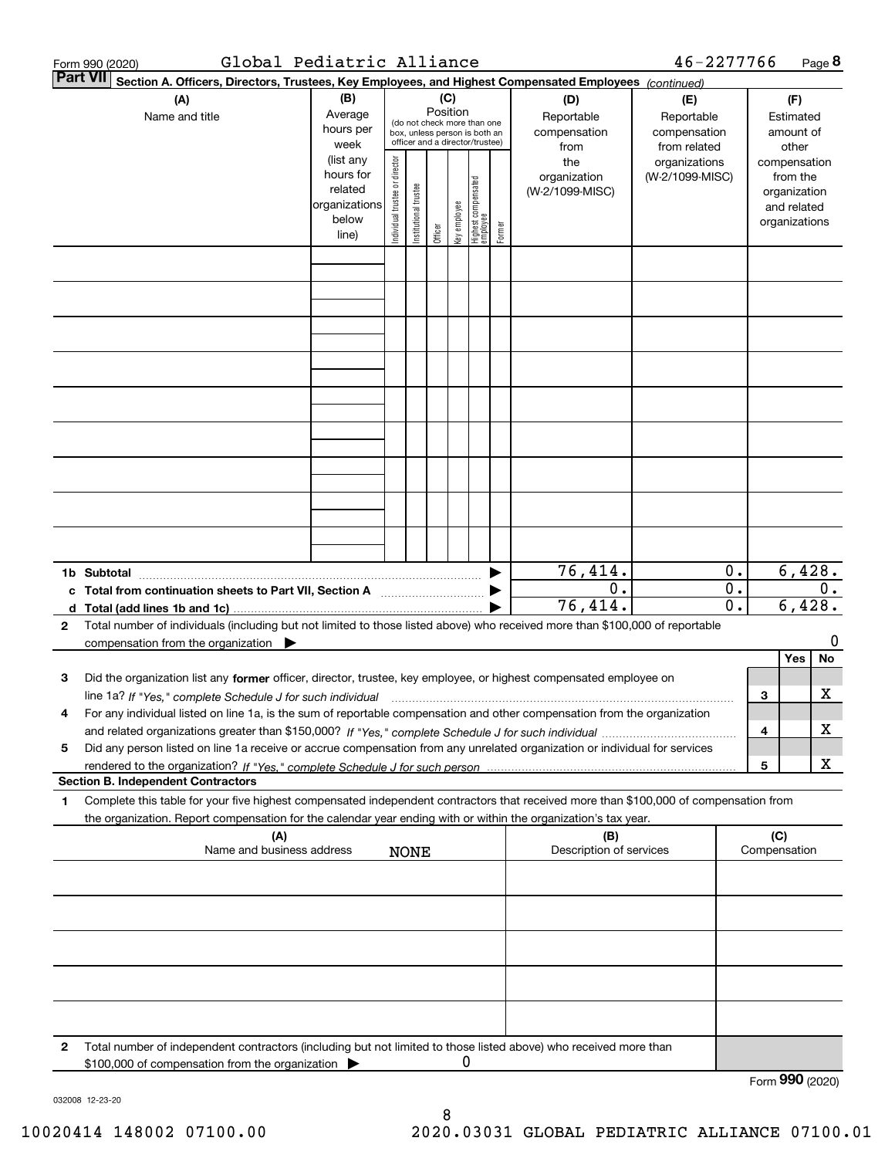|                 | Global Pediatric Alliance<br>Form 990 (2020)                                                                                                                                      |                                                                      |                                |                       |                 |              |                                                                                                 |        |                                                | 46-2277766                                        |                             |        |                                                                          | Page 8  |
|-----------------|-----------------------------------------------------------------------------------------------------------------------------------------------------------------------------------|----------------------------------------------------------------------|--------------------------------|-----------------------|-----------------|--------------|-------------------------------------------------------------------------------------------------|--------|------------------------------------------------|---------------------------------------------------|-----------------------------|--------|--------------------------------------------------------------------------|---------|
| <b>Part VII</b> | Section A. Officers, Directors, Trustees, Key Employees, and Highest Compensated Employees (continued)                                                                            |                                                                      |                                |                       |                 |              |                                                                                                 |        |                                                |                                                   |                             |        |                                                                          |         |
|                 | (A)<br>Name and title                                                                                                                                                             | (B)<br>Average<br>hours per<br>week                                  |                                |                       | (C)<br>Position |              | (do not check more than one<br>box, unless person is both an<br>officer and a director/trustee) |        | (D)<br>Reportable<br>compensation              | (E)<br>Reportable<br>compensation<br>from related |                             |        | (F)<br>Estimated<br>amount of<br>other                                   |         |
|                 |                                                                                                                                                                                   | (list any<br>hours for<br>related<br>organizations<br>below<br>line) | Individual trustee or director | Institutional trustee | Officer         | Key employee | Highest compensated<br>  employee                                                               | Former | from<br>the<br>organization<br>(W-2/1099-MISC) | organizations<br>(W-2/1099-MISC)                  |                             |        | compensation<br>from the<br>organization<br>and related<br>organizations |         |
|                 |                                                                                                                                                                                   |                                                                      |                                |                       |                 |              |                                                                                                 |        |                                                |                                                   |                             |        |                                                                          |         |
|                 |                                                                                                                                                                                   |                                                                      |                                |                       |                 |              |                                                                                                 |        |                                                |                                                   |                             |        |                                                                          |         |
|                 |                                                                                                                                                                                   |                                                                      |                                |                       |                 |              |                                                                                                 |        |                                                |                                                   |                             |        |                                                                          |         |
|                 |                                                                                                                                                                                   |                                                                      |                                |                       |                 |              |                                                                                                 |        |                                                |                                                   |                             |        |                                                                          |         |
|                 |                                                                                                                                                                                   |                                                                      |                                |                       |                 |              |                                                                                                 |        |                                                |                                                   |                             |        |                                                                          |         |
|                 |                                                                                                                                                                                   |                                                                      |                                |                       |                 |              |                                                                                                 |        |                                                |                                                   |                             |        |                                                                          |         |
|                 | 1b Subtotal<br>c Total from continuation sheets to Part VII, Section A manufactor continues                                                                                       |                                                                      |                                |                       |                 |              |                                                                                                 |        | 76,414.<br>$\overline{0}$ .                    |                                                   | 0.<br>$\overline{0}$ .      |        | 6,428.                                                                   | 0.      |
| $\mathbf{2}$    | d Total (add lines 1b and 1c).<br>Total number of individuals (including but not limited to those listed above) who received more than \$100,000 of reportable                    |                                                                      |                                |                       |                 |              |                                                                                                 |        | 76,414.                                        |                                                   | $\overline{\mathfrak{o}}$ . | 6,428. |                                                                          |         |
|                 | compensation from the organization $\blacktriangleright$                                                                                                                          |                                                                      |                                |                       |                 |              |                                                                                                 |        |                                                |                                                   |                             |        | Yes                                                                      | 0<br>No |
| з               | Did the organization list any former officer, director, trustee, key employee, or highest compensated employee on                                                                 |                                                                      |                                |                       |                 |              |                                                                                                 |        |                                                |                                                   |                             | 3      |                                                                          | х       |
| 4               | For any individual listed on line 1a, is the sum of reportable compensation and other compensation from the organization                                                          |                                                                      |                                |                       |                 |              |                                                                                                 |        |                                                |                                                   |                             | 4      |                                                                          | х       |
| 5               | Did any person listed on line 1a receive or accrue compensation from any unrelated organization or individual for services                                                        |                                                                      |                                |                       |                 |              |                                                                                                 |        |                                                |                                                   |                             | 5      |                                                                          | X       |
| 1               | <b>Section B. Independent Contractors</b><br>Complete this table for your five highest compensated independent contractors that received more than \$100,000 of compensation from |                                                                      |                                |                       |                 |              |                                                                                                 |        |                                                |                                                   |                             |        |                                                                          |         |
|                 | the organization. Report compensation for the calendar year ending with or within the organization's tax year.<br>(A)<br>Name and business address                                |                                                                      |                                | <b>NONE</b>           |                 |              |                                                                                                 |        | (B)<br>Description of services                 |                                                   |                             |        | (C)<br>Compensation                                                      |         |
|                 |                                                                                                                                                                                   |                                                                      |                                |                       |                 |              |                                                                                                 |        |                                                |                                                   |                             |        |                                                                          |         |
|                 |                                                                                                                                                                                   |                                                                      |                                |                       |                 |              |                                                                                                 |        |                                                |                                                   |                             |        |                                                                          |         |
|                 |                                                                                                                                                                                   |                                                                      |                                |                       |                 |              |                                                                                                 |        |                                                |                                                   |                             |        |                                                                          |         |
|                 |                                                                                                                                                                                   |                                                                      |                                |                       |                 |              |                                                                                                 |        |                                                |                                                   |                             |        |                                                                          |         |
| 2               | Total number of independent contractors (including but not limited to those listed above) who received more than<br>\$100,000 of compensation from the organization               |                                                                      |                                |                       |                 | 0            |                                                                                                 |        |                                                |                                                   |                             |        | Form 990 (2020)                                                          |         |
|                 |                                                                                                                                                                                   |                                                                      |                                |                       |                 |              |                                                                                                 |        |                                                |                                                   |                             |        |                                                                          |         |

032008 12-23-20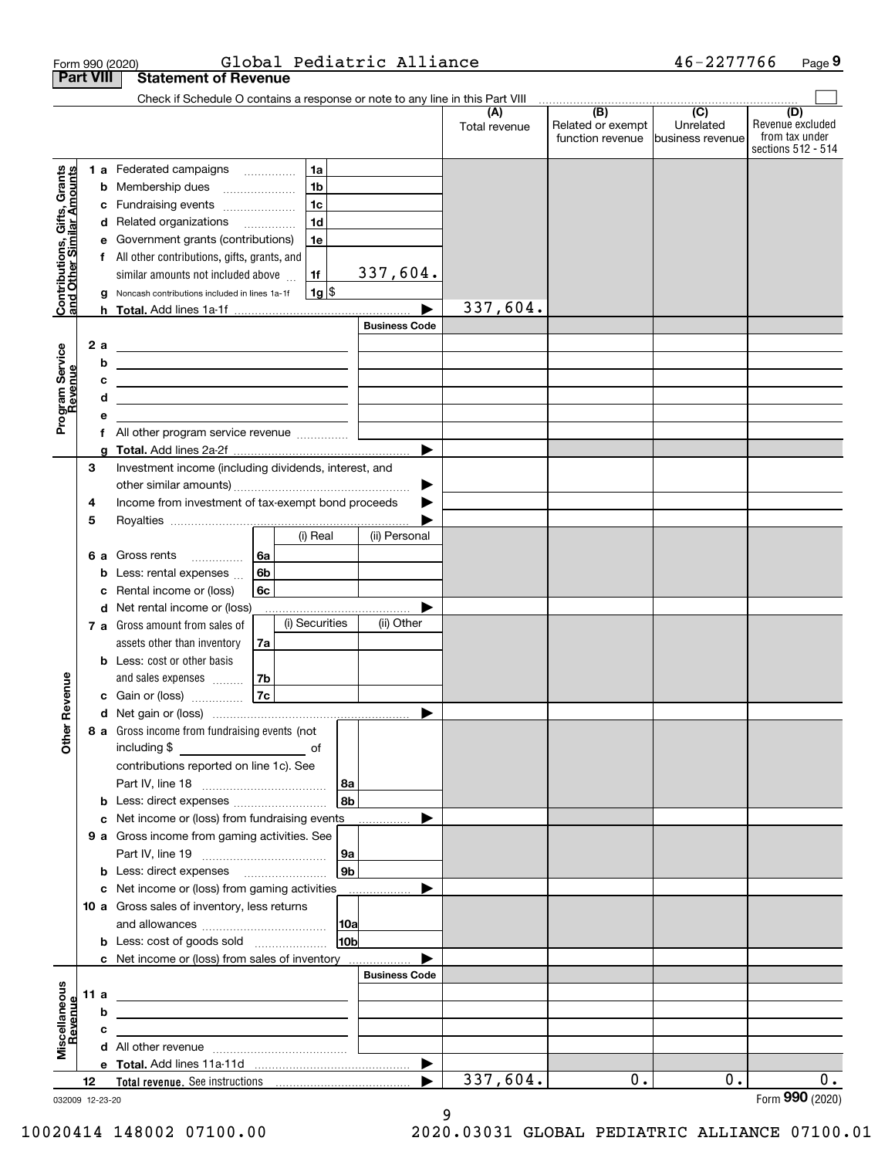|                                                           |                  |        | Global Pediatric Alliance<br>Form 990 (2020)                                                                                                                                       |                         |                      |                                              | 46-2277766                                      | Page 9                                                          |
|-----------------------------------------------------------|------------------|--------|------------------------------------------------------------------------------------------------------------------------------------------------------------------------------------|-------------------------|----------------------|----------------------------------------------|-------------------------------------------------|-----------------------------------------------------------------|
|                                                           | <b>Part VIII</b> |        | <b>Statement of Revenue</b>                                                                                                                                                        |                         |                      |                                              |                                                 |                                                                 |
|                                                           |                  |        | Check if Schedule O contains a response or note to any line in this Part VIII                                                                                                      |                         |                      |                                              |                                                 |                                                                 |
|                                                           |                  |        |                                                                                                                                                                                    |                         | (A)<br>Total revenue | (B)<br>Related or exempt<br>function revenue | $\overline{C}$<br>Unrelated<br>business revenue | (D)<br>Revenue excluded<br>from tax under<br>sections 512 - 514 |
|                                                           |                  |        | 1a<br>1 a Federated campaigns                                                                                                                                                      |                         |                      |                                              |                                                 |                                                                 |
|                                                           |                  |        | 1 <sub>b</sub><br><b>b</b> Membership dues                                                                                                                                         |                         |                      |                                              |                                                 |                                                                 |
|                                                           |                  |        | 1 <sub>c</sub><br>c Fundraising events                                                                                                                                             |                         |                      |                                              |                                                 |                                                                 |
|                                                           |                  |        | 1 <sub>d</sub><br>d Related organizations                                                                                                                                          |                         |                      |                                              |                                                 |                                                                 |
| Contributions, Gifts, Grants<br>and Other Similar Amounts |                  | е      | 1e<br>Government grants (contributions)                                                                                                                                            |                         |                      |                                              |                                                 |                                                                 |
|                                                           |                  |        | f All other contributions, gifts, grants, and                                                                                                                                      |                         |                      |                                              |                                                 |                                                                 |
|                                                           |                  |        | similar amounts not included above<br>1f                                                                                                                                           | 337,604.                |                      |                                              |                                                 |                                                                 |
|                                                           |                  |        | $1g$ \$<br>g Noncash contributions included in lines 1a-1f                                                                                                                         |                         |                      |                                              |                                                 |                                                                 |
|                                                           |                  |        |                                                                                                                                                                                    |                         | 337,604.             |                                              |                                                 |                                                                 |
|                                                           |                  |        |                                                                                                                                                                                    | <b>Business Code</b>    |                      |                                              |                                                 |                                                                 |
| Program Service<br>Revenue                                | 2a               |        |                                                                                                                                                                                    |                         |                      |                                              |                                                 |                                                                 |
|                                                           |                  | b<br>c | <u> 1989 - Johann Stein, mars an deutscher Stein († 1989)</u>                                                                                                                      |                         |                      |                                              |                                                 |                                                                 |
|                                                           |                  | d      | <u> 1989 - Johann Harry Harry Harry Harry Harry Harry Harry Harry Harry Harry Harry Harry Harry Harry Harry Harry</u><br><u> 1989 - John Stein, mars and de Brazilia (b. 1989)</u> |                         |                      |                                              |                                                 |                                                                 |
|                                                           |                  | е      |                                                                                                                                                                                    |                         |                      |                                              |                                                 |                                                                 |
|                                                           |                  | f.     |                                                                                                                                                                                    |                         |                      |                                              |                                                 |                                                                 |
|                                                           |                  | a      |                                                                                                                                                                                    |                         |                      |                                              |                                                 |                                                                 |
|                                                           | 3                |        | Investment income (including dividends, interest, and                                                                                                                              |                         |                      |                                              |                                                 |                                                                 |
|                                                           |                  |        |                                                                                                                                                                                    | ▶                       |                      |                                              |                                                 |                                                                 |
|                                                           | 4                |        | Income from investment of tax-exempt bond proceeds                                                                                                                                 |                         |                      |                                              |                                                 |                                                                 |
|                                                           | 5                |        |                                                                                                                                                                                    |                         |                      |                                              |                                                 |                                                                 |
|                                                           |                  |        | (i) Real                                                                                                                                                                           | (ii) Personal           |                      |                                              |                                                 |                                                                 |
|                                                           | 6а               |        | 6а<br>Gross rents                                                                                                                                                                  |                         |                      |                                              |                                                 |                                                                 |
|                                                           |                  | b      | 6b<br>Less: rental expenses                                                                                                                                                        |                         |                      |                                              |                                                 |                                                                 |
|                                                           |                  | с      | 6c<br>Rental income or (loss)                                                                                                                                                      |                         |                      |                                              |                                                 |                                                                 |
|                                                           |                  |        | d Net rental income or (loss)<br>(i) Securities<br>7 a Gross amount from sales of                                                                                                  | (ii) Other              |                      |                                              |                                                 |                                                                 |
|                                                           |                  |        | assets other than inventory<br>7a                                                                                                                                                  |                         |                      |                                              |                                                 |                                                                 |
|                                                           |                  |        | <b>b</b> Less: cost or other basis                                                                                                                                                 |                         |                      |                                              |                                                 |                                                                 |
|                                                           |                  |        | and sales expenses<br>7b                                                                                                                                                           |                         |                      |                                              |                                                 |                                                                 |
| venue                                                     |                  |        | 7c<br><b>c</b> Gain or (loss) $\ldots$                                                                                                                                             |                         |                      |                                              |                                                 |                                                                 |
|                                                           |                  |        |                                                                                                                                                                                    |                         |                      |                                              |                                                 |                                                                 |
| Other Re                                                  |                  |        | 8 a Gross income from fundraising events (not                                                                                                                                      |                         |                      |                                              |                                                 |                                                                 |
|                                                           |                  |        | including \$                                                                                                                                                                       |                         |                      |                                              |                                                 |                                                                 |
|                                                           |                  |        | contributions reported on line 1c). See                                                                                                                                            |                         |                      |                                              |                                                 |                                                                 |
|                                                           |                  |        |                                                                                                                                                                                    | 8a                      |                      |                                              |                                                 |                                                                 |
|                                                           |                  |        | <b>b</b> Less: direct expenses                                                                                                                                                     | 8bl                     |                      |                                              |                                                 |                                                                 |
|                                                           |                  |        | c Net income or (loss) from fundraising events                                                                                                                                     |                         |                      |                                              |                                                 |                                                                 |
|                                                           |                  |        | 9 a Gross income from gaming activities. See                                                                                                                                       |                         |                      |                                              |                                                 |                                                                 |
|                                                           |                  |        |                                                                                                                                                                                    | 9a                      |                      |                                              |                                                 |                                                                 |
|                                                           |                  |        | <b>b</b> Less: direct expenses <b>manually</b>                                                                                                                                     | 9b                      |                      |                                              |                                                 |                                                                 |
|                                                           |                  |        | c Net income or (loss) from gaming activities                                                                                                                                      |                         |                      |                                              |                                                 |                                                                 |
|                                                           |                  |        | 10 a Gross sales of inventory, less returns                                                                                                                                        |                         |                      |                                              |                                                 |                                                                 |
|                                                           |                  |        | <b>b</b> Less: cost of goods sold                                                                                                                                                  | 10a <br>10 <sub>b</sub> |                      |                                              |                                                 |                                                                 |
|                                                           |                  |        | c Net income or (loss) from sales of inventory                                                                                                                                     |                         |                      |                                              |                                                 |                                                                 |
|                                                           |                  |        |                                                                                                                                                                                    | <b>Business Code</b>    |                      |                                              |                                                 |                                                                 |
|                                                           | 11 a             |        |                                                                                                                                                                                    |                         |                      |                                              |                                                 |                                                                 |
|                                                           |                  | b      |                                                                                                                                                                                    |                         |                      |                                              |                                                 |                                                                 |
|                                                           |                  | c      |                                                                                                                                                                                    |                         |                      |                                              |                                                 |                                                                 |
| Miscellaneous<br>Revenue                                  |                  |        |                                                                                                                                                                                    |                         |                      |                                              |                                                 |                                                                 |
|                                                           |                  |        |                                                                                                                                                                                    | ▶                       |                      |                                              |                                                 |                                                                 |
|                                                           | 12               |        |                                                                                                                                                                                    |                         | 337,604.             | 0.                                           | $0$ .                                           | 0.                                                              |
| 032009 12-23-20                                           |                  |        |                                                                                                                                                                                    |                         |                      |                                              |                                                 | Form 990 (2020)                                                 |

032009 12-23-20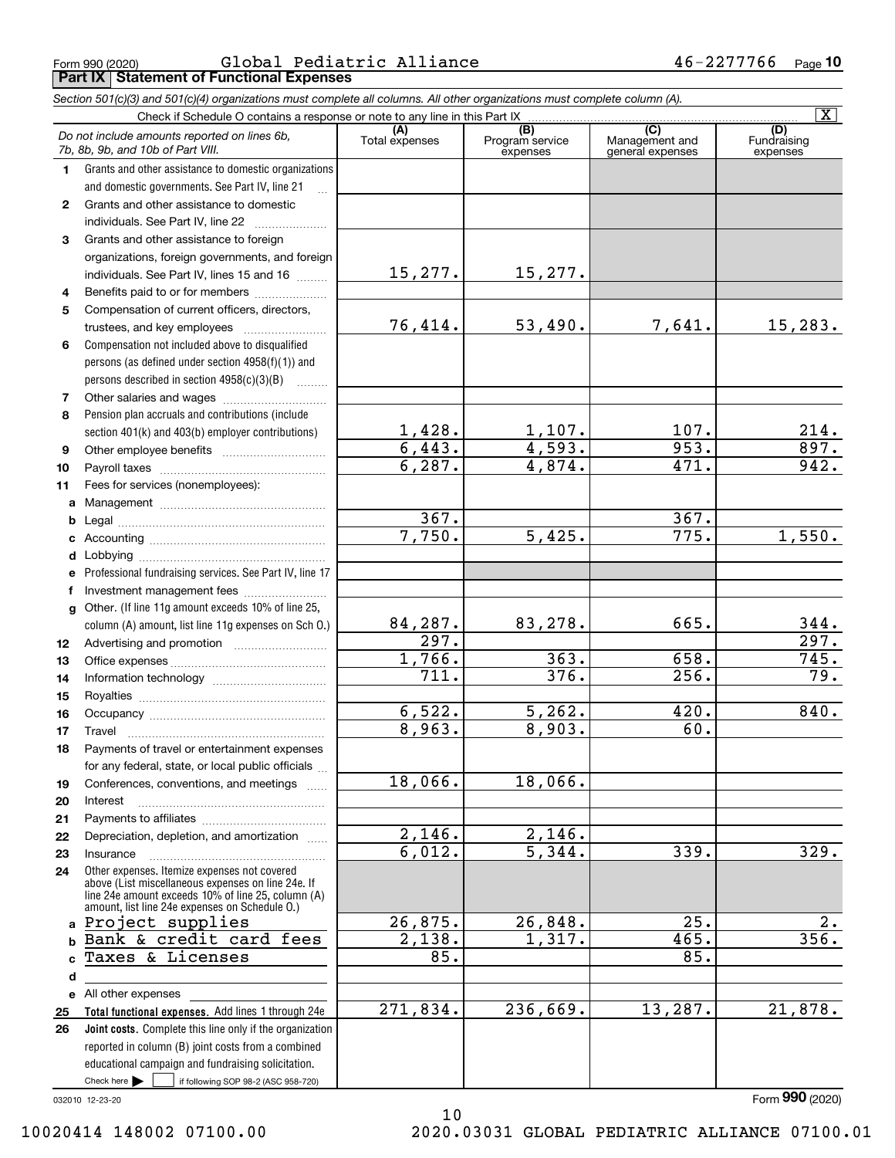Form 990 (2020) Page **Part IX Statement of Functional Expenses** Global Pediatric Alliance 46-2277766

|                  | Section 501(c)(3) and 501(c)(4) organizations must complete all columns. All other organizations must complete column (A).                                                                                 |                      |                             |                                    |                                |
|------------------|------------------------------------------------------------------------------------------------------------------------------------------------------------------------------------------------------------|----------------------|-----------------------------|------------------------------------|--------------------------------|
|                  | Check if Schedule O contains a response or note to any line in this Part IX                                                                                                                                | (A)                  | (B)                         | (C)                                | $\overline{\mathbf{X}}$<br>(D) |
|                  | Do not include amounts reported on lines 6b,<br>7b, 8b, 9b, and 10b of Part VIII.                                                                                                                          | Total expenses       | Program service<br>expenses | Management and<br>general expenses | Fundraising<br>expenses        |
| 1.               | Grants and other assistance to domestic organizations                                                                                                                                                      |                      |                             |                                    |                                |
|                  | and domestic governments. See Part IV, line 21                                                                                                                                                             |                      |                             |                                    |                                |
| $\mathbf{2}$     | Grants and other assistance to domestic                                                                                                                                                                    |                      |                             |                                    |                                |
|                  | individuals. See Part IV, line 22                                                                                                                                                                          |                      |                             |                                    |                                |
| 3                | Grants and other assistance to foreign                                                                                                                                                                     |                      |                             |                                    |                                |
|                  | organizations, foreign governments, and foreign                                                                                                                                                            |                      |                             |                                    |                                |
|                  | individuals. See Part IV, lines 15 and 16                                                                                                                                                                  | 15,277.              | 15,277.                     |                                    |                                |
| 4                | Benefits paid to or for members                                                                                                                                                                            |                      |                             |                                    |                                |
| 5                | Compensation of current officers, directors,                                                                                                                                                               |                      |                             |                                    |                                |
|                  |                                                                                                                                                                                                            | 76,414.              | 53,490.                     | 7,641.                             | 15,283.                        |
| 6                | Compensation not included above to disqualified                                                                                                                                                            |                      |                             |                                    |                                |
|                  | persons (as defined under section 4958(f)(1)) and                                                                                                                                                          |                      |                             |                                    |                                |
|                  | persons described in section 4958(c)(3)(B)                                                                                                                                                                 |                      |                             |                                    |                                |
| 7                |                                                                                                                                                                                                            |                      |                             |                                    |                                |
| 8                | Pension plan accruals and contributions (include                                                                                                                                                           |                      |                             |                                    |                                |
|                  | section 401(k) and 403(b) employer contributions)                                                                                                                                                          | 1,428.               | $\frac{1,107.}{4,593.}$     | 107.                               | 214.                           |
| 9                |                                                                                                                                                                                                            | 6,443.               |                             | 953.                               | 897.                           |
| 10               |                                                                                                                                                                                                            | 6, 287.              | 4,874.                      | 471.                               | 942.                           |
| 11               | Fees for services (nonemployees):                                                                                                                                                                          |                      |                             |                                    |                                |
| a                |                                                                                                                                                                                                            |                      |                             |                                    |                                |
| b                |                                                                                                                                                                                                            | 367.                 |                             | 367.                               |                                |
| c                |                                                                                                                                                                                                            | 7,750.               | 5,425.                      | 775.                               | 1,550.                         |
| d                |                                                                                                                                                                                                            |                      |                             |                                    |                                |
| е                | Professional fundraising services. See Part IV, line 17                                                                                                                                                    |                      |                             |                                    |                                |
| f                | Investment management fees                                                                                                                                                                                 |                      |                             |                                    |                                |
| g                | Other. (If line 11g amount exceeds 10% of line 25,                                                                                                                                                         |                      |                             |                                    |                                |
|                  | column (A) amount, list line 11g expenses on Sch O.)                                                                                                                                                       | 84,287.              | 83,278.                     | 665.                               | 344.                           |
| 12 <sup>12</sup> |                                                                                                                                                                                                            | 297.                 |                             |                                    | $\overline{297}$ .             |
| 13               |                                                                                                                                                                                                            | 1,766.               | 363.                        | 658.                               | 745.                           |
| 14               |                                                                                                                                                                                                            | 711.                 | 376.                        | 256.                               | 79.                            |
| 15               |                                                                                                                                                                                                            |                      |                             |                                    |                                |
| 16               |                                                                                                                                                                                                            | 6,522.               | 5, 262.                     | 420.                               | 840.                           |
| 17               |                                                                                                                                                                                                            | 8,963.               | 8,903.                      | 60.                                |                                |
| 18               | Payments of travel or entertainment expenses                                                                                                                                                               |                      |                             |                                    |                                |
|                  | for any federal, state, or local public officials                                                                                                                                                          |                      |                             |                                    |                                |
| 19               | Conferences, conventions, and meetings                                                                                                                                                                     | 18,066.              | 18,066.                     |                                    |                                |
| 20               | Interest                                                                                                                                                                                                   |                      |                             |                                    |                                |
| 21               |                                                                                                                                                                                                            |                      |                             |                                    |                                |
| 22               | Depreciation, depletion, and amortization                                                                                                                                                                  | $\overline{2,146}$ . | 2,146.                      |                                    |                                |
| 23               | Insurance                                                                                                                                                                                                  | 6,012.               | 5,344.                      | 339.                               | 329.                           |
| 24               | Other expenses. Itemize expenses not covered<br>above (List miscellaneous expenses on line 24e. If<br>line 24e amount exceeds 10% of line 25, column (A)<br>amount, list line 24e expenses on Schedule O.) |                      |                             |                                    |                                |
|                  | a Project supplies                                                                                                                                                                                         | 26,875.              | 26,848.                     | 25.                                | 2.                             |
| b                | Bank & credit card fees                                                                                                                                                                                    | 2,138.               | 1,317.                      | 465.                               | 356.                           |
| c                | Taxes & Licenses                                                                                                                                                                                           | 85.                  |                             | 85.                                |                                |
| d                |                                                                                                                                                                                                            |                      |                             |                                    |                                |
|                  | e All other expenses                                                                                                                                                                                       |                      |                             |                                    |                                |
| 25               | Total functional expenses. Add lines 1 through 24e                                                                                                                                                         | 271,834.             | 236,669.                    | 13,287.                            | 21,878.                        |
| 26               | <b>Joint costs.</b> Complete this line only if the organization                                                                                                                                            |                      |                             |                                    |                                |
|                  | reported in column (B) joint costs from a combined                                                                                                                                                         |                      |                             |                                    |                                |
|                  | educational campaign and fundraising solicitation.                                                                                                                                                         |                      |                             |                                    |                                |
|                  | Check here $\blacktriangleright$<br>if following SOP 98-2 (ASC 958-720)                                                                                                                                    |                      |                             |                                    |                                |

10

032010 12-23-20

10020414 148002 07100.00 2020.03031 GLOBAL PEDIATRIC ALLIANCE 07100.01

Form (2020) **990**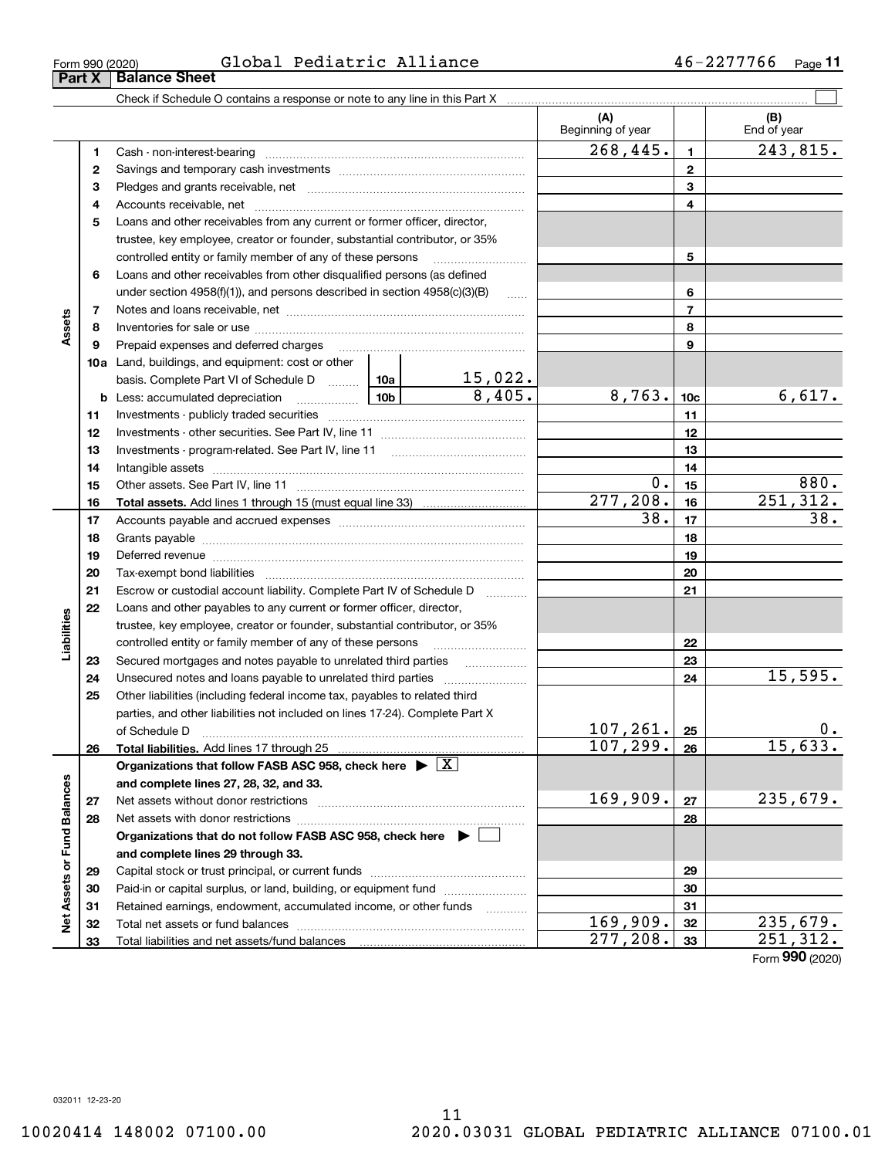**3132 33**

**313233**

169,909. 235,679.  $277, 208. |33| 251, 312.$ 

Form (2020) **990**

|                             |    |                                                                                    |                 |                          | (A)<br>Beginning of year |                 | (B)<br>End of year |
|-----------------------------|----|------------------------------------------------------------------------------------|-----------------|--------------------------|--------------------------|-----------------|--------------------|
|                             | 1  | Cash - non-interest-bearing                                                        |                 |                          | 268,445.                 | $\mathbf{1}$    | 243,815.           |
|                             | 2  |                                                                                    |                 |                          |                          | $\mathbf 2$     |                    |
|                             | з  |                                                                                    |                 |                          |                          | 3               |                    |
|                             | 4  |                                                                                    |                 | 4                        |                          |                 |                    |
|                             | 5  | Loans and other receivables from any current or former officer, director,          |                 |                          |                          |                 |                    |
|                             |    | trustee, key employee, creator or founder, substantial contributor, or 35%         |                 |                          |                          |                 |                    |
|                             |    | controlled entity or family member of any of these persons                         |                 | 5                        |                          |                 |                    |
|                             | 6  | Loans and other receivables from other disqualified persons (as defined            |                 |                          |                          |                 |                    |
|                             |    | under section 4958(f)(1)), and persons described in section 4958(c)(3)(B)          | $\ldots$        |                          | 6                        |                 |                    |
|                             | 7  |                                                                                    |                 |                          |                          | $\overline{7}$  |                    |
| Assets                      | 8  |                                                                                    |                 |                          |                          | 8               |                    |
|                             | 9  | Prepaid expenses and deferred charges                                              |                 |                          |                          | 9               |                    |
|                             |    | 10a Land, buildings, and equipment: cost or other                                  |                 |                          |                          |                 |                    |
|                             |    | basis. Complete Part VI of Schedule D    10a   10a   15, 022.                      |                 |                          |                          |                 |                    |
|                             |    | <b>b</b> Less: accumulated depreciation                                            | 10 <sub>b</sub> | 8,405.                   | 8,763.                   | 10 <sub>c</sub> | 6,617.             |
|                             | 11 |                                                                                    |                 |                          |                          | 11              |                    |
|                             | 12 |                                                                                    |                 |                          |                          | 12              |                    |
|                             | 13 |                                                                                    |                 |                          |                          | 13              |                    |
|                             | 14 |                                                                                    |                 |                          |                          | 14              |                    |
|                             | 15 |                                                                                    |                 |                          | $0$ .                    | 15              | 880.               |
|                             | 16 |                                                                                    |                 |                          | 277, 208.                | 16              | 251,312.           |
|                             | 17 |                                                                                    |                 |                          | 38.                      | 17              | 38.                |
|                             | 18 |                                                                                    |                 |                          |                          | 18              |                    |
|                             | 19 |                                                                                    |                 |                          | 19                       |                 |                    |
|                             | 20 |                                                                                    |                 |                          |                          | 20              |                    |
|                             | 21 | Escrow or custodial account liability. Complete Part IV of Schedule D              |                 | .                        |                          | 21              |                    |
|                             | 22 | Loans and other payables to any current or former officer, director,               |                 |                          |                          |                 |                    |
| Liabilities                 |    | trustee, key employee, creator or founder, substantial contributor, or 35%         |                 |                          |                          |                 |                    |
|                             |    | controlled entity or family member of any of these persons                         |                 |                          |                          | 22              |                    |
|                             | 23 | Secured mortgages and notes payable to unrelated third parties                     |                 |                          |                          | 23              |                    |
|                             | 24 |                                                                                    |                 |                          |                          | 24              | 15,595.            |
|                             | 25 | Other liabilities (including federal income tax, payables to related third         |                 |                          |                          |                 |                    |
|                             |    | parties, and other liabilities not included on lines 17-24). Complete Part X       |                 |                          |                          |                 |                    |
|                             |    | of Schedule D                                                                      |                 |                          | 107, 261.<br>107, 299.   | 25              | υ.<br>15,633.      |
|                             | 26 |                                                                                    |                 |                          |                          | 26              |                    |
|                             |    | Organizations that follow FASB ASC 958, check here $\blacktriangleright \boxed{X}$ |                 |                          |                          |                 |                    |
|                             |    | and complete lines 27, 28, 32, and 33.                                             |                 |                          | 169,909.                 | 27              | 235,679.           |
|                             | 27 | Net assets without donor restrictions                                              |                 |                          |                          | 28              |                    |
|                             | 28 | Organizations that do not follow FASB ASC 958, check here $\blacktriangleright$    |                 |                          |                          |                 |                    |
|                             |    |                                                                                    |                 |                          |                          |                 |                    |
| Net Assets or Fund Balances | 29 | and complete lines 29 through 33.                                                  |                 |                          | 29                       |                 |                    |
|                             | 30 | Paid-in or capital surplus, or land, building, or equipment fund                   |                 |                          |                          | 30              |                    |
|                             | 31 | Retained earnings, endowment, accumulated income, or other funds                   |                 |                          |                          | 31              |                    |
|                             | 32 |                                                                                    |                 | $\overline{\phantom{a}}$ | 169,909.                 | 32              | 235,679.           |
|                             |    |                                                                                    |                 |                          |                          |                 |                    |

## Form 990 (2020) Global Pediatric Alliance 46-2277766 <sub>Page</sub>

Check if Schedule O contains a response or note to any line in this Part X

Total liabilities and net assets/fund balances

**11**

 $\mathcal{L}^{\text{max}}$ 

**Part X** | Balance Sheet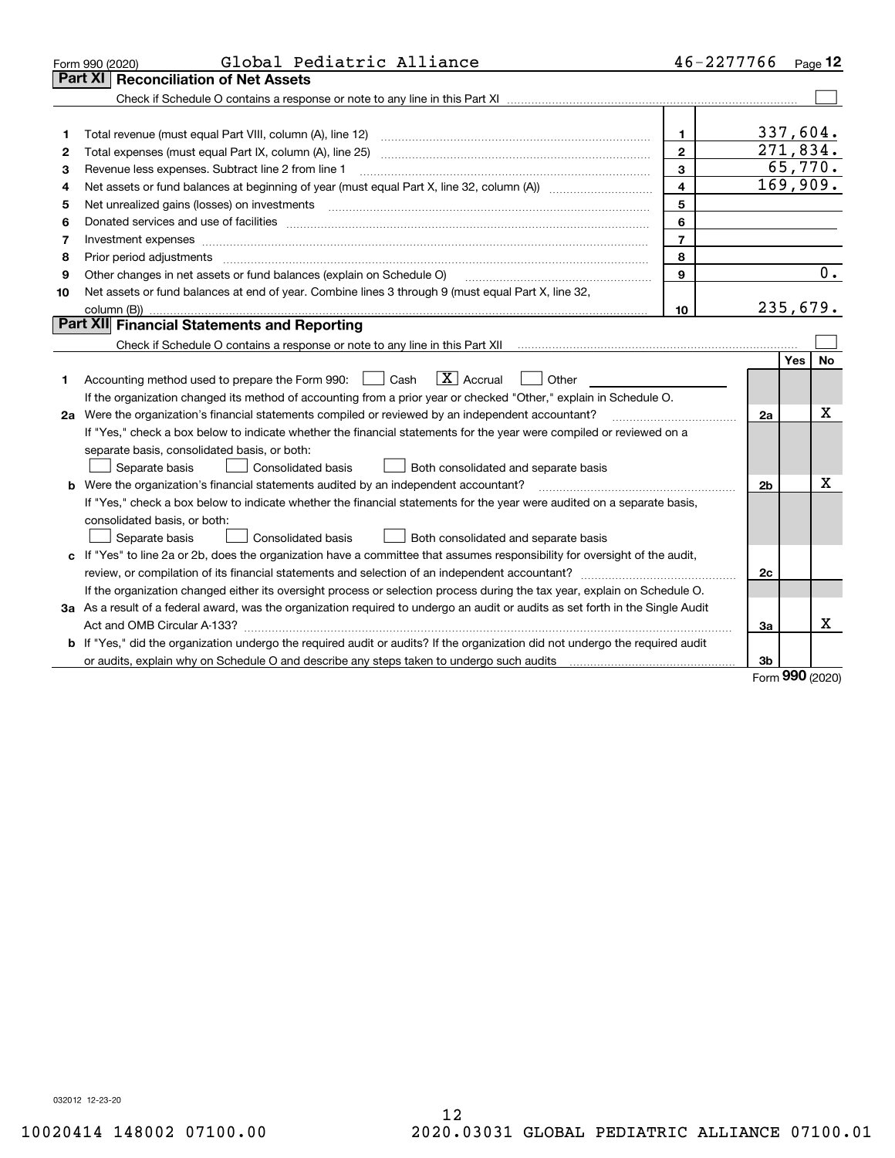|    | Global Pediatric Alliance<br>Form 990 (2020)                                                                                                                                                                                        | 46-2277766     |                      |      | Page 12     |  |  |
|----|-------------------------------------------------------------------------------------------------------------------------------------------------------------------------------------------------------------------------------------|----------------|----------------------|------|-------------|--|--|
|    | Part XI<br><b>Reconciliation of Net Assets</b>                                                                                                                                                                                      |                |                      |      |             |  |  |
|    |                                                                                                                                                                                                                                     |                |                      |      |             |  |  |
|    |                                                                                                                                                                                                                                     |                |                      |      |             |  |  |
| 1  |                                                                                                                                                                                                                                     | 1.             | 337,604.<br>271,834. |      |             |  |  |
| 2  | $\mathbf{2}$                                                                                                                                                                                                                        |                |                      |      |             |  |  |
| з  | 3<br>Revenue less expenses. Subtract line 2 from line 1                                                                                                                                                                             |                |                      |      |             |  |  |
| 4  | $\overline{4}$                                                                                                                                                                                                                      |                |                      |      |             |  |  |
| 5  | 5<br>Net unrealized gains (losses) on investments [11] matter contracts and the state of the state of the state of the state of the state of the state of the state of the state of the state of the state of the state of the stat |                |                      |      |             |  |  |
| 6  | Donated services and use of facilities [111] matter contracts and the facilities in the matter of facilities [11] matter contracts and use of facilities [11] matter contracts and the service of the service of the service o      | 6              |                      |      |             |  |  |
| 7  |                                                                                                                                                                                                                                     | $\overline{7}$ |                      |      |             |  |  |
| 8  |                                                                                                                                                                                                                                     | 8              |                      |      |             |  |  |
| 9  | Other changes in net assets or fund balances (explain on Schedule O)                                                                                                                                                                | 9              |                      |      | 0.          |  |  |
| 10 | Net assets or fund balances at end of year. Combine lines 3 through 9 (must equal Part X, line 32,                                                                                                                                  |                |                      |      |             |  |  |
|    | 10                                                                                                                                                                                                                                  |                |                      |      |             |  |  |
|    | Part XII Financial Statements and Reporting                                                                                                                                                                                         |                |                      |      |             |  |  |
|    |                                                                                                                                                                                                                                     |                |                      |      |             |  |  |
|    |                                                                                                                                                                                                                                     |                |                      | Yes  | No          |  |  |
| 1  | $\boxed{\mathbf{X}}$ Accrual<br>Accounting method used to prepare the Form 990: [139] Cash<br>Other                                                                                                                                 |                |                      |      |             |  |  |
|    | If the organization changed its method of accounting from a prior year or checked "Other," explain in Schedule O.                                                                                                                   |                |                      |      |             |  |  |
|    | 2a Were the organization's financial statements compiled or reviewed by an independent accountant?                                                                                                                                  |                | 2a                   |      | X           |  |  |
|    | If "Yes," check a box below to indicate whether the financial statements for the year were compiled or reviewed on a                                                                                                                |                |                      |      |             |  |  |
|    | separate basis, consolidated basis, or both:                                                                                                                                                                                        |                |                      |      |             |  |  |
|    | Separate basis<br>Both consolidated and separate basis<br>Consolidated basis                                                                                                                                                        |                |                      |      |             |  |  |
|    | <b>b</b> Were the organization's financial statements audited by an independent accountant?                                                                                                                                         |                | 2 <sub>b</sub>       |      | $\mathbf X$ |  |  |
|    | If "Yes," check a box below to indicate whether the financial statements for the year were audited on a separate basis,                                                                                                             |                |                      |      |             |  |  |
|    | consolidated basis, or both:                                                                                                                                                                                                        |                |                      |      |             |  |  |
|    | Separate basis<br>Consolidated basis<br>Both consolidated and separate basis                                                                                                                                                        |                |                      |      |             |  |  |
|    | c If "Yes" to line 2a or 2b, does the organization have a committee that assumes responsibility for oversight of the audit,                                                                                                         |                |                      |      |             |  |  |
|    |                                                                                                                                                                                                                                     |                | 2c                   |      |             |  |  |
|    | If the organization changed either its oversight process or selection process during the tax year, explain on Schedule O.                                                                                                           |                |                      |      |             |  |  |
|    | 3a As a result of a federal award, was the organization required to undergo an audit or audits as set forth in the Single Audit                                                                                                     |                |                      |      |             |  |  |
|    |                                                                                                                                                                                                                                     |                | 3a                   |      | x           |  |  |
|    | b If "Yes," did the organization undergo the required audit or audits? If the organization did not undergo the required audit                                                                                                       |                |                      |      |             |  |  |
|    | or audits, explain why on Schedule O and describe any steps taken to undergo such audits matured contains the successive or and the successive or and the successive or and the successive or and the successive or and the su      |                | 3b                   | nnn. |             |  |  |

Form (2020) **990**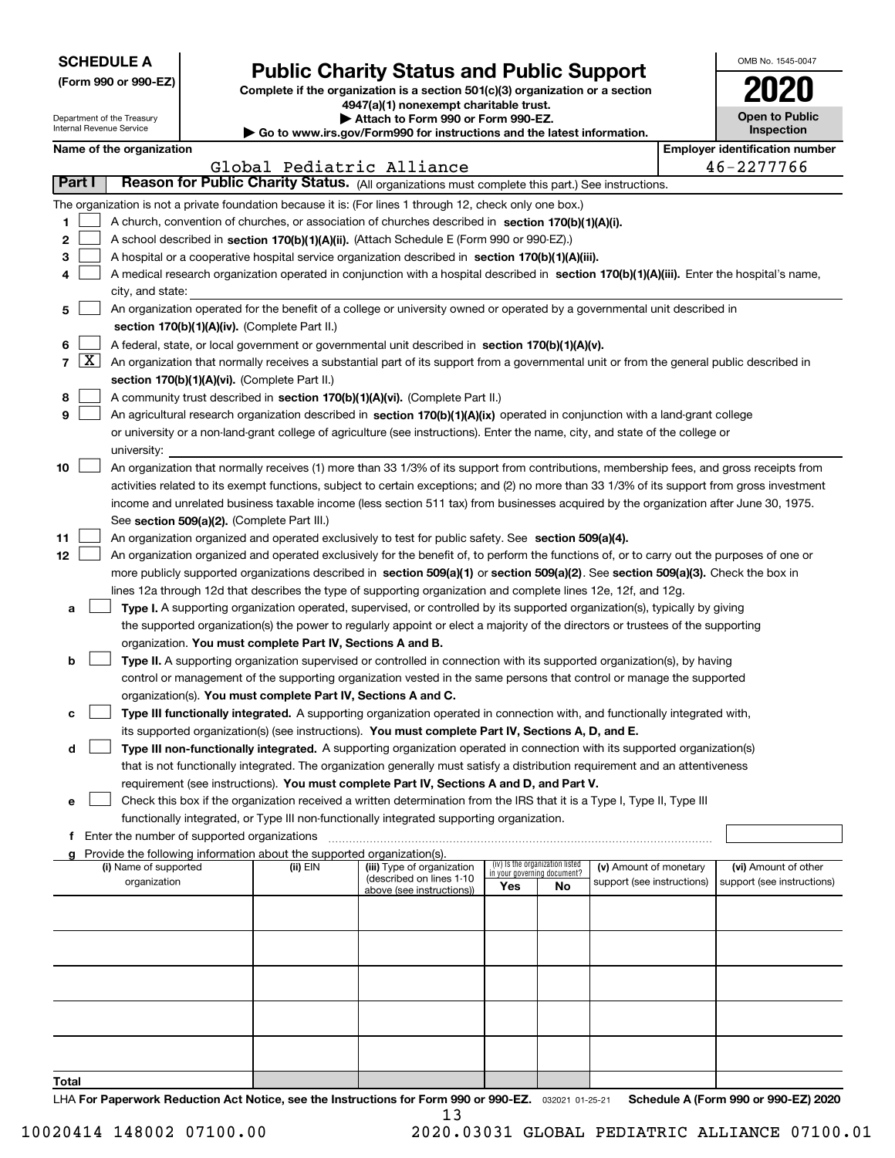| <b>SCHEDULE A</b> |  |
|-------------------|--|
|-------------------|--|

Department of the Treasury Internal Revenue Service

|  |  |  | (Form 990 or 990-EZ) |  |
|--|--|--|----------------------|--|
|--|--|--|----------------------|--|

# **Public Charity Status and Public Support**

**Complete if the organization is a section 501(c)(3) organization or a section 4947(a)(1) nonexempt charitable trust. | Attach to Form 990 or Form 990-EZ.** 

|  |  | Go to www.irs.gov/Form990 for instructions and the latest information. |
|--|--|------------------------------------------------------------------------|

| OMB No. 1545-0047                   |
|-------------------------------------|
| 2020                                |
| <b>Open to Public</b><br>Inspection |

|              |                     | Name of the organization                                                                                                                     |          |                            |                                 |    |                                                      | <b>Employer identification number</b>              |
|--------------|---------------------|----------------------------------------------------------------------------------------------------------------------------------------------|----------|----------------------------|---------------------------------|----|------------------------------------------------------|----------------------------------------------------|
|              |                     |                                                                                                                                              |          | Global Pediatric Alliance  |                                 |    |                                                      | 46-2277766                                         |
|              | Part I              | Reason for Public Charity Status. (All organizations must complete this part.) See instructions.                                             |          |                            |                                 |    |                                                      |                                                    |
|              |                     | The organization is not a private foundation because it is: (For lines 1 through 12, check only one box.)                                    |          |                            |                                 |    |                                                      |                                                    |
| 1.           |                     | A church, convention of churches, or association of churches described in section 170(b)(1)(A)(i).                                           |          |                            |                                 |    |                                                      |                                                    |
| 2            |                     | A school described in section 170(b)(1)(A)(ii). (Attach Schedule E (Form 990 or 990-EZ).)                                                    |          |                            |                                 |    |                                                      |                                                    |
| 3            |                     | A hospital or a cooperative hospital service organization described in section 170(b)(1)(A)(iii).                                            |          |                            |                                 |    |                                                      |                                                    |
|              |                     | A medical research organization operated in conjunction with a hospital described in section 170(b)(1)(A)(iii). Enter the hospital's name,   |          |                            |                                 |    |                                                      |                                                    |
|              |                     | city, and state:                                                                                                                             |          |                            |                                 |    |                                                      |                                                    |
| 5            |                     | An organization operated for the benefit of a college or university owned or operated by a governmental unit described in                    |          |                            |                                 |    |                                                      |                                                    |
|              |                     | section 170(b)(1)(A)(iv). (Complete Part II.)                                                                                                |          |                            |                                 |    |                                                      |                                                    |
| 6            |                     | A federal, state, or local government or governmental unit described in section 170(b)(1)(A)(v).                                             |          |                            |                                 |    |                                                      |                                                    |
| 7            | $\lfloor x \rfloor$ | An organization that normally receives a substantial part of its support from a governmental unit or from the general public described in    |          |                            |                                 |    |                                                      |                                                    |
|              |                     | section 170(b)(1)(A)(vi). (Complete Part II.)                                                                                                |          |                            |                                 |    |                                                      |                                                    |
| 8            |                     | A community trust described in section 170(b)(1)(A)(vi). (Complete Part II.)                                                                 |          |                            |                                 |    |                                                      |                                                    |
| 9            |                     | An agricultural research organization described in section 170(b)(1)(A)(ix) operated in conjunction with a land-grant college                |          |                            |                                 |    |                                                      |                                                    |
|              |                     | or university or a non-land-grant college of agriculture (see instructions). Enter the name, city, and state of the college or               |          |                            |                                 |    |                                                      |                                                    |
|              |                     |                                                                                                                                              |          |                            |                                 |    |                                                      |                                                    |
|              |                     | university:                                                                                                                                  |          |                            |                                 |    |                                                      |                                                    |
| 10           |                     | An organization that normally receives (1) more than 33 1/3% of its support from contributions, membership fees, and gross receipts from     |          |                            |                                 |    |                                                      |                                                    |
|              |                     | activities related to its exempt functions, subject to certain exceptions; and (2) no more than 33 1/3% of its support from gross investment |          |                            |                                 |    |                                                      |                                                    |
|              |                     | income and unrelated business taxable income (less section 511 tax) from businesses acquired by the organization after June 30, 1975.        |          |                            |                                 |    |                                                      |                                                    |
|              |                     | See section 509(a)(2). (Complete Part III.)                                                                                                  |          |                            |                                 |    |                                                      |                                                    |
| 11           |                     | An organization organized and operated exclusively to test for public safety. See section 509(a)(4).                                         |          |                            |                                 |    |                                                      |                                                    |
| 12           |                     | An organization organized and operated exclusively for the benefit of, to perform the functions of, or to carry out the purposes of one or   |          |                            |                                 |    |                                                      |                                                    |
|              |                     | more publicly supported organizations described in section 509(a)(1) or section 509(a)(2). See section 509(a)(3). Check the box in           |          |                            |                                 |    |                                                      |                                                    |
|              |                     | lines 12a through 12d that describes the type of supporting organization and complete lines 12e, 12f, and 12g.                               |          |                            |                                 |    |                                                      |                                                    |
| a            |                     | Type I. A supporting organization operated, supervised, or controlled by its supported organization(s), typically by giving                  |          |                            |                                 |    |                                                      |                                                    |
|              |                     | the supported organization(s) the power to regularly appoint or elect a majority of the directors or trustees of the supporting              |          |                            |                                 |    |                                                      |                                                    |
|              |                     | organization. You must complete Part IV, Sections A and B.                                                                                   |          |                            |                                 |    |                                                      |                                                    |
| b            |                     | Type II. A supporting organization supervised or controlled in connection with its supported organization(s), by having                      |          |                            |                                 |    |                                                      |                                                    |
|              |                     | control or management of the supporting organization vested in the same persons that control or manage the supported                         |          |                            |                                 |    |                                                      |                                                    |
|              |                     | organization(s). You must complete Part IV, Sections A and C.                                                                                |          |                            |                                 |    |                                                      |                                                    |
| c            |                     | Type III functionally integrated. A supporting organization operated in connection with, and functionally integrated with,                   |          |                            |                                 |    |                                                      |                                                    |
|              |                     | its supported organization(s) (see instructions). You must complete Part IV, Sections A, D, and E.                                           |          |                            |                                 |    |                                                      |                                                    |
| d            |                     | Type III non-functionally integrated. A supporting organization operated in connection with its supported organization(s)                    |          |                            |                                 |    |                                                      |                                                    |
|              |                     | that is not functionally integrated. The organization generally must satisfy a distribution requirement and an attentiveness                 |          |                            |                                 |    |                                                      |                                                    |
|              |                     | requirement (see instructions). You must complete Part IV, Sections A and D, and Part V.                                                     |          |                            |                                 |    |                                                      |                                                    |
|              |                     | Check this box if the organization received a written determination from the IRS that it is a Type I, Type II, Type III                      |          |                            |                                 |    |                                                      |                                                    |
|              |                     | functionally integrated, or Type III non-functionally integrated supporting organization.                                                    |          |                            |                                 |    |                                                      |                                                    |
|              |                     | f Enter the number of supported organizations                                                                                                |          |                            |                                 |    |                                                      |                                                    |
|              |                     | Provide the following information about the supported organization(s).<br>(i) Name of supported                                              |          | (iii) Type of organization | (iv) Is the organization listed |    |                                                      |                                                    |
|              |                     | organization                                                                                                                                 | (ii) EIN | (described on lines 1-10   | in your governing document?     |    | (v) Amount of monetary<br>support (see instructions) | (vi) Amount of other<br>support (see instructions) |
|              |                     |                                                                                                                                              |          | above (see instructions))  | Yes                             | No |                                                      |                                                    |
|              |                     |                                                                                                                                              |          |                            |                                 |    |                                                      |                                                    |
|              |                     |                                                                                                                                              |          |                            |                                 |    |                                                      |                                                    |
|              |                     |                                                                                                                                              |          |                            |                                 |    |                                                      |                                                    |
|              |                     |                                                                                                                                              |          |                            |                                 |    |                                                      |                                                    |
|              |                     |                                                                                                                                              |          |                            |                                 |    |                                                      |                                                    |
|              |                     |                                                                                                                                              |          |                            |                                 |    |                                                      |                                                    |
|              |                     |                                                                                                                                              |          |                            |                                 |    |                                                      |                                                    |
|              |                     |                                                                                                                                              |          |                            |                                 |    |                                                      |                                                    |
|              |                     |                                                                                                                                              |          |                            |                                 |    |                                                      |                                                    |
|              |                     |                                                                                                                                              |          |                            |                                 |    |                                                      |                                                    |
| <b>Total</b> |                     |                                                                                                                                              |          |                            |                                 |    |                                                      |                                                    |

LHA For Paperwork Reduction Act Notice, see the Instructions for Form 990 or 990-EZ. <sub>032021</sub> o1-25-21 Schedule A (Form 990 or 990-EZ) 2020 13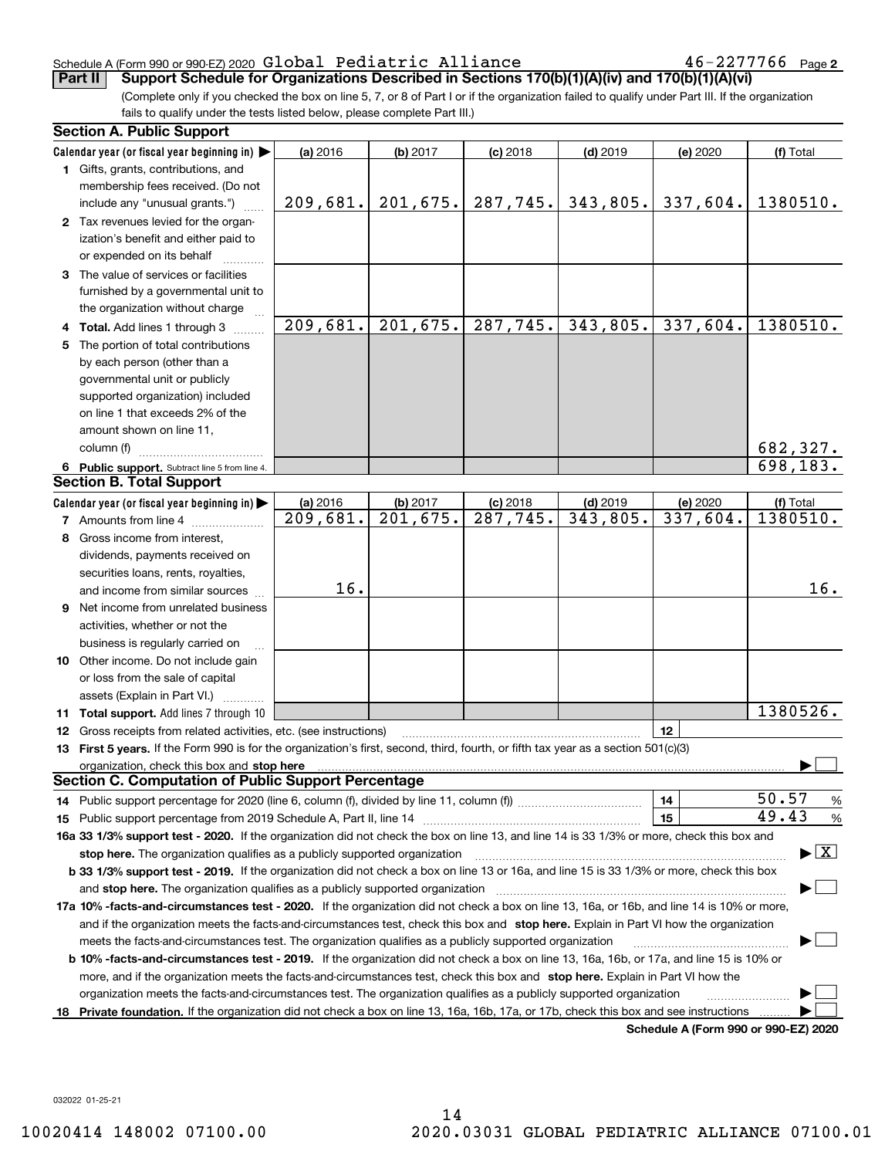$46 - 2277766$  Page 2

(Complete only if you checked the box on line 5, 7, or 8 of Part I or if the organization failed to qualify under Part III. If the organization fails to qualify under the tests listed below, please complete Part III.) **Part II Support Schedule for Organizations Described in Sections 170(b)(1)(A)(iv) and 170(b)(1)(A)(vi)**

| Calendar year (or fiscal year beginning in) $\blacktriangleright$<br>(a) 2016<br>(b) 2017<br>$(c)$ 2018<br>$(d)$ 2019<br>(e) 2020<br>(f) Total<br><b>1</b> Gifts, grants, contributions, and<br>membership fees received. (Do not<br>287,745.<br>343,805.<br>337,604.<br>209,681.<br>201,675.<br>1380510.<br>include any "unusual grants.")<br>2 Tax revenues levied for the organ-<br>ization's benefit and either paid to<br>or expended on its behalf<br>3 The value of services or facilities<br>furnished by a governmental unit to<br>the organization without charge<br>209,681.<br>201,675.<br>287,745.<br>343,805.<br>337,604.<br>1380510.<br>4 Total. Add lines 1 through 3<br>5 The portion of total contributions<br>by each person (other than a<br>governmental unit or publicly<br>supported organization) included<br>on line 1 that exceeds 2% of the<br>amount shown on line 11,<br>682, 327.<br>column (f)<br>698, 183.<br>6 Public support. Subtract line 5 from line 4.<br><b>Section B. Total Support</b><br>$(d)$ 2019<br>Calendar year (or fiscal year beginning in)<br>(a) 2016<br>(b) 2017<br>$(c)$ 2018<br>(e) 2020<br>(f) Total<br>$\overline{201,675}$ .<br>$\overline{287,745}$ .<br>343,805.<br>337,604.<br>1380510.<br>209,681.<br><b>7</b> Amounts from line 4<br>8 Gross income from interest,<br>dividends, payments received on<br>securities loans, rents, royalties,<br>16.<br>16.<br>and income from similar sources<br>9 Net income from unrelated business<br>activities, whether or not the<br>business is regularly carried on<br><b>10</b> Other income. Do not include gain<br>or loss from the sale of capital<br>assets (Explain in Part VI.)<br>1380526.<br>11 Total support. Add lines 7 through 10<br>12<br><b>12</b> Gross receipts from related activities, etc. (see instructions)<br>13 First 5 years. If the Form 990 is for the organization's first, second, third, fourth, or fifth tax year as a section 501(c)(3)<br>organization, check this box and stop here<br><b>Section C. Computation of Public Support Percentage</b><br>50.57<br>14<br>%<br>49.43<br>15<br>$\%$<br>16a 33 1/3% support test - 2020. If the organization did not check the box on line 13, and line 14 is 33 1/3% or more, check this box and<br>$\blacktriangleright$ $\boxed{\text{X}}$<br>stop here. The organization qualifies as a publicly supported organization<br>b 33 1/3% support test - 2019. If the organization did not check a box on line 13 or 16a, and line 15 is 33 1/3% or more, check this box<br>and stop here. The organization qualifies as a publicly supported organization<br>17a 10% -facts-and-circumstances test - 2020. If the organization did not check a box on line 13, 16a, or 16b, and line 14 is 10% or more,<br>and if the organization meets the facts-and-circumstances test, check this box and stop here. Explain in Part VI how the organization<br>meets the facts-and-circumstances test. The organization qualifies as a publicly supported organization<br><b>b 10% -facts-and-circumstances test - 2019.</b> If the organization did not check a box on line 13, 16a, 16b, or 17a, and line 15 is 10% or<br>more, and if the organization meets the facts-and-circumstances test, check this box and stop here. Explain in Part VI how the<br>organization meets the facts-and-circumstances test. The organization qualifies as a publicly supported organization<br>Private foundation. If the organization did not check a box on line 13, 16a, 16b, 17a, or 17b, check this box and see instructions<br>18 | <b>Section A. Public Support</b> |  |  |  |
|-----------------------------------------------------------------------------------------------------------------------------------------------------------------------------------------------------------------------------------------------------------------------------------------------------------------------------------------------------------------------------------------------------------------------------------------------------------------------------------------------------------------------------------------------------------------------------------------------------------------------------------------------------------------------------------------------------------------------------------------------------------------------------------------------------------------------------------------------------------------------------------------------------------------------------------------------------------------------------------------------------------------------------------------------------------------------------------------------------------------------------------------------------------------------------------------------------------------------------------------------------------------------------------------------------------------------------------------------------------------------------------------------------------------------------------------------------------------------------------------------------------------------------------------------------------------------------------------------------------------------------------------------------------------------------------------------------------------------------------------------------------------------------------------------------------------------------------------------------------------------------------------------------------------------------------------------------------------------------------------------------------------------------------------------------------------------------------------------------------------------------------------------------------------------------------------------------------------------------------------------------------------------------------------------------------------------------------------------------------------------------------------------------------------------------------------------------------------------------------------------------------------------------------------------------------------------------------------------------------------------------------------------------------------------------------------------------------------------------------------------------------------------------------------------------------------------------------------------------------------------------------------------------------------------------------------------------------------------------------------------------------------------------------------------------------------------------------------------------------------------------------------------------------------------------------------------------------------------------------------------------------------------------------------------------------------------------------------------------------------------------------------------------------------------------------------------------------------------------------------------------------------------------------------------------------------------------------------------------|----------------------------------|--|--|--|
|                                                                                                                                                                                                                                                                                                                                                                                                                                                                                                                                                                                                                                                                                                                                                                                                                                                                                                                                                                                                                                                                                                                                                                                                                                                                                                                                                                                                                                                                                                                                                                                                                                                                                                                                                                                                                                                                                                                                                                                                                                                                                                                                                                                                                                                                                                                                                                                                                                                                                                                                                                                                                                                                                                                                                                                                                                                                                                                                                                                                                                                                                                                                                                                                                                                                                                                                                                                                                                                                                                                                                                                                     |                                  |  |  |  |
|                                                                                                                                                                                                                                                                                                                                                                                                                                                                                                                                                                                                                                                                                                                                                                                                                                                                                                                                                                                                                                                                                                                                                                                                                                                                                                                                                                                                                                                                                                                                                                                                                                                                                                                                                                                                                                                                                                                                                                                                                                                                                                                                                                                                                                                                                                                                                                                                                                                                                                                                                                                                                                                                                                                                                                                                                                                                                                                                                                                                                                                                                                                                                                                                                                                                                                                                                                                                                                                                                                                                                                                                     |                                  |  |  |  |
|                                                                                                                                                                                                                                                                                                                                                                                                                                                                                                                                                                                                                                                                                                                                                                                                                                                                                                                                                                                                                                                                                                                                                                                                                                                                                                                                                                                                                                                                                                                                                                                                                                                                                                                                                                                                                                                                                                                                                                                                                                                                                                                                                                                                                                                                                                                                                                                                                                                                                                                                                                                                                                                                                                                                                                                                                                                                                                                                                                                                                                                                                                                                                                                                                                                                                                                                                                                                                                                                                                                                                                                                     |                                  |  |  |  |
|                                                                                                                                                                                                                                                                                                                                                                                                                                                                                                                                                                                                                                                                                                                                                                                                                                                                                                                                                                                                                                                                                                                                                                                                                                                                                                                                                                                                                                                                                                                                                                                                                                                                                                                                                                                                                                                                                                                                                                                                                                                                                                                                                                                                                                                                                                                                                                                                                                                                                                                                                                                                                                                                                                                                                                                                                                                                                                                                                                                                                                                                                                                                                                                                                                                                                                                                                                                                                                                                                                                                                                                                     |                                  |  |  |  |
|                                                                                                                                                                                                                                                                                                                                                                                                                                                                                                                                                                                                                                                                                                                                                                                                                                                                                                                                                                                                                                                                                                                                                                                                                                                                                                                                                                                                                                                                                                                                                                                                                                                                                                                                                                                                                                                                                                                                                                                                                                                                                                                                                                                                                                                                                                                                                                                                                                                                                                                                                                                                                                                                                                                                                                                                                                                                                                                                                                                                                                                                                                                                                                                                                                                                                                                                                                                                                                                                                                                                                                                                     |                                  |  |  |  |
|                                                                                                                                                                                                                                                                                                                                                                                                                                                                                                                                                                                                                                                                                                                                                                                                                                                                                                                                                                                                                                                                                                                                                                                                                                                                                                                                                                                                                                                                                                                                                                                                                                                                                                                                                                                                                                                                                                                                                                                                                                                                                                                                                                                                                                                                                                                                                                                                                                                                                                                                                                                                                                                                                                                                                                                                                                                                                                                                                                                                                                                                                                                                                                                                                                                                                                                                                                                                                                                                                                                                                                                                     |                                  |  |  |  |
|                                                                                                                                                                                                                                                                                                                                                                                                                                                                                                                                                                                                                                                                                                                                                                                                                                                                                                                                                                                                                                                                                                                                                                                                                                                                                                                                                                                                                                                                                                                                                                                                                                                                                                                                                                                                                                                                                                                                                                                                                                                                                                                                                                                                                                                                                                                                                                                                                                                                                                                                                                                                                                                                                                                                                                                                                                                                                                                                                                                                                                                                                                                                                                                                                                                                                                                                                                                                                                                                                                                                                                                                     |                                  |  |  |  |
|                                                                                                                                                                                                                                                                                                                                                                                                                                                                                                                                                                                                                                                                                                                                                                                                                                                                                                                                                                                                                                                                                                                                                                                                                                                                                                                                                                                                                                                                                                                                                                                                                                                                                                                                                                                                                                                                                                                                                                                                                                                                                                                                                                                                                                                                                                                                                                                                                                                                                                                                                                                                                                                                                                                                                                                                                                                                                                                                                                                                                                                                                                                                                                                                                                                                                                                                                                                                                                                                                                                                                                                                     |                                  |  |  |  |
|                                                                                                                                                                                                                                                                                                                                                                                                                                                                                                                                                                                                                                                                                                                                                                                                                                                                                                                                                                                                                                                                                                                                                                                                                                                                                                                                                                                                                                                                                                                                                                                                                                                                                                                                                                                                                                                                                                                                                                                                                                                                                                                                                                                                                                                                                                                                                                                                                                                                                                                                                                                                                                                                                                                                                                                                                                                                                                                                                                                                                                                                                                                                                                                                                                                                                                                                                                                                                                                                                                                                                                                                     |                                  |  |  |  |
|                                                                                                                                                                                                                                                                                                                                                                                                                                                                                                                                                                                                                                                                                                                                                                                                                                                                                                                                                                                                                                                                                                                                                                                                                                                                                                                                                                                                                                                                                                                                                                                                                                                                                                                                                                                                                                                                                                                                                                                                                                                                                                                                                                                                                                                                                                                                                                                                                                                                                                                                                                                                                                                                                                                                                                                                                                                                                                                                                                                                                                                                                                                                                                                                                                                                                                                                                                                                                                                                                                                                                                                                     |                                  |  |  |  |
|                                                                                                                                                                                                                                                                                                                                                                                                                                                                                                                                                                                                                                                                                                                                                                                                                                                                                                                                                                                                                                                                                                                                                                                                                                                                                                                                                                                                                                                                                                                                                                                                                                                                                                                                                                                                                                                                                                                                                                                                                                                                                                                                                                                                                                                                                                                                                                                                                                                                                                                                                                                                                                                                                                                                                                                                                                                                                                                                                                                                                                                                                                                                                                                                                                                                                                                                                                                                                                                                                                                                                                                                     |                                  |  |  |  |
|                                                                                                                                                                                                                                                                                                                                                                                                                                                                                                                                                                                                                                                                                                                                                                                                                                                                                                                                                                                                                                                                                                                                                                                                                                                                                                                                                                                                                                                                                                                                                                                                                                                                                                                                                                                                                                                                                                                                                                                                                                                                                                                                                                                                                                                                                                                                                                                                                                                                                                                                                                                                                                                                                                                                                                                                                                                                                                                                                                                                                                                                                                                                                                                                                                                                                                                                                                                                                                                                                                                                                                                                     |                                  |  |  |  |
|                                                                                                                                                                                                                                                                                                                                                                                                                                                                                                                                                                                                                                                                                                                                                                                                                                                                                                                                                                                                                                                                                                                                                                                                                                                                                                                                                                                                                                                                                                                                                                                                                                                                                                                                                                                                                                                                                                                                                                                                                                                                                                                                                                                                                                                                                                                                                                                                                                                                                                                                                                                                                                                                                                                                                                                                                                                                                                                                                                                                                                                                                                                                                                                                                                                                                                                                                                                                                                                                                                                                                                                                     |                                  |  |  |  |
|                                                                                                                                                                                                                                                                                                                                                                                                                                                                                                                                                                                                                                                                                                                                                                                                                                                                                                                                                                                                                                                                                                                                                                                                                                                                                                                                                                                                                                                                                                                                                                                                                                                                                                                                                                                                                                                                                                                                                                                                                                                                                                                                                                                                                                                                                                                                                                                                                                                                                                                                                                                                                                                                                                                                                                                                                                                                                                                                                                                                                                                                                                                                                                                                                                                                                                                                                                                                                                                                                                                                                                                                     |                                  |  |  |  |
|                                                                                                                                                                                                                                                                                                                                                                                                                                                                                                                                                                                                                                                                                                                                                                                                                                                                                                                                                                                                                                                                                                                                                                                                                                                                                                                                                                                                                                                                                                                                                                                                                                                                                                                                                                                                                                                                                                                                                                                                                                                                                                                                                                                                                                                                                                                                                                                                                                                                                                                                                                                                                                                                                                                                                                                                                                                                                                                                                                                                                                                                                                                                                                                                                                                                                                                                                                                                                                                                                                                                                                                                     |                                  |  |  |  |
|                                                                                                                                                                                                                                                                                                                                                                                                                                                                                                                                                                                                                                                                                                                                                                                                                                                                                                                                                                                                                                                                                                                                                                                                                                                                                                                                                                                                                                                                                                                                                                                                                                                                                                                                                                                                                                                                                                                                                                                                                                                                                                                                                                                                                                                                                                                                                                                                                                                                                                                                                                                                                                                                                                                                                                                                                                                                                                                                                                                                                                                                                                                                                                                                                                                                                                                                                                                                                                                                                                                                                                                                     |                                  |  |  |  |
|                                                                                                                                                                                                                                                                                                                                                                                                                                                                                                                                                                                                                                                                                                                                                                                                                                                                                                                                                                                                                                                                                                                                                                                                                                                                                                                                                                                                                                                                                                                                                                                                                                                                                                                                                                                                                                                                                                                                                                                                                                                                                                                                                                                                                                                                                                                                                                                                                                                                                                                                                                                                                                                                                                                                                                                                                                                                                                                                                                                                                                                                                                                                                                                                                                                                                                                                                                                                                                                                                                                                                                                                     |                                  |  |  |  |
|                                                                                                                                                                                                                                                                                                                                                                                                                                                                                                                                                                                                                                                                                                                                                                                                                                                                                                                                                                                                                                                                                                                                                                                                                                                                                                                                                                                                                                                                                                                                                                                                                                                                                                                                                                                                                                                                                                                                                                                                                                                                                                                                                                                                                                                                                                                                                                                                                                                                                                                                                                                                                                                                                                                                                                                                                                                                                                                                                                                                                                                                                                                                                                                                                                                                                                                                                                                                                                                                                                                                                                                                     |                                  |  |  |  |
|                                                                                                                                                                                                                                                                                                                                                                                                                                                                                                                                                                                                                                                                                                                                                                                                                                                                                                                                                                                                                                                                                                                                                                                                                                                                                                                                                                                                                                                                                                                                                                                                                                                                                                                                                                                                                                                                                                                                                                                                                                                                                                                                                                                                                                                                                                                                                                                                                                                                                                                                                                                                                                                                                                                                                                                                                                                                                                                                                                                                                                                                                                                                                                                                                                                                                                                                                                                                                                                                                                                                                                                                     |                                  |  |  |  |
|                                                                                                                                                                                                                                                                                                                                                                                                                                                                                                                                                                                                                                                                                                                                                                                                                                                                                                                                                                                                                                                                                                                                                                                                                                                                                                                                                                                                                                                                                                                                                                                                                                                                                                                                                                                                                                                                                                                                                                                                                                                                                                                                                                                                                                                                                                                                                                                                                                                                                                                                                                                                                                                                                                                                                                                                                                                                                                                                                                                                                                                                                                                                                                                                                                                                                                                                                                                                                                                                                                                                                                                                     |                                  |  |  |  |
|                                                                                                                                                                                                                                                                                                                                                                                                                                                                                                                                                                                                                                                                                                                                                                                                                                                                                                                                                                                                                                                                                                                                                                                                                                                                                                                                                                                                                                                                                                                                                                                                                                                                                                                                                                                                                                                                                                                                                                                                                                                                                                                                                                                                                                                                                                                                                                                                                                                                                                                                                                                                                                                                                                                                                                                                                                                                                                                                                                                                                                                                                                                                                                                                                                                                                                                                                                                                                                                                                                                                                                                                     |                                  |  |  |  |
|                                                                                                                                                                                                                                                                                                                                                                                                                                                                                                                                                                                                                                                                                                                                                                                                                                                                                                                                                                                                                                                                                                                                                                                                                                                                                                                                                                                                                                                                                                                                                                                                                                                                                                                                                                                                                                                                                                                                                                                                                                                                                                                                                                                                                                                                                                                                                                                                                                                                                                                                                                                                                                                                                                                                                                                                                                                                                                                                                                                                                                                                                                                                                                                                                                                                                                                                                                                                                                                                                                                                                                                                     |                                  |  |  |  |
|                                                                                                                                                                                                                                                                                                                                                                                                                                                                                                                                                                                                                                                                                                                                                                                                                                                                                                                                                                                                                                                                                                                                                                                                                                                                                                                                                                                                                                                                                                                                                                                                                                                                                                                                                                                                                                                                                                                                                                                                                                                                                                                                                                                                                                                                                                                                                                                                                                                                                                                                                                                                                                                                                                                                                                                                                                                                                                                                                                                                                                                                                                                                                                                                                                                                                                                                                                                                                                                                                                                                                                                                     |                                  |  |  |  |
|                                                                                                                                                                                                                                                                                                                                                                                                                                                                                                                                                                                                                                                                                                                                                                                                                                                                                                                                                                                                                                                                                                                                                                                                                                                                                                                                                                                                                                                                                                                                                                                                                                                                                                                                                                                                                                                                                                                                                                                                                                                                                                                                                                                                                                                                                                                                                                                                                                                                                                                                                                                                                                                                                                                                                                                                                                                                                                                                                                                                                                                                                                                                                                                                                                                                                                                                                                                                                                                                                                                                                                                                     |                                  |  |  |  |
|                                                                                                                                                                                                                                                                                                                                                                                                                                                                                                                                                                                                                                                                                                                                                                                                                                                                                                                                                                                                                                                                                                                                                                                                                                                                                                                                                                                                                                                                                                                                                                                                                                                                                                                                                                                                                                                                                                                                                                                                                                                                                                                                                                                                                                                                                                                                                                                                                                                                                                                                                                                                                                                                                                                                                                                                                                                                                                                                                                                                                                                                                                                                                                                                                                                                                                                                                                                                                                                                                                                                                                                                     |                                  |  |  |  |
|                                                                                                                                                                                                                                                                                                                                                                                                                                                                                                                                                                                                                                                                                                                                                                                                                                                                                                                                                                                                                                                                                                                                                                                                                                                                                                                                                                                                                                                                                                                                                                                                                                                                                                                                                                                                                                                                                                                                                                                                                                                                                                                                                                                                                                                                                                                                                                                                                                                                                                                                                                                                                                                                                                                                                                                                                                                                                                                                                                                                                                                                                                                                                                                                                                                                                                                                                                                                                                                                                                                                                                                                     |                                  |  |  |  |
|                                                                                                                                                                                                                                                                                                                                                                                                                                                                                                                                                                                                                                                                                                                                                                                                                                                                                                                                                                                                                                                                                                                                                                                                                                                                                                                                                                                                                                                                                                                                                                                                                                                                                                                                                                                                                                                                                                                                                                                                                                                                                                                                                                                                                                                                                                                                                                                                                                                                                                                                                                                                                                                                                                                                                                                                                                                                                                                                                                                                                                                                                                                                                                                                                                                                                                                                                                                                                                                                                                                                                                                                     |                                  |  |  |  |
|                                                                                                                                                                                                                                                                                                                                                                                                                                                                                                                                                                                                                                                                                                                                                                                                                                                                                                                                                                                                                                                                                                                                                                                                                                                                                                                                                                                                                                                                                                                                                                                                                                                                                                                                                                                                                                                                                                                                                                                                                                                                                                                                                                                                                                                                                                                                                                                                                                                                                                                                                                                                                                                                                                                                                                                                                                                                                                                                                                                                                                                                                                                                                                                                                                                                                                                                                                                                                                                                                                                                                                                                     |                                  |  |  |  |
|                                                                                                                                                                                                                                                                                                                                                                                                                                                                                                                                                                                                                                                                                                                                                                                                                                                                                                                                                                                                                                                                                                                                                                                                                                                                                                                                                                                                                                                                                                                                                                                                                                                                                                                                                                                                                                                                                                                                                                                                                                                                                                                                                                                                                                                                                                                                                                                                                                                                                                                                                                                                                                                                                                                                                                                                                                                                                                                                                                                                                                                                                                                                                                                                                                                                                                                                                                                                                                                                                                                                                                                                     |                                  |  |  |  |
|                                                                                                                                                                                                                                                                                                                                                                                                                                                                                                                                                                                                                                                                                                                                                                                                                                                                                                                                                                                                                                                                                                                                                                                                                                                                                                                                                                                                                                                                                                                                                                                                                                                                                                                                                                                                                                                                                                                                                                                                                                                                                                                                                                                                                                                                                                                                                                                                                                                                                                                                                                                                                                                                                                                                                                                                                                                                                                                                                                                                                                                                                                                                                                                                                                                                                                                                                                                                                                                                                                                                                                                                     |                                  |  |  |  |
|                                                                                                                                                                                                                                                                                                                                                                                                                                                                                                                                                                                                                                                                                                                                                                                                                                                                                                                                                                                                                                                                                                                                                                                                                                                                                                                                                                                                                                                                                                                                                                                                                                                                                                                                                                                                                                                                                                                                                                                                                                                                                                                                                                                                                                                                                                                                                                                                                                                                                                                                                                                                                                                                                                                                                                                                                                                                                                                                                                                                                                                                                                                                                                                                                                                                                                                                                                                                                                                                                                                                                                                                     |                                  |  |  |  |
|                                                                                                                                                                                                                                                                                                                                                                                                                                                                                                                                                                                                                                                                                                                                                                                                                                                                                                                                                                                                                                                                                                                                                                                                                                                                                                                                                                                                                                                                                                                                                                                                                                                                                                                                                                                                                                                                                                                                                                                                                                                                                                                                                                                                                                                                                                                                                                                                                                                                                                                                                                                                                                                                                                                                                                                                                                                                                                                                                                                                                                                                                                                                                                                                                                                                                                                                                                                                                                                                                                                                                                                                     |                                  |  |  |  |
|                                                                                                                                                                                                                                                                                                                                                                                                                                                                                                                                                                                                                                                                                                                                                                                                                                                                                                                                                                                                                                                                                                                                                                                                                                                                                                                                                                                                                                                                                                                                                                                                                                                                                                                                                                                                                                                                                                                                                                                                                                                                                                                                                                                                                                                                                                                                                                                                                                                                                                                                                                                                                                                                                                                                                                                                                                                                                                                                                                                                                                                                                                                                                                                                                                                                                                                                                                                                                                                                                                                                                                                                     |                                  |  |  |  |
|                                                                                                                                                                                                                                                                                                                                                                                                                                                                                                                                                                                                                                                                                                                                                                                                                                                                                                                                                                                                                                                                                                                                                                                                                                                                                                                                                                                                                                                                                                                                                                                                                                                                                                                                                                                                                                                                                                                                                                                                                                                                                                                                                                                                                                                                                                                                                                                                                                                                                                                                                                                                                                                                                                                                                                                                                                                                                                                                                                                                                                                                                                                                                                                                                                                                                                                                                                                                                                                                                                                                                                                                     |                                  |  |  |  |
|                                                                                                                                                                                                                                                                                                                                                                                                                                                                                                                                                                                                                                                                                                                                                                                                                                                                                                                                                                                                                                                                                                                                                                                                                                                                                                                                                                                                                                                                                                                                                                                                                                                                                                                                                                                                                                                                                                                                                                                                                                                                                                                                                                                                                                                                                                                                                                                                                                                                                                                                                                                                                                                                                                                                                                                                                                                                                                                                                                                                                                                                                                                                                                                                                                                                                                                                                                                                                                                                                                                                                                                                     |                                  |  |  |  |
|                                                                                                                                                                                                                                                                                                                                                                                                                                                                                                                                                                                                                                                                                                                                                                                                                                                                                                                                                                                                                                                                                                                                                                                                                                                                                                                                                                                                                                                                                                                                                                                                                                                                                                                                                                                                                                                                                                                                                                                                                                                                                                                                                                                                                                                                                                                                                                                                                                                                                                                                                                                                                                                                                                                                                                                                                                                                                                                                                                                                                                                                                                                                                                                                                                                                                                                                                                                                                                                                                                                                                                                                     |                                  |  |  |  |
|                                                                                                                                                                                                                                                                                                                                                                                                                                                                                                                                                                                                                                                                                                                                                                                                                                                                                                                                                                                                                                                                                                                                                                                                                                                                                                                                                                                                                                                                                                                                                                                                                                                                                                                                                                                                                                                                                                                                                                                                                                                                                                                                                                                                                                                                                                                                                                                                                                                                                                                                                                                                                                                                                                                                                                                                                                                                                                                                                                                                                                                                                                                                                                                                                                                                                                                                                                                                                                                                                                                                                                                                     |                                  |  |  |  |
|                                                                                                                                                                                                                                                                                                                                                                                                                                                                                                                                                                                                                                                                                                                                                                                                                                                                                                                                                                                                                                                                                                                                                                                                                                                                                                                                                                                                                                                                                                                                                                                                                                                                                                                                                                                                                                                                                                                                                                                                                                                                                                                                                                                                                                                                                                                                                                                                                                                                                                                                                                                                                                                                                                                                                                                                                                                                                                                                                                                                                                                                                                                                                                                                                                                                                                                                                                                                                                                                                                                                                                                                     |                                  |  |  |  |
|                                                                                                                                                                                                                                                                                                                                                                                                                                                                                                                                                                                                                                                                                                                                                                                                                                                                                                                                                                                                                                                                                                                                                                                                                                                                                                                                                                                                                                                                                                                                                                                                                                                                                                                                                                                                                                                                                                                                                                                                                                                                                                                                                                                                                                                                                                                                                                                                                                                                                                                                                                                                                                                                                                                                                                                                                                                                                                                                                                                                                                                                                                                                                                                                                                                                                                                                                                                                                                                                                                                                                                                                     |                                  |  |  |  |
|                                                                                                                                                                                                                                                                                                                                                                                                                                                                                                                                                                                                                                                                                                                                                                                                                                                                                                                                                                                                                                                                                                                                                                                                                                                                                                                                                                                                                                                                                                                                                                                                                                                                                                                                                                                                                                                                                                                                                                                                                                                                                                                                                                                                                                                                                                                                                                                                                                                                                                                                                                                                                                                                                                                                                                                                                                                                                                                                                                                                                                                                                                                                                                                                                                                                                                                                                                                                                                                                                                                                                                                                     |                                  |  |  |  |
|                                                                                                                                                                                                                                                                                                                                                                                                                                                                                                                                                                                                                                                                                                                                                                                                                                                                                                                                                                                                                                                                                                                                                                                                                                                                                                                                                                                                                                                                                                                                                                                                                                                                                                                                                                                                                                                                                                                                                                                                                                                                                                                                                                                                                                                                                                                                                                                                                                                                                                                                                                                                                                                                                                                                                                                                                                                                                                                                                                                                                                                                                                                                                                                                                                                                                                                                                                                                                                                                                                                                                                                                     |                                  |  |  |  |
|                                                                                                                                                                                                                                                                                                                                                                                                                                                                                                                                                                                                                                                                                                                                                                                                                                                                                                                                                                                                                                                                                                                                                                                                                                                                                                                                                                                                                                                                                                                                                                                                                                                                                                                                                                                                                                                                                                                                                                                                                                                                                                                                                                                                                                                                                                                                                                                                                                                                                                                                                                                                                                                                                                                                                                                                                                                                                                                                                                                                                                                                                                                                                                                                                                                                                                                                                                                                                                                                                                                                                                                                     |                                  |  |  |  |
|                                                                                                                                                                                                                                                                                                                                                                                                                                                                                                                                                                                                                                                                                                                                                                                                                                                                                                                                                                                                                                                                                                                                                                                                                                                                                                                                                                                                                                                                                                                                                                                                                                                                                                                                                                                                                                                                                                                                                                                                                                                                                                                                                                                                                                                                                                                                                                                                                                                                                                                                                                                                                                                                                                                                                                                                                                                                                                                                                                                                                                                                                                                                                                                                                                                                                                                                                                                                                                                                                                                                                                                                     |                                  |  |  |  |
|                                                                                                                                                                                                                                                                                                                                                                                                                                                                                                                                                                                                                                                                                                                                                                                                                                                                                                                                                                                                                                                                                                                                                                                                                                                                                                                                                                                                                                                                                                                                                                                                                                                                                                                                                                                                                                                                                                                                                                                                                                                                                                                                                                                                                                                                                                                                                                                                                                                                                                                                                                                                                                                                                                                                                                                                                                                                                                                                                                                                                                                                                                                                                                                                                                                                                                                                                                                                                                                                                                                                                                                                     |                                  |  |  |  |
|                                                                                                                                                                                                                                                                                                                                                                                                                                                                                                                                                                                                                                                                                                                                                                                                                                                                                                                                                                                                                                                                                                                                                                                                                                                                                                                                                                                                                                                                                                                                                                                                                                                                                                                                                                                                                                                                                                                                                                                                                                                                                                                                                                                                                                                                                                                                                                                                                                                                                                                                                                                                                                                                                                                                                                                                                                                                                                                                                                                                                                                                                                                                                                                                                                                                                                                                                                                                                                                                                                                                                                                                     |                                  |  |  |  |
|                                                                                                                                                                                                                                                                                                                                                                                                                                                                                                                                                                                                                                                                                                                                                                                                                                                                                                                                                                                                                                                                                                                                                                                                                                                                                                                                                                                                                                                                                                                                                                                                                                                                                                                                                                                                                                                                                                                                                                                                                                                                                                                                                                                                                                                                                                                                                                                                                                                                                                                                                                                                                                                                                                                                                                                                                                                                                                                                                                                                                                                                                                                                                                                                                                                                                                                                                                                                                                                                                                                                                                                                     |                                  |  |  |  |
|                                                                                                                                                                                                                                                                                                                                                                                                                                                                                                                                                                                                                                                                                                                                                                                                                                                                                                                                                                                                                                                                                                                                                                                                                                                                                                                                                                                                                                                                                                                                                                                                                                                                                                                                                                                                                                                                                                                                                                                                                                                                                                                                                                                                                                                                                                                                                                                                                                                                                                                                                                                                                                                                                                                                                                                                                                                                                                                                                                                                                                                                                                                                                                                                                                                                                                                                                                                                                                                                                                                                                                                                     |                                  |  |  |  |
|                                                                                                                                                                                                                                                                                                                                                                                                                                                                                                                                                                                                                                                                                                                                                                                                                                                                                                                                                                                                                                                                                                                                                                                                                                                                                                                                                                                                                                                                                                                                                                                                                                                                                                                                                                                                                                                                                                                                                                                                                                                                                                                                                                                                                                                                                                                                                                                                                                                                                                                                                                                                                                                                                                                                                                                                                                                                                                                                                                                                                                                                                                                                                                                                                                                                                                                                                                                                                                                                                                                                                                                                     |                                  |  |  |  |
|                                                                                                                                                                                                                                                                                                                                                                                                                                                                                                                                                                                                                                                                                                                                                                                                                                                                                                                                                                                                                                                                                                                                                                                                                                                                                                                                                                                                                                                                                                                                                                                                                                                                                                                                                                                                                                                                                                                                                                                                                                                                                                                                                                                                                                                                                                                                                                                                                                                                                                                                                                                                                                                                                                                                                                                                                                                                                                                                                                                                                                                                                                                                                                                                                                                                                                                                                                                                                                                                                                                                                                                                     |                                  |  |  |  |
| Schedule A (Form 990 or 990-EZ) 2020                                                                                                                                                                                                                                                                                                                                                                                                                                                                                                                                                                                                                                                                                                                                                                                                                                                                                                                                                                                                                                                                                                                                                                                                                                                                                                                                                                                                                                                                                                                                                                                                                                                                                                                                                                                                                                                                                                                                                                                                                                                                                                                                                                                                                                                                                                                                                                                                                                                                                                                                                                                                                                                                                                                                                                                                                                                                                                                                                                                                                                                                                                                                                                                                                                                                                                                                                                                                                                                                                                                                                                |                                  |  |  |  |

**Schedule A (Form 990 or 990-EZ) 2020**

032022 01-25-21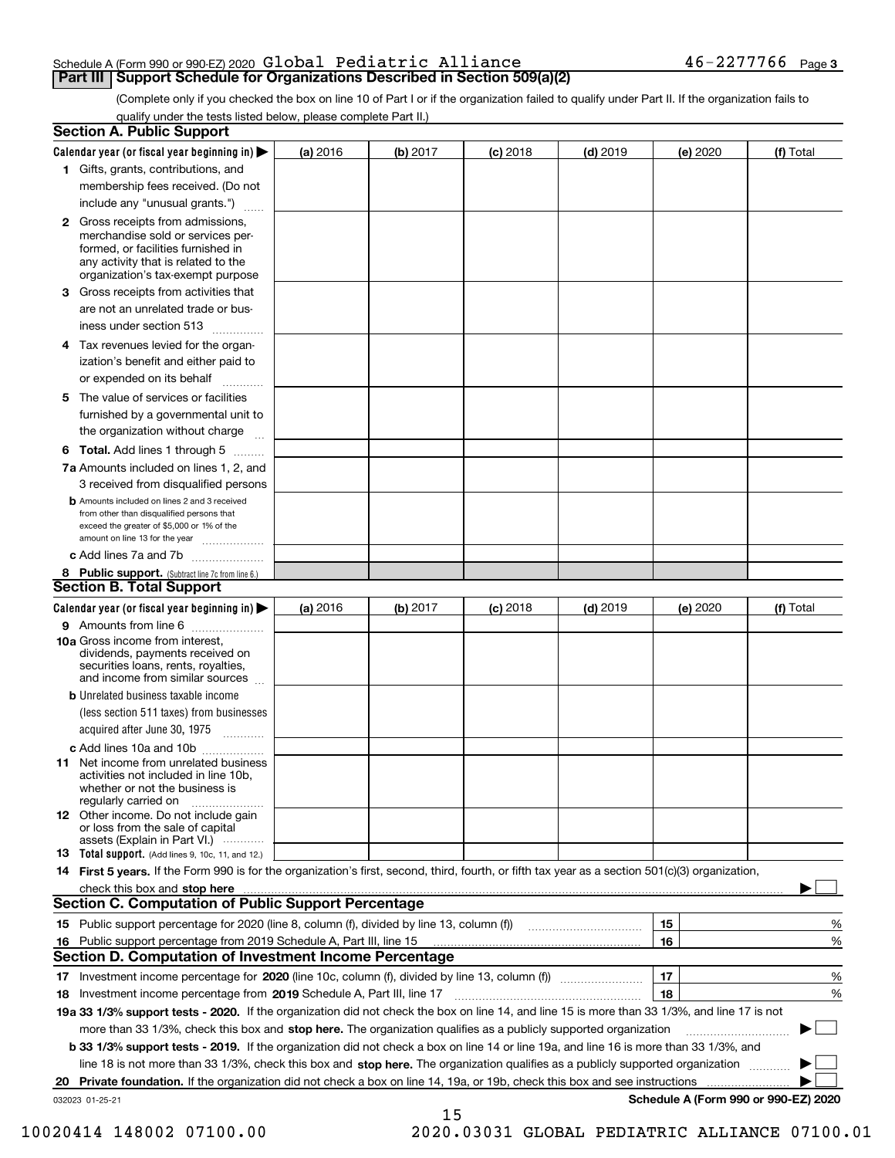(Complete only if you checked the box on line 10 of Part I or if the organization failed to qualify under Part II. If the organization fails to qualify under the tests listed below, please complete Part II.)

|    | <b>Section A. Public Support</b>                                                                                                                                                                                             |          |          |                 |            |          |                                      |
|----|------------------------------------------------------------------------------------------------------------------------------------------------------------------------------------------------------------------------------|----------|----------|-----------------|------------|----------|--------------------------------------|
|    | Calendar year (or fiscal year beginning in) $\blacktriangleright$                                                                                                                                                            | (a) 2016 | (b) 2017 | <b>(c)</b> 2018 | $(d)$ 2019 | (e) 2020 | (f) Total                            |
|    | 1 Gifts, grants, contributions, and                                                                                                                                                                                          |          |          |                 |            |          |                                      |
|    | membership fees received. (Do not                                                                                                                                                                                            |          |          |                 |            |          |                                      |
|    | include any "unusual grants.")                                                                                                                                                                                               |          |          |                 |            |          |                                      |
|    | <b>2</b> Gross receipts from admissions,<br>merchandise sold or services per-<br>formed, or facilities furnished in<br>any activity that is related to the<br>organization's tax-exempt purpose                              |          |          |                 |            |          |                                      |
|    | 3 Gross receipts from activities that<br>are not an unrelated trade or bus-                                                                                                                                                  |          |          |                 |            |          |                                      |
|    | iness under section 513                                                                                                                                                                                                      |          |          |                 |            |          |                                      |
|    | 4 Tax revenues levied for the organ-                                                                                                                                                                                         |          |          |                 |            |          |                                      |
|    | ization's benefit and either paid to<br>or expended on its behalf<br>.                                                                                                                                                       |          |          |                 |            |          |                                      |
|    | 5 The value of services or facilities<br>furnished by a governmental unit to                                                                                                                                                 |          |          |                 |            |          |                                      |
|    | the organization without charge                                                                                                                                                                                              |          |          |                 |            |          |                                      |
|    | <b>6 Total.</b> Add lines 1 through 5                                                                                                                                                                                        |          |          |                 |            |          |                                      |
|    | 7a Amounts included on lines 1, 2, and<br>3 received from disqualified persons                                                                                                                                               |          |          |                 |            |          |                                      |
|    | <b>b</b> Amounts included on lines 2 and 3 received<br>from other than disqualified persons that<br>exceed the greater of \$5,000 or 1% of the<br>amount on line 13 for the year                                             |          |          |                 |            |          |                                      |
|    | c Add lines 7a and 7b                                                                                                                                                                                                        |          |          |                 |            |          |                                      |
|    | 8 Public support. (Subtract line 7c from line 6.)<br><b>Section B. Total Support</b>                                                                                                                                         |          |          |                 |            |          |                                      |
|    | Calendar year (or fiscal year beginning in)                                                                                                                                                                                  | (a) 2016 | (b) 2017 | <b>(c)</b> 2018 | $(d)$ 2019 | (e) 2020 | (f) Total                            |
|    | 9 Amounts from line 6                                                                                                                                                                                                        |          |          |                 |            |          |                                      |
|    | <b>10a</b> Gross income from interest,<br>dividends, payments received on<br>securities loans, rents, royalties,<br>and income from similar sources                                                                          |          |          |                 |            |          |                                      |
|    | <b>b</b> Unrelated business taxable income<br>(less section 511 taxes) from businesses                                                                                                                                       |          |          |                 |            |          |                                      |
|    | acquired after June 30, 1975                                                                                                                                                                                                 |          |          |                 |            |          |                                      |
|    | c Add lines 10a and 10b                                                                                                                                                                                                      |          |          |                 |            |          |                                      |
|    | 11 Net income from unrelated business<br>activities not included in line 10b,<br>whether or not the business is<br>regularly carried on                                                                                      |          |          |                 |            |          |                                      |
|    | <b>12</b> Other income. Do not include gain<br>or loss from the sale of capital<br>assets (Explain in Part VI.)                                                                                                              |          |          |                 |            |          |                                      |
|    | 13 Total support. (Add lines 9, 10c, 11, and 12.)                                                                                                                                                                            |          |          |                 |            |          |                                      |
|    | 14 First 5 years. If the Form 990 is for the organization's first, second, third, fourth, or fifth tax year as a section 501(c)(3) organization,                                                                             |          |          |                 |            |          |                                      |
|    | check this box and stop here <b>contractly and stop here contractly and stop here contractly and stop here contractly and stop here contractly and stop here contractly and stop here contractly</b> and <b>contractly</b> a |          |          |                 |            |          |                                      |
|    | <b>Section C. Computation of Public Support Percentage</b>                                                                                                                                                                   |          |          |                 |            |          |                                      |
|    |                                                                                                                                                                                                                              |          |          |                 |            | 15       | %                                    |
|    | 16 Public support percentage from 2019 Schedule A, Part III, line 15                                                                                                                                                         |          |          |                 |            | 16       | $\%$                                 |
|    | <b>Section D. Computation of Investment Income Percentage</b>                                                                                                                                                                |          |          |                 |            |          |                                      |
| 17 | Investment income percentage for 2020 (line 10c, column (f), divided by line 13, column (f))                                                                                                                                 |          |          |                 |            | 17       | $\%$                                 |
| 18 | Investment income percentage from 2019 Schedule A, Part III, line 17                                                                                                                                                         |          |          |                 |            | 18       | %                                    |
|    | 19a 33 1/3% support tests - 2020. If the organization did not check the box on line 14, and line 15 is more than 33 1/3%, and line 17 is not                                                                                 |          |          |                 |            |          |                                      |
|    | more than 33 1/3%, check this box and stop here. The organization qualifies as a publicly supported organization                                                                                                             |          |          |                 |            |          | ▶                                    |
|    | b 33 1/3% support tests - 2019. If the organization did not check a box on line 14 or line 19a, and line 16 is more than 33 1/3%, and                                                                                        |          |          |                 |            |          |                                      |
|    | line 18 is not more than 33 1/3%, check this box and stop here. The organization qualifies as a publicly supported organization                                                                                              |          |          |                 |            |          |                                      |
| 20 | Private foundation. If the organization did not check a box on line 14, 19a, or 19b, check this box and see instructions                                                                                                     |          |          |                 |            |          |                                      |
|    | 032023 01-25-21                                                                                                                                                                                                              |          | 15       |                 |            |          | Schedule A (Form 990 or 990-EZ) 2020 |

10020414 148002 07100.00 2020.03031 GLOBAL PEDIATRIC ALLIANCE 07100.01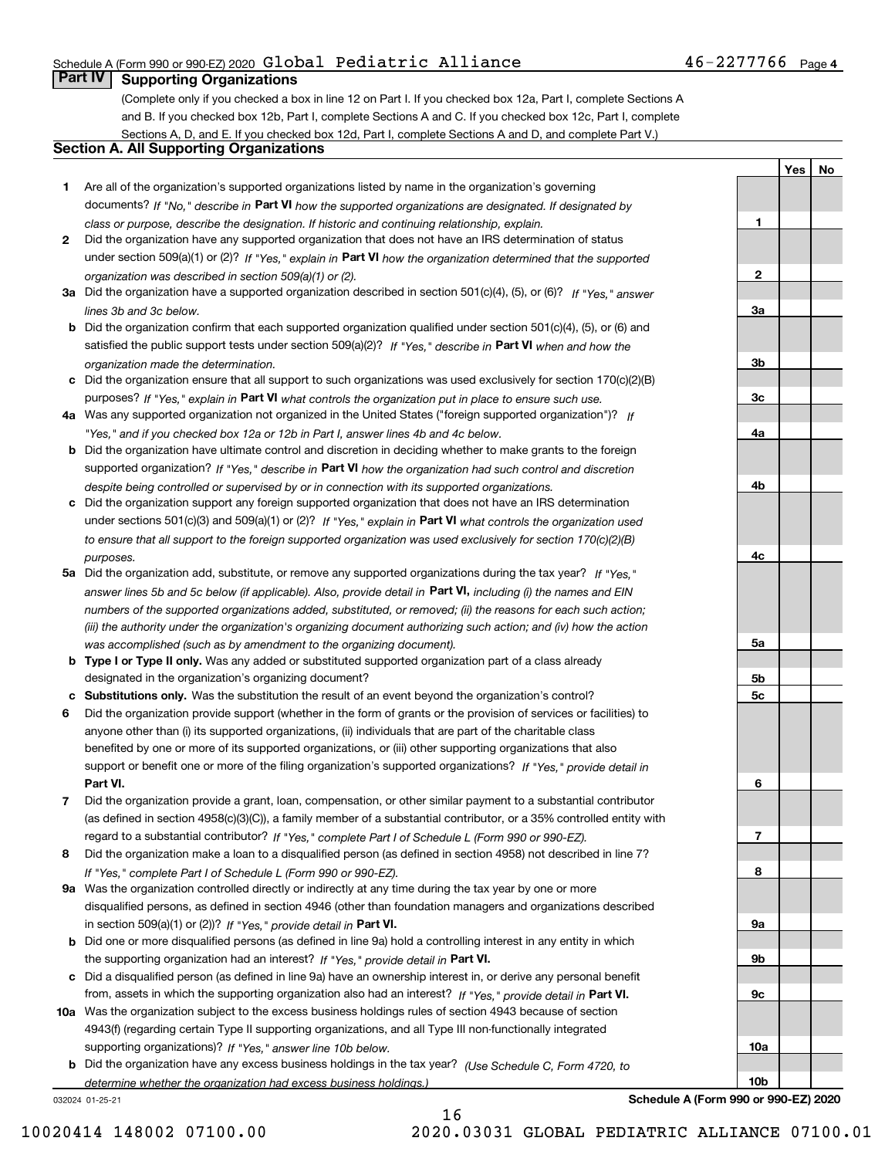## **Part IV Supporting Organizations**

(Complete only if you checked a box in line 12 on Part I. If you checked box 12a, Part I, complete Sections A and B. If you checked box 12b, Part I, complete Sections A and C. If you checked box 12c, Part I, complete Sections A, D, and E. If you checked box 12d, Part I, complete Sections A and D, and complete Part V.)

### **Section A. All Supporting Organizations**

- **1** Are all of the organization's supported organizations listed by name in the organization's governing documents? If "No," describe in **Part VI** how the supported organizations are designated. If designated by *class or purpose, describe the designation. If historic and continuing relationship, explain.*
- **2** Did the organization have any supported organization that does not have an IRS determination of status under section 509(a)(1) or (2)? If "Yes," explain in Part VI how the organization determined that the supported *organization was described in section 509(a)(1) or (2).*
- **3a** Did the organization have a supported organization described in section 501(c)(4), (5), or (6)? If "Yes," answer *lines 3b and 3c below.*
- **b** Did the organization confirm that each supported organization qualified under section 501(c)(4), (5), or (6) and satisfied the public support tests under section 509(a)(2)? If "Yes," describe in **Part VI** when and how the *organization made the determination.*
- **c**Did the organization ensure that all support to such organizations was used exclusively for section 170(c)(2)(B) purposes? If "Yes," explain in **Part VI** what controls the organization put in place to ensure such use.
- **4a***If* Was any supported organization not organized in the United States ("foreign supported organization")? *"Yes," and if you checked box 12a or 12b in Part I, answer lines 4b and 4c below.*
- **b** Did the organization have ultimate control and discretion in deciding whether to make grants to the foreign supported organization? If "Yes," describe in **Part VI** how the organization had such control and discretion *despite being controlled or supervised by or in connection with its supported organizations.*
- **c** Did the organization support any foreign supported organization that does not have an IRS determination under sections 501(c)(3) and 509(a)(1) or (2)? If "Yes," explain in **Part VI** what controls the organization used *to ensure that all support to the foreign supported organization was used exclusively for section 170(c)(2)(B) purposes.*
- **5a** Did the organization add, substitute, or remove any supported organizations during the tax year? If "Yes," answer lines 5b and 5c below (if applicable). Also, provide detail in **Part VI,** including (i) the names and EIN *numbers of the supported organizations added, substituted, or removed; (ii) the reasons for each such action; (iii) the authority under the organization's organizing document authorizing such action; and (iv) how the action was accomplished (such as by amendment to the organizing document).*
- **b** Type I or Type II only. Was any added or substituted supported organization part of a class already designated in the organization's organizing document?
- **cSubstitutions only.**  Was the substitution the result of an event beyond the organization's control?
- **6** Did the organization provide support (whether in the form of grants or the provision of services or facilities) to **Part VI.** *If "Yes," provide detail in* support or benefit one or more of the filing organization's supported organizations? anyone other than (i) its supported organizations, (ii) individuals that are part of the charitable class benefited by one or more of its supported organizations, or (iii) other supporting organizations that also
- **7**Did the organization provide a grant, loan, compensation, or other similar payment to a substantial contributor *If "Yes," complete Part I of Schedule L (Form 990 or 990-EZ).* regard to a substantial contributor? (as defined in section 4958(c)(3)(C)), a family member of a substantial contributor, or a 35% controlled entity with
- **8** Did the organization make a loan to a disqualified person (as defined in section 4958) not described in line 7? *If "Yes," complete Part I of Schedule L (Form 990 or 990-EZ).*
- **9a** Was the organization controlled directly or indirectly at any time during the tax year by one or more in section 509(a)(1) or (2))? If "Yes," *provide detail in* <code>Part VI.</code> disqualified persons, as defined in section 4946 (other than foundation managers and organizations described
- **b** Did one or more disqualified persons (as defined in line 9a) hold a controlling interest in any entity in which the supporting organization had an interest? If "Yes," provide detail in P**art VI**.
- **c**Did a disqualified person (as defined in line 9a) have an ownership interest in, or derive any personal benefit from, assets in which the supporting organization also had an interest? If "Yes," provide detail in P**art VI.**
- **10a** Was the organization subject to the excess business holdings rules of section 4943 because of section supporting organizations)? If "Yes," answer line 10b below. 4943(f) (regarding certain Type II supporting organizations, and all Type III non-functionally integrated
- **b** Did the organization have any excess business holdings in the tax year? (Use Schedule C, Form 4720, to *determine whether the organization had excess business holdings.)*

16

032024 01-25-21

**10bSchedule A (Form 990 or 990-EZ) 2020**

**1**

**2**

**3a**

**3b**

**3c**

**4a**

**4b**

**4c**

**5a**

**5b5c**

**6**

**7**

**8**

**9a**

**9b**

**9c**

**10a**

**YesNo**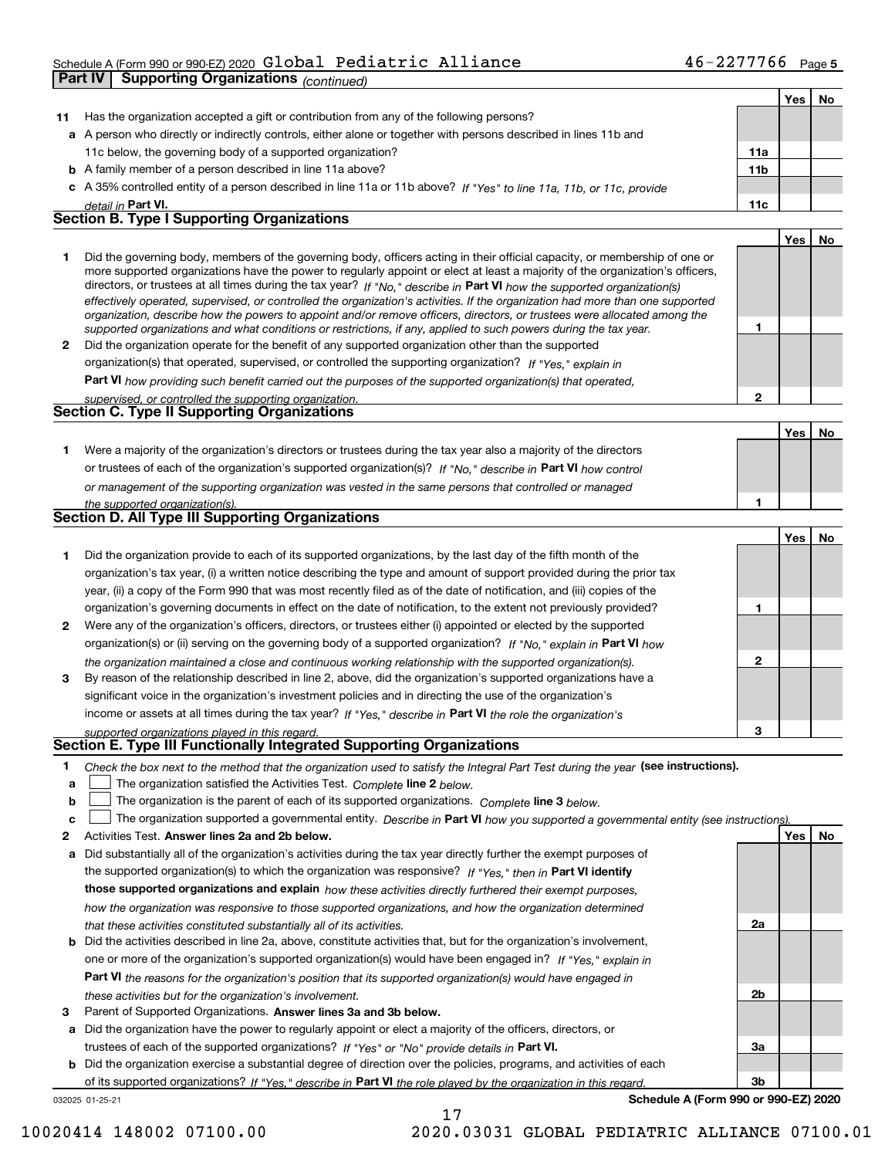|              | <b>Supporting Organizations (continued)</b><br>Part IV                                                                                                                                                                                                      |                 |     |    |
|--------------|-------------------------------------------------------------------------------------------------------------------------------------------------------------------------------------------------------------------------------------------------------------|-----------------|-----|----|
|              |                                                                                                                                                                                                                                                             |                 | Yes | No |
| 11           | Has the organization accepted a gift or contribution from any of the following persons?                                                                                                                                                                     |                 |     |    |
|              | a A person who directly or indirectly controls, either alone or together with persons described in lines 11b and                                                                                                                                            |                 |     |    |
|              | 11c below, the governing body of a supported organization?                                                                                                                                                                                                  | 11a             |     |    |
|              | <b>b</b> A family member of a person described in line 11a above?                                                                                                                                                                                           | 11 <sub>b</sub> |     |    |
|              | c A 35% controlled entity of a person described in line 11a or 11b above? If "Yes" to line 11a, 11b, or 11c, provide                                                                                                                                        |                 |     |    |
|              | detail in Part VI.                                                                                                                                                                                                                                          | 11c             |     |    |
|              | <b>Section B. Type I Supporting Organizations</b>                                                                                                                                                                                                           |                 |     |    |
|              |                                                                                                                                                                                                                                                             |                 | Yes | No |
| 1            | Did the governing body, members of the governing body, officers acting in their official capacity, or membership of one or<br>more supported organizations have the power to regularly appoint or elect at least a majority of the organization's officers, |                 |     |    |
|              | directors, or trustees at all times during the tax year? If "No," describe in Part VI how the supported organization(s)                                                                                                                                     |                 |     |    |
|              | effectively operated, supervised, or controlled the organization's activities. If the organization had more than one supported                                                                                                                              |                 |     |    |
|              | organization, describe how the powers to appoint and/or remove officers, directors, or trustees were allocated among the<br>supported organizations and what conditions or restrictions, if any, applied to such powers during the tax year.                | 1               |     |    |
| $\mathbf{2}$ | Did the organization operate for the benefit of any supported organization other than the supported                                                                                                                                                         |                 |     |    |
|              | organization(s) that operated, supervised, or controlled the supporting organization? If "Yes," explain in                                                                                                                                                  |                 |     |    |
|              | Part VI how providing such benefit carried out the purposes of the supported organization(s) that operated,                                                                                                                                                 |                 |     |    |
|              | supervised, or controlled the supporting organization.                                                                                                                                                                                                      | $\overline{2}$  |     |    |
|              | Section C. Type II Supporting Organizations                                                                                                                                                                                                                 |                 |     |    |
|              |                                                                                                                                                                                                                                                             |                 | Yes | No |
| 1.           | Were a majority of the organization's directors or trustees during the tax year also a majority of the directors                                                                                                                                            |                 |     |    |
|              | or trustees of each of the organization's supported organization(s)? If "No," describe in Part VI how control                                                                                                                                               |                 |     |    |
|              | or management of the supporting organization was vested in the same persons that controlled or managed                                                                                                                                                      |                 |     |    |
|              | the supported organization(s).                                                                                                                                                                                                                              | 1               |     |    |
|              | <b>Section D. All Type III Supporting Organizations</b>                                                                                                                                                                                                     |                 |     |    |
|              |                                                                                                                                                                                                                                                             |                 | Yes | No |
| 1            | Did the organization provide to each of its supported organizations, by the last day of the fifth month of the                                                                                                                                              |                 |     |    |
|              | organization's tax year, (i) a written notice describing the type and amount of support provided during the prior tax                                                                                                                                       |                 |     |    |
|              | year, (ii) a copy of the Form 990 that was most recently filed as of the date of notification, and (iii) copies of the                                                                                                                                      |                 |     |    |
|              | organization's governing documents in effect on the date of notification, to the extent not previously provided?                                                                                                                                            | 1               |     |    |
| 2            | Were any of the organization's officers, directors, or trustees either (i) appointed or elected by the supported                                                                                                                                            |                 |     |    |
|              | organization(s) or (ii) serving on the governing body of a supported organization? If "No." explain in Part VI how                                                                                                                                          |                 |     |    |
|              | the organization maintained a close and continuous working relationship with the supported organization(s).                                                                                                                                                 | $\mathbf{2}$    |     |    |
| 3            | By reason of the relationship described in line 2, above, did the organization's supported organizations have a                                                                                                                                             |                 |     |    |
|              | significant voice in the organization's investment policies and in directing the use of the organization's<br>income or assets at all times during the tax year? If "Yes," describe in Part VI the role the organization's                                  |                 |     |    |
|              | supported organizations played in this regard.                                                                                                                                                                                                              | 3               |     |    |
|              | Section E. Type III Functionally Integrated Supporting Organizations                                                                                                                                                                                        |                 |     |    |
| 1.           | Check the box next to the method that the organization used to satisfy the Integral Part Test during the year (see instructions).                                                                                                                           |                 |     |    |
| а            | The organization satisfied the Activities Test. Complete line 2 below.                                                                                                                                                                                      |                 |     |    |
| b            | The organization is the parent of each of its supported organizations. Complete line 3 below.                                                                                                                                                               |                 |     |    |
| c            | The organization supported a governmental entity. Describe in Part VI how you supported a governmental entity (see instructions)                                                                                                                            |                 |     |    |
| 2            | Activities Test. Answer lines 2a and 2b below.                                                                                                                                                                                                              |                 | Yes | No |
| а            | Did substantially all of the organization's activities during the tax year directly further the exempt purposes of                                                                                                                                          |                 |     |    |
|              | the supported organization(s) to which the organization was responsive? If "Yes," then in Part VI identify                                                                                                                                                  |                 |     |    |
|              | those supported organizations and explain how these activities directly furthered their exempt purposes,                                                                                                                                                    |                 |     |    |
|              | how the organization was responsive to those supported organizations, and how the organization determined                                                                                                                                                   |                 |     |    |
|              | that these activities constituted substantially all of its activities.                                                                                                                                                                                      | 2a              |     |    |
| b            | Did the activities described in line 2a, above, constitute activities that, but for the organization's involvement,                                                                                                                                         |                 |     |    |
|              | one or more of the organization's supported organization(s) would have been engaged in? If "Yes." explain in                                                                                                                                                |                 |     |    |

**Part VI**  *the reasons for the organization's position that its supported organization(s) would have engaged in these activities but for the organization's involvement.*

**3** Parent of Supported Organizations. Answer lines 3a and 3b below.

**a** Did the organization have the power to regularly appoint or elect a majority of the officers, directors, or trustees of each of the supported organizations? If "Yes" or "No" provide details in **Part VI.** 

**b** Did the organization exercise a substantial degree of direction over the policies, programs, and activities of each of its supported organizations? If "Yes," describe in Part VI the role played by the organization in this regard.

17

032025 01-25-21

**Schedule A (Form 990 or 990-EZ) 2020**

**2b**

**3a**

**3b**

10020414 148002 07100.00 2020.03031 GLOBAL PEDIATRIC ALLIANCE 07100.01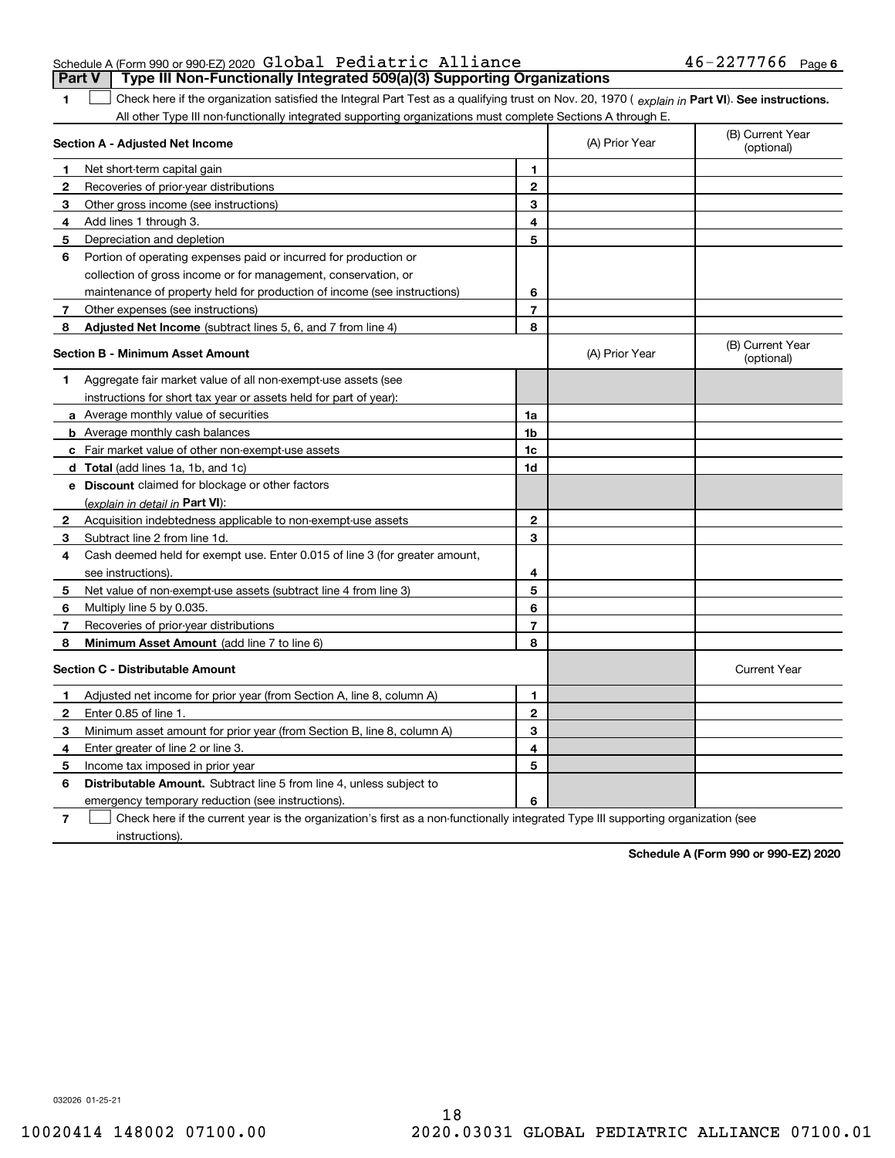| Schedule A (Form 990 or 990-EZ) 2020 Global Pediatric Alliance |  |                                                                                       | $46 - 2277766$ Page 6 |  |
|----------------------------------------------------------------|--|---------------------------------------------------------------------------------------|-----------------------|--|
|                                                                |  | <b>Part V</b> Type III Non-Functionally Integrated 509(a)(3) Supporting Organizations |                       |  |

1 Check here if the organization satisfied the Integral Part Test as a qualifying trust on Nov. 20, 1970 (explain in Part VI). See instructions. All other Type III non-functionally integrated supporting organizations must complete Sections A through E.

|                                         | Section A - Adjusted Net Income                                             |                | (A) Prior Year | (B) Current Year<br>(optional) |
|-----------------------------------------|-----------------------------------------------------------------------------|----------------|----------------|--------------------------------|
| 1.                                      | Net short-term capital gain                                                 | 1              |                |                                |
| $\mathbf{2}$                            | Recoveries of prior-year distributions                                      | $\overline{2}$ |                |                                |
| З                                       | Other gross income (see instructions)                                       | 3              |                |                                |
| 4                                       | Add lines 1 through 3.                                                      | 4              |                |                                |
| 5                                       | Depreciation and depletion                                                  | 5              |                |                                |
| 6                                       | Portion of operating expenses paid or incurred for production or            |                |                |                                |
|                                         | collection of gross income or for management, conservation, or              |                |                |                                |
|                                         | maintenance of property held for production of income (see instructions)    | 6              |                |                                |
| 7                                       | Other expenses (see instructions)                                           | $\overline{7}$ |                |                                |
| 8                                       | Adjusted Net Income (subtract lines 5, 6, and 7 from line 4)                | 8              |                |                                |
| <b>Section B - Minimum Asset Amount</b> |                                                                             |                | (A) Prior Year | (B) Current Year<br>(optional) |
| 1                                       | Aggregate fair market value of all non-exempt-use assets (see               |                |                |                                |
|                                         | instructions for short tax year or assets held for part of year):           |                |                |                                |
|                                         | <b>a</b> Average monthly value of securities                                | 1a             |                |                                |
|                                         | <b>b</b> Average monthly cash balances                                      | 1b             |                |                                |
|                                         | c Fair market value of other non-exempt-use assets                          | 1c             |                |                                |
|                                         | d Total (add lines 1a, 1b, and 1c)                                          | 1d             |                |                                |
|                                         | e Discount claimed for blockage or other factors                            |                |                |                                |
|                                         | (explain in detail in Part VI):                                             |                |                |                                |
| 2                                       | Acquisition indebtedness applicable to non-exempt-use assets                | $\mathbf{2}$   |                |                                |
| 3                                       | Subtract line 2 from line 1d.                                               | 3              |                |                                |
| 4                                       | Cash deemed held for exempt use. Enter 0.015 of line 3 (for greater amount, |                |                |                                |
|                                         | see instructions).                                                          | 4              |                |                                |
| 5                                       | Net value of non-exempt-use assets (subtract line 4 from line 3)            | 5              |                |                                |
| 6                                       | Multiply line 5 by 0.035.                                                   | 6              |                |                                |
| 7                                       | Recoveries of prior-year distributions                                      | $\overline{7}$ |                |                                |
| 8                                       | <b>Minimum Asset Amount</b> (add line 7 to line 6)                          | 8              |                |                                |
|                                         | <b>Section C - Distributable Amount</b>                                     |                |                | <b>Current Year</b>            |
| 1                                       | Adjusted net income for prior year (from Section A, line 8, column A)       | 1              |                |                                |
| $\mathbf{2}$                            | Enter 0.85 of line 1.                                                       | $\overline{2}$ |                |                                |
| 3                                       | Minimum asset amount for prior year (from Section B, line 8, column A)      | 3              |                |                                |
| 4                                       | Enter greater of line 2 or line 3.                                          | 4              |                |                                |
| 5                                       | Income tax imposed in prior year                                            | 5              |                |                                |
| 6                                       | <b>Distributable Amount.</b> Subtract line 5 from line 4, unless subject to |                |                |                                |
|                                         | emergency temporary reduction (see instructions).                           | 6              |                |                                |
|                                         |                                                                             |                |                |                                |

**7**Check here if the current year is the organization's first as a non-functionally integrated Type III supporting organization (see instructions).

**Schedule A (Form 990 or 990-EZ) 2020**

032026 01-25-21

**1**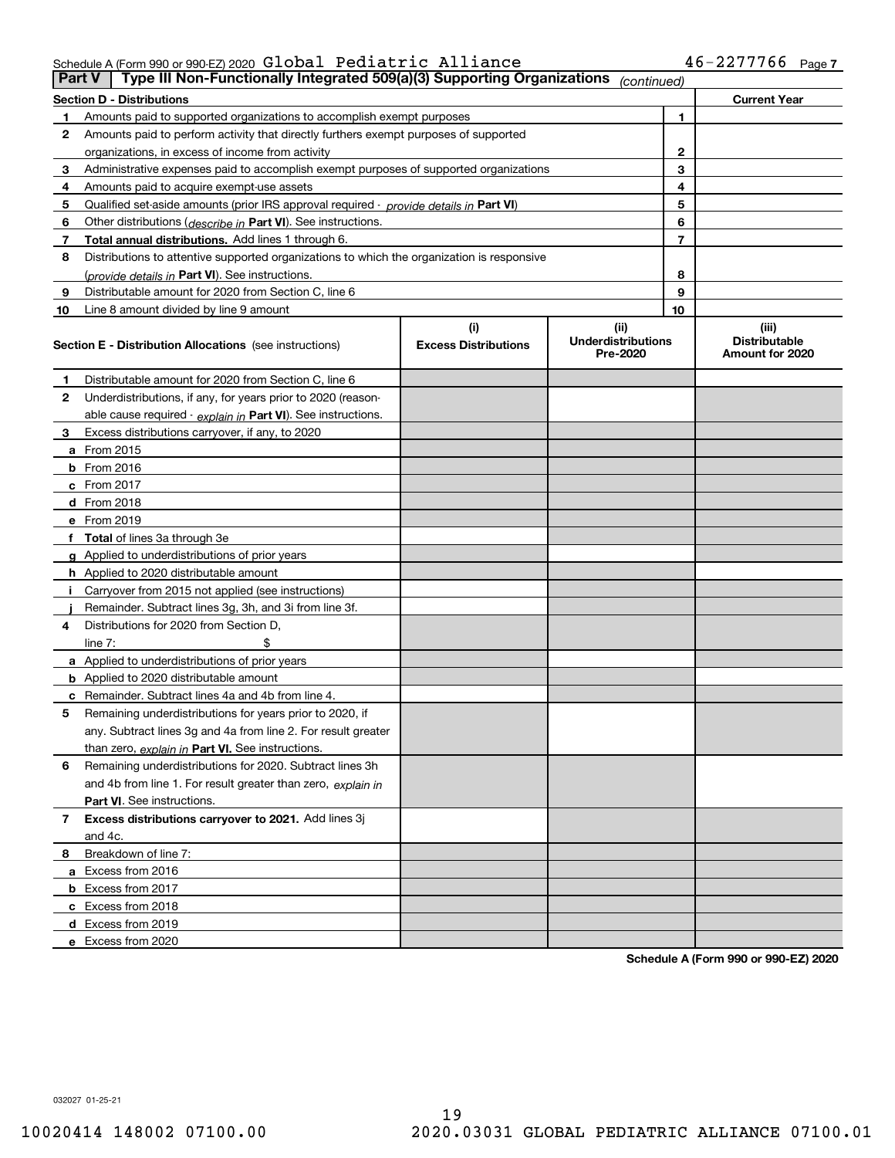### Schedule A (Form 990 or 990-EZ) 2020 <code>Global Pediatric Alliance</code>  $46-2277766$  Page Global Pediatric Alliance 46-2277766

| Part V         | Type III Non-Functionally Integrated 509(a)(3) Supporting Organizations                    |                             | (continued)                           |    |                                         |
|----------------|--------------------------------------------------------------------------------------------|-----------------------------|---------------------------------------|----|-----------------------------------------|
|                | <b>Section D - Distributions</b>                                                           |                             |                                       |    | <b>Current Year</b>                     |
| 1.             | Amounts paid to supported organizations to accomplish exempt purposes                      |                             | 1                                     |    |                                         |
| 2              | Amounts paid to perform activity that directly furthers exempt purposes of supported       |                             |                                       |    |                                         |
|                | organizations, in excess of income from activity                                           |                             |                                       | 2  |                                         |
| 3              | Administrative expenses paid to accomplish exempt purposes of supported organizations      |                             |                                       | 3  |                                         |
| 4              | Amounts paid to acquire exempt-use assets                                                  |                             |                                       | 4  |                                         |
| 5              | Qualified set-aside amounts (prior IRS approval required - provide details in Part VI)     |                             |                                       | 5  |                                         |
| 6              | Other distributions ( <i>describe in</i> Part VI). See instructions.                       |                             | 6                                     |    |                                         |
| 7              | Total annual distributions. Add lines 1 through 6.                                         |                             |                                       | 7  |                                         |
| 8              | Distributions to attentive supported organizations to which the organization is responsive |                             |                                       |    |                                         |
|                | (provide details in Part VI). See instructions.                                            |                             |                                       | 8  |                                         |
| 9              | Distributable amount for 2020 from Section C, line 6                                       |                             |                                       | 9  |                                         |
| 10             | Line 8 amount divided by line 9 amount                                                     |                             |                                       | 10 |                                         |
|                |                                                                                            | (i)                         | (ii)                                  |    | (iii)                                   |
|                | <b>Section E - Distribution Allocations</b> (see instructions)                             | <b>Excess Distributions</b> | <b>Underdistributions</b><br>Pre-2020 |    | <b>Distributable</b><br>Amount for 2020 |
| 1              | Distributable amount for 2020 from Section C, line 6                                       |                             |                                       |    |                                         |
| 2              | Underdistributions, if any, for years prior to 2020 (reason-                               |                             |                                       |    |                                         |
|                | able cause required - explain in Part VI). See instructions.                               |                             |                                       |    |                                         |
| 3              | Excess distributions carryover, if any, to 2020                                            |                             |                                       |    |                                         |
|                | a From 2015                                                                                |                             |                                       |    |                                         |
|                | <b>b</b> From 2016                                                                         |                             |                                       |    |                                         |
|                | $c$ From 2017                                                                              |                             |                                       |    |                                         |
|                | <b>d</b> From 2018                                                                         |                             |                                       |    |                                         |
|                | e From 2019                                                                                |                             |                                       |    |                                         |
|                | f Total of lines 3a through 3e                                                             |                             |                                       |    |                                         |
|                | g Applied to underdistributions of prior years                                             |                             |                                       |    |                                         |
|                | <b>h</b> Applied to 2020 distributable amount                                              |                             |                                       |    |                                         |
|                | Carryover from 2015 not applied (see instructions)                                         |                             |                                       |    |                                         |
|                | Remainder. Subtract lines 3g, 3h, and 3i from line 3f.                                     |                             |                                       |    |                                         |
| 4              | Distributions for 2020 from Section D,                                                     |                             |                                       |    |                                         |
|                | line $7:$                                                                                  |                             |                                       |    |                                         |
|                | a Applied to underdistributions of prior years                                             |                             |                                       |    |                                         |
|                | <b>b</b> Applied to 2020 distributable amount                                              |                             |                                       |    |                                         |
|                | c Remainder. Subtract lines 4a and 4b from line 4.                                         |                             |                                       |    |                                         |
| 5              | Remaining underdistributions for years prior to 2020, if                                   |                             |                                       |    |                                         |
|                | any. Subtract lines 3g and 4a from line 2. For result greater                              |                             |                                       |    |                                         |
|                | than zero, explain in Part VI. See instructions.                                           |                             |                                       |    |                                         |
| 6              | Remaining underdistributions for 2020. Subtract lines 3h                                   |                             |                                       |    |                                         |
|                | and 4b from line 1. For result greater than zero, explain in                               |                             |                                       |    |                                         |
|                | Part VI. See instructions.                                                                 |                             |                                       |    |                                         |
| $\overline{7}$ | Excess distributions carryover to 2021. Add lines 3j                                       |                             |                                       |    |                                         |
|                | and 4c.                                                                                    |                             |                                       |    |                                         |
| 8              | Breakdown of line 7:                                                                       |                             |                                       |    |                                         |
|                | a Excess from 2016                                                                         |                             |                                       |    |                                         |
|                | <b>b</b> Excess from 2017                                                                  |                             |                                       |    |                                         |
|                | c Excess from 2018                                                                         |                             |                                       |    |                                         |
|                | d Excess from 2019                                                                         |                             |                                       |    |                                         |
|                | e Excess from 2020                                                                         |                             |                                       |    |                                         |
|                |                                                                                            |                             |                                       |    |                                         |

**Schedule A (Form 990 or 990-EZ) 2020**

032027 01-25-21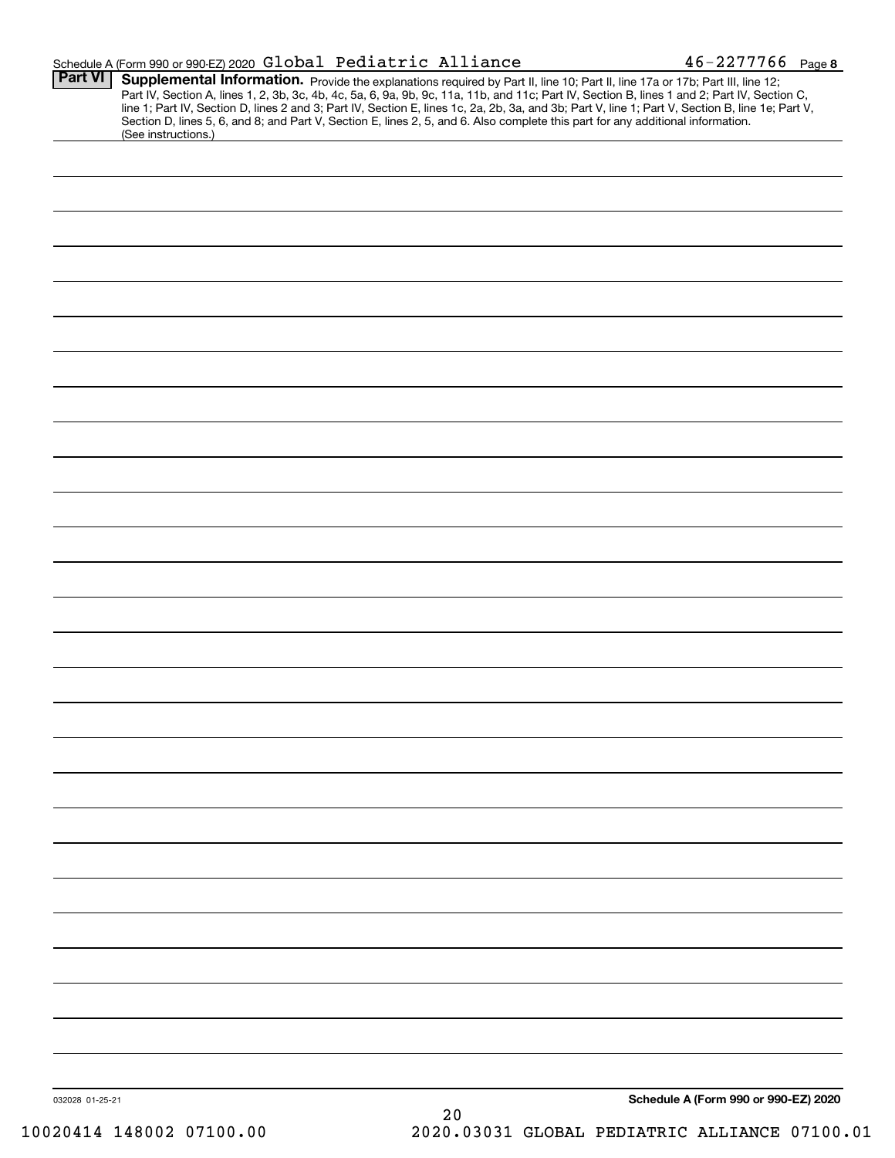|                 | Schedule A (Form 990 or 990-EZ) 2020 Global Pediatric Alliance |  |    |                                                                                                                                                                                                                                                                                                                                                                                                                                                                                                                                                                      | $46 - 2277766$ Page 8                |
|-----------------|----------------------------------------------------------------|--|----|----------------------------------------------------------------------------------------------------------------------------------------------------------------------------------------------------------------------------------------------------------------------------------------------------------------------------------------------------------------------------------------------------------------------------------------------------------------------------------------------------------------------------------------------------------------------|--------------------------------------|
| <b>Part VI</b>  |                                                                |  |    | Supplemental Information. Provide the explanations required by Part II, line 10; Part II, line 17a or 17b; Part III, line 12;<br>Part IV, Section A, lines 1, 2, 3b, 3c, 4b, 4c, 5a, 6, 9a, 9b, 9c, 11a, 11b, and 11c; Part IV, Section B, lines 1 and 2; Part IV, Section C,<br>line 1; Part IV, Section D, lines 2 and 3; Part IV, Section E, lines 1c, 2a, 2b, 3a, and 3b; Part V, line 1; Part V, Section B, line 1e; Part V,<br>Section D, lines 5, 6, and 8; and Part V, Section E, lines 2, 5, and 6. Also complete this part for any additional information. |                                      |
|                 | (See instructions.)                                            |  |    |                                                                                                                                                                                                                                                                                                                                                                                                                                                                                                                                                                      |                                      |
|                 |                                                                |  |    |                                                                                                                                                                                                                                                                                                                                                                                                                                                                                                                                                                      |                                      |
|                 |                                                                |  |    |                                                                                                                                                                                                                                                                                                                                                                                                                                                                                                                                                                      |                                      |
|                 |                                                                |  |    |                                                                                                                                                                                                                                                                                                                                                                                                                                                                                                                                                                      |                                      |
|                 |                                                                |  |    |                                                                                                                                                                                                                                                                                                                                                                                                                                                                                                                                                                      |                                      |
|                 |                                                                |  |    |                                                                                                                                                                                                                                                                                                                                                                                                                                                                                                                                                                      |                                      |
|                 |                                                                |  |    |                                                                                                                                                                                                                                                                                                                                                                                                                                                                                                                                                                      |                                      |
|                 |                                                                |  |    |                                                                                                                                                                                                                                                                                                                                                                                                                                                                                                                                                                      |                                      |
|                 |                                                                |  |    |                                                                                                                                                                                                                                                                                                                                                                                                                                                                                                                                                                      |                                      |
|                 |                                                                |  |    |                                                                                                                                                                                                                                                                                                                                                                                                                                                                                                                                                                      |                                      |
|                 |                                                                |  |    |                                                                                                                                                                                                                                                                                                                                                                                                                                                                                                                                                                      |                                      |
|                 |                                                                |  |    |                                                                                                                                                                                                                                                                                                                                                                                                                                                                                                                                                                      |                                      |
|                 |                                                                |  |    |                                                                                                                                                                                                                                                                                                                                                                                                                                                                                                                                                                      |                                      |
|                 |                                                                |  |    |                                                                                                                                                                                                                                                                                                                                                                                                                                                                                                                                                                      |                                      |
|                 |                                                                |  |    |                                                                                                                                                                                                                                                                                                                                                                                                                                                                                                                                                                      |                                      |
|                 |                                                                |  |    |                                                                                                                                                                                                                                                                                                                                                                                                                                                                                                                                                                      |                                      |
|                 |                                                                |  |    |                                                                                                                                                                                                                                                                                                                                                                                                                                                                                                                                                                      |                                      |
|                 |                                                                |  |    |                                                                                                                                                                                                                                                                                                                                                                                                                                                                                                                                                                      |                                      |
|                 |                                                                |  |    |                                                                                                                                                                                                                                                                                                                                                                                                                                                                                                                                                                      |                                      |
|                 |                                                                |  |    |                                                                                                                                                                                                                                                                                                                                                                                                                                                                                                                                                                      |                                      |
|                 |                                                                |  |    |                                                                                                                                                                                                                                                                                                                                                                                                                                                                                                                                                                      |                                      |
|                 |                                                                |  |    |                                                                                                                                                                                                                                                                                                                                                                                                                                                                                                                                                                      |                                      |
|                 |                                                                |  |    |                                                                                                                                                                                                                                                                                                                                                                                                                                                                                                                                                                      |                                      |
|                 |                                                                |  |    |                                                                                                                                                                                                                                                                                                                                                                                                                                                                                                                                                                      |                                      |
|                 |                                                                |  |    |                                                                                                                                                                                                                                                                                                                                                                                                                                                                                                                                                                      |                                      |
|                 |                                                                |  |    |                                                                                                                                                                                                                                                                                                                                                                                                                                                                                                                                                                      |                                      |
|                 |                                                                |  |    |                                                                                                                                                                                                                                                                                                                                                                                                                                                                                                                                                                      |                                      |
|                 |                                                                |  |    |                                                                                                                                                                                                                                                                                                                                                                                                                                                                                                                                                                      |                                      |
|                 |                                                                |  |    |                                                                                                                                                                                                                                                                                                                                                                                                                                                                                                                                                                      |                                      |
|                 |                                                                |  |    |                                                                                                                                                                                                                                                                                                                                                                                                                                                                                                                                                                      |                                      |
|                 |                                                                |  |    |                                                                                                                                                                                                                                                                                                                                                                                                                                                                                                                                                                      |                                      |
| 032028 01-25-21 |                                                                |  |    |                                                                                                                                                                                                                                                                                                                                                                                                                                                                                                                                                                      | Schedule A (Form 990 or 990-EZ) 2020 |
|                 |                                                                |  | 20 |                                                                                                                                                                                                                                                                                                                                                                                                                                                                                                                                                                      |                                      |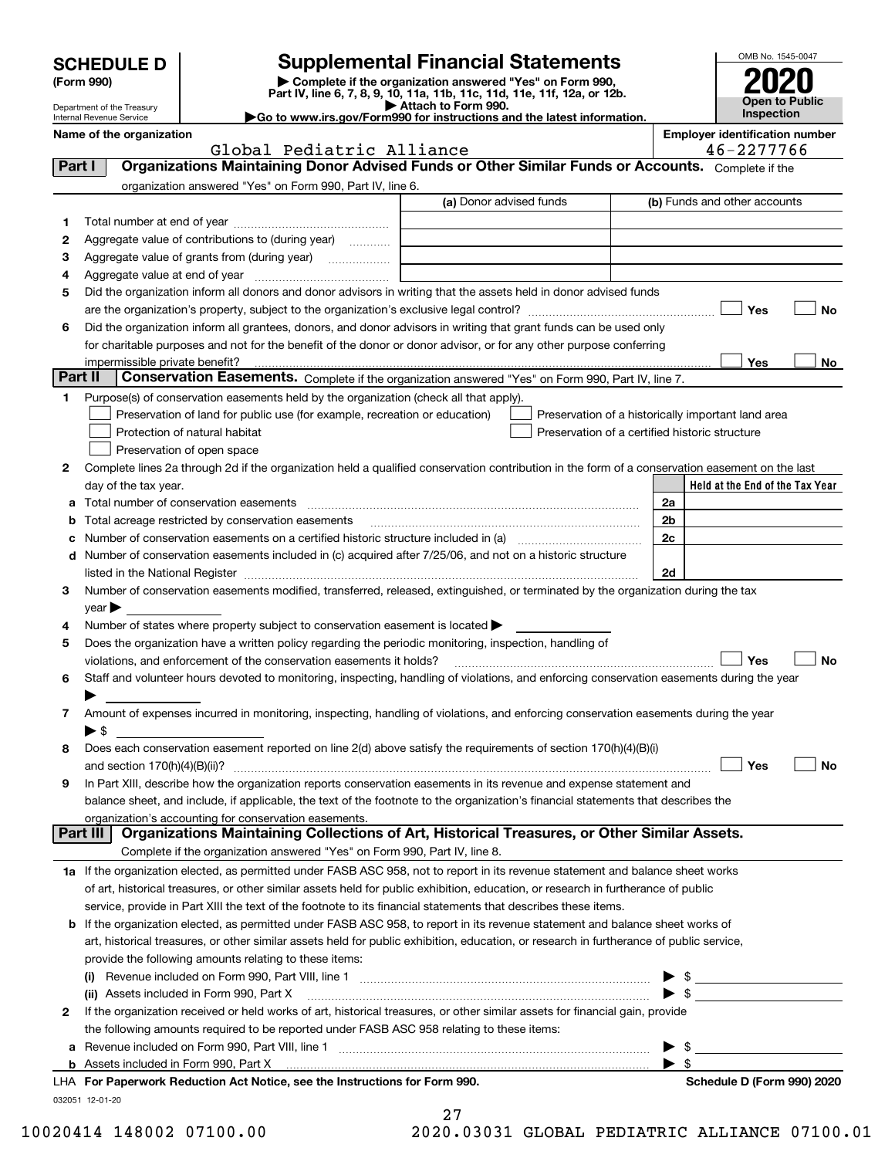| <b>SCHEDULE D</b> |  |
|-------------------|--|
|-------------------|--|

Department of the Treasury

| (Form 990) |
|------------|
|------------|

# **SCHEDULE D Supplemental Financial Statements**

(Form 990)<br>
Pepartment of the Treasury<br>
Department of the Treasury<br>
Department of the Treasury<br>
Department of the Treasury<br> **Co to www.irs.gov/Form990 for instructions and the latest information.**<br> **Co to www.irs.gov/Form9** 



Internal Revenue Service

**Name of the organization Employer identification number**

Global Pediatric Alliance 1997 1998 1997/1998

| Part I  | <b>Organizations Maintaining Donor Advised Funds or Other Similar Funds or Accounts.</b> Complete if the                                       |                         |                                                    |
|---------|------------------------------------------------------------------------------------------------------------------------------------------------|-------------------------|----------------------------------------------------|
|         | organization answered "Yes" on Form 990, Part IV, line 6.                                                                                      | (a) Donor advised funds | (b) Funds and other accounts                       |
| 1       |                                                                                                                                                |                         |                                                    |
| 2       | Aggregate value of contributions to (during year)                                                                                              |                         |                                                    |
| 3       |                                                                                                                                                |                         |                                                    |
| 4       |                                                                                                                                                |                         |                                                    |
| 5       | Did the organization inform all donors and donor advisors in writing that the assets held in donor advised funds                               |                         |                                                    |
|         |                                                                                                                                                |                         | Yes<br>No                                          |
| 6       | Did the organization inform all grantees, donors, and donor advisors in writing that grant funds can be used only                              |                         |                                                    |
|         | for charitable purposes and not for the benefit of the donor or donor advisor, or for any other purpose conferring                             |                         |                                                    |
|         |                                                                                                                                                |                         | Yes<br>No                                          |
| Part II | Conservation Easements. Complete if the organization answered "Yes" on Form 990, Part IV, line 7.                                              |                         |                                                    |
| 1       | Purpose(s) of conservation easements held by the organization (check all that apply).                                                          |                         |                                                    |
|         | Preservation of land for public use (for example, recreation or education)                                                                     |                         | Preservation of a historically important land area |
|         | Protection of natural habitat                                                                                                                  |                         | Preservation of a certified historic structure     |
|         | Preservation of open space                                                                                                                     |                         |                                                    |
| 2       | Complete lines 2a through 2d if the organization held a qualified conservation contribution in the form of a conservation easement on the last |                         |                                                    |
|         | day of the tax year.                                                                                                                           |                         | Held at the End of the Tax Year                    |
| a       | Total number of conservation easements                                                                                                         |                         | 2a                                                 |
| b       | Total acreage restricted by conservation easements                                                                                             |                         | 2b                                                 |
| c       |                                                                                                                                                |                         | 2c                                                 |
|         | d Number of conservation easements included in (c) acquired after 7/25/06, and not on a historic structure                                     |                         |                                                    |
|         |                                                                                                                                                |                         | 2d                                                 |
| 3       | Number of conservation easements modified, transferred, released, extinguished, or terminated by the organization during the tax               |                         |                                                    |
|         | year                                                                                                                                           |                         |                                                    |
| 4       | Number of states where property subject to conservation easement is located $\blacktriangleright$                                              |                         |                                                    |
| 5       | Does the organization have a written policy regarding the periodic monitoring, inspection, handling of                                         |                         |                                                    |
|         | violations, and enforcement of the conservation easements it holds?                                                                            |                         | Yes<br><b>No</b>                                   |
| 6       | Staff and volunteer hours devoted to monitoring, inspecting, handling of violations, and enforcing conservation easements during the year      |                         |                                                    |
|         |                                                                                                                                                |                         |                                                    |
| 7       | Amount of expenses incurred in monitoring, inspecting, handling of violations, and enforcing conservation easements during the year            |                         |                                                    |
|         | $\blacktriangleright$ s                                                                                                                        |                         |                                                    |
| 8       | Does each conservation easement reported on line 2(d) above satisfy the requirements of section 170(h)(4)(B)(i)                                |                         |                                                    |
|         |                                                                                                                                                |                         | Yes<br>No                                          |
| 9       | In Part XIII, describe how the organization reports conservation easements in its revenue and expense statement and                            |                         |                                                    |
|         | balance sheet, and include, if applicable, the text of the footnote to the organization's financial statements that describes the              |                         |                                                    |
|         | organization's accounting for conservation easements.                                                                                          |                         |                                                    |
|         | Organizations Maintaining Collections of Art, Historical Treasures, or Other Similar Assets.<br>Part III                                       |                         |                                                    |
|         | Complete if the organization answered "Yes" on Form 990, Part IV, line 8.                                                                      |                         |                                                    |
|         | 1a If the organization elected, as permitted under FASB ASC 958, not to report in its revenue statement and balance sheet works                |                         |                                                    |
|         | of art, historical treasures, or other similar assets held for public exhibition, education, or research in furtherance of public              |                         |                                                    |
|         | service, provide in Part XIII the text of the footnote to its financial statements that describes these items.                                 |                         |                                                    |
|         | <b>b</b> If the organization elected, as permitted under FASB ASC 958, to report in its revenue statement and balance sheet works of           |                         |                                                    |
|         | art, historical treasures, or other similar assets held for public exhibition, education, or research in furtherance of public service,        |                         |                                                    |
|         | provide the following amounts relating to these items:                                                                                         |                         |                                                    |
|         | (i)                                                                                                                                            |                         | $\frac{1}{2}$                                      |
|         | (ii) Assets included in Form 990, Part X                                                                                                       |                         | $\triangleright$ \$                                |
| 2       | If the organization received or held works of art, historical treasures, or other similar assets for financial gain, provide                   |                         |                                                    |
|         | the following amounts required to be reported under FASB ASC 958 relating to these items:                                                      |                         |                                                    |
|         |                                                                                                                                                |                         | \$                                                 |
|         | <b>b</b> Assets included in Form 990, Part X                                                                                                   |                         | $\blacktriangleright$ s                            |
|         | LHA For Paperwork Reduction Act Notice, see the Instructions for Form 990.                                                                     |                         | Schedule D (Form 990) 2020                         |
|         | 032051 12-01-20                                                                                                                                |                         |                                                    |

27 10020414 148002 07100.00 2020.03031 GLOBAL PEDIATRIC ALLIANCE 07100.01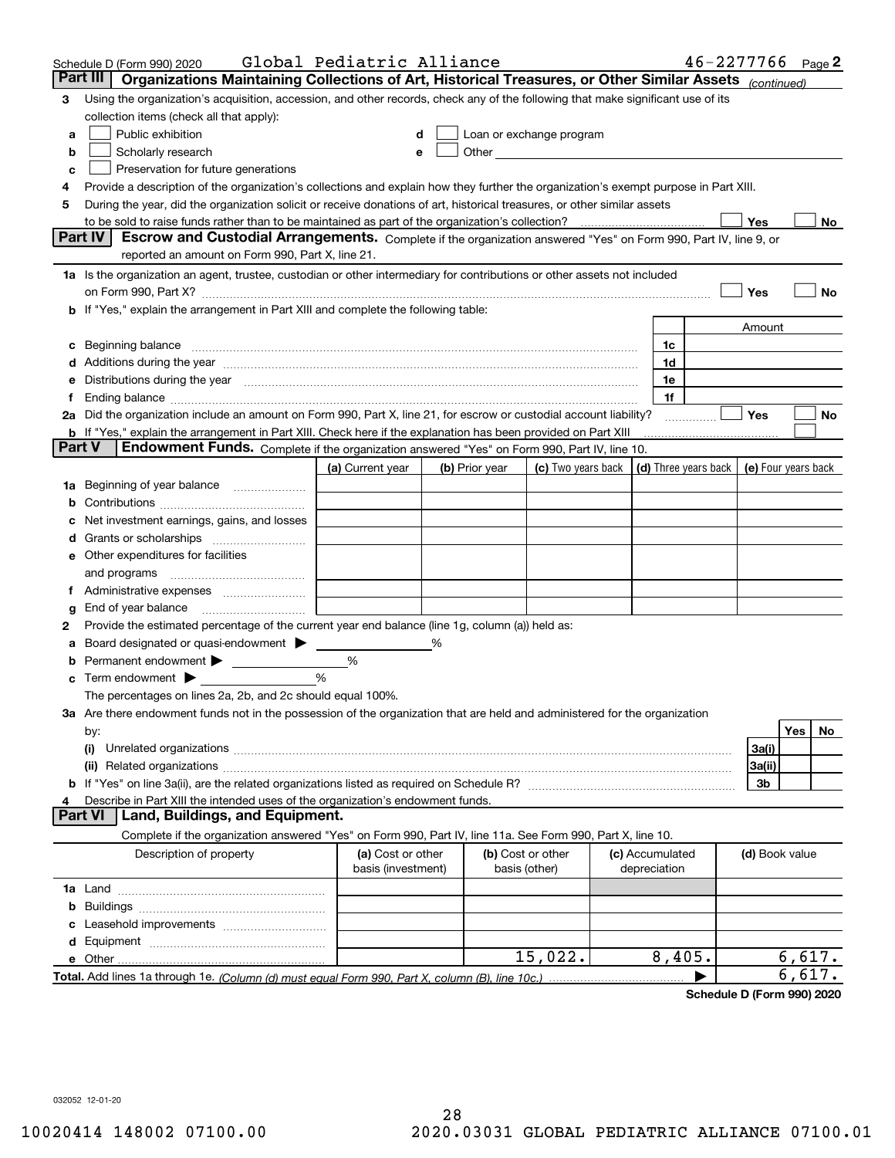|        | Schedule D (Form 990) 2020                                                                                                                                                                                                     | Global Pediatric Alliance               |   |                |                                                                                                                                                                                                                               |                                 | $46 - 2277766$ Page 2                      |                |        |     |
|--------|--------------------------------------------------------------------------------------------------------------------------------------------------------------------------------------------------------------------------------|-----------------------------------------|---|----------------|-------------------------------------------------------------------------------------------------------------------------------------------------------------------------------------------------------------------------------|---------------------------------|--------------------------------------------|----------------|--------|-----|
|        | Part III<br>Organizations Maintaining Collections of Art, Historical Treasures, or Other Similar Assets (continued)                                                                                                            |                                         |   |                |                                                                                                                                                                                                                               |                                 |                                            |                |        |     |
| 3      | Using the organization's acquisition, accession, and other records, check any of the following that make significant use of its                                                                                                |                                         |   |                |                                                                                                                                                                                                                               |                                 |                                            |                |        |     |
|        | collection items (check all that apply):                                                                                                                                                                                       |                                         |   |                |                                                                                                                                                                                                                               |                                 |                                            |                |        |     |
| a      | Public exhibition                                                                                                                                                                                                              |                                         |   |                | Loan or exchange program                                                                                                                                                                                                      |                                 |                                            |                |        |     |
| b      | Scholarly research                                                                                                                                                                                                             |                                         |   |                | Other and the contract of the contract of the contract of the contract of the contract of the contract of the contract of the contract of the contract of the contract of the contract of the contract of the contract of the |                                 |                                            |                |        |     |
| с      | Preservation for future generations                                                                                                                                                                                            |                                         |   |                |                                                                                                                                                                                                                               |                                 |                                            |                |        |     |
| 4      | Provide a description of the organization's collections and explain how they further the organization's exempt purpose in Part XIII.                                                                                           |                                         |   |                |                                                                                                                                                                                                                               |                                 |                                            |                |        |     |
| 5      | During the year, did the organization solicit or receive donations of art, historical treasures, or other similar assets                                                                                                       |                                         |   |                |                                                                                                                                                                                                                               |                                 |                                            |                |        |     |
|        | to be sold to raise funds rather than to be maintained as part of the organization's collection?                                                                                                                               |                                         |   |                |                                                                                                                                                                                                                               |                                 |                                            | Yes            |        | No  |
|        | <b>Part IV</b><br>Escrow and Custodial Arrangements. Complete if the organization answered "Yes" on Form 990, Part IV, line 9, or                                                                                              |                                         |   |                |                                                                                                                                                                                                                               |                                 |                                            |                |        |     |
|        | reported an amount on Form 990, Part X, line 21.                                                                                                                                                                               |                                         |   |                |                                                                                                                                                                                                                               |                                 |                                            |                |        |     |
|        | 1a Is the organization an agent, trustee, custodian or other intermediary for contributions or other assets not included                                                                                                       |                                         |   |                |                                                                                                                                                                                                                               |                                 |                                            |                |        |     |
|        | on Form 990, Part X? [11] matter contracts and contracts and contracts are contracted as a form 990, Part X?                                                                                                                   |                                         |   |                |                                                                                                                                                                                                                               |                                 |                                            | Yes            |        | No  |
|        | b If "Yes," explain the arrangement in Part XIII and complete the following table:                                                                                                                                             |                                         |   |                |                                                                                                                                                                                                                               |                                 |                                            |                |        |     |
|        |                                                                                                                                                                                                                                |                                         |   |                |                                                                                                                                                                                                                               |                                 |                                            | Amount         |        |     |
| c      | Beginning balance <b>contract to the contract of the contract of the contract of the contract of the contract of t</b>                                                                                                         |                                         |   |                |                                                                                                                                                                                                                               | 1c                              |                                            |                |        |     |
|        | Additions during the year manufactured and an account of the state of the state of the state of the state of the state of the state of the state of the state of the state of the state of the state of the state of the state |                                         |   |                |                                                                                                                                                                                                                               | 1d                              |                                            |                |        |     |
|        | Distributions during the year manufactured and an account of the year manufactured and the year manufactured and the year manufactured and the year manufactured and the year manufactured and the year manufactured and the y |                                         |   |                |                                                                                                                                                                                                                               | 1e                              |                                            |                |        |     |
| Ť.     |                                                                                                                                                                                                                                |                                         |   |                |                                                                                                                                                                                                                               | 1f                              |                                            |                |        |     |
|        | 2a Did the organization include an amount on Form 990, Part X, line 21, for escrow or custodial account liability?                                                                                                             |                                         |   |                |                                                                                                                                                                                                                               |                                 |                                            | Yes            |        | No  |
| Part V | <b>b</b> If "Yes," explain the arrangement in Part XIII. Check here if the explanation has been provided on Part XIII<br>Endowment Funds. Complete if the organization answered "Yes" on Form 990, Part IV, line 10.           |                                         |   |                |                                                                                                                                                                                                                               |                                 |                                            |                |        |     |
|        |                                                                                                                                                                                                                                | (a) Current year                        |   | (b) Prior year | (c) Two years back                                                                                                                                                                                                            |                                 | (d) Three years back   (e) Four years back |                |        |     |
| 1a     | Beginning of year balance                                                                                                                                                                                                      |                                         |   |                |                                                                                                                                                                                                                               |                                 |                                            |                |        |     |
|        |                                                                                                                                                                                                                                |                                         |   |                |                                                                                                                                                                                                                               |                                 |                                            |                |        |     |
|        | Net investment earnings, gains, and losses                                                                                                                                                                                     |                                         |   |                |                                                                                                                                                                                                                               |                                 |                                            |                |        |     |
| d      |                                                                                                                                                                                                                                |                                         |   |                |                                                                                                                                                                                                                               |                                 |                                            |                |        |     |
|        | e Other expenditures for facilities                                                                                                                                                                                            |                                         |   |                |                                                                                                                                                                                                                               |                                 |                                            |                |        |     |
|        | and programs                                                                                                                                                                                                                   |                                         |   |                |                                                                                                                                                                                                                               |                                 |                                            |                |        |     |
|        |                                                                                                                                                                                                                                |                                         |   |                |                                                                                                                                                                                                                               |                                 |                                            |                |        |     |
| g      | End of year balance                                                                                                                                                                                                            |                                         |   |                |                                                                                                                                                                                                                               |                                 |                                            |                |        |     |
| 2      | Provide the estimated percentage of the current year end balance (line 1g, column (a)) held as:                                                                                                                                |                                         |   |                |                                                                                                                                                                                                                               |                                 |                                            |                |        |     |
| а      | Board designated or quasi-endowment                                                                                                                                                                                            |                                         | % |                |                                                                                                                                                                                                                               |                                 |                                            |                |        |     |
|        | Permanent endowment > <u>example</u>                                                                                                                                                                                           | %                                       |   |                |                                                                                                                                                                                                                               |                                 |                                            |                |        |     |
|        | Term endowment $\blacktriangleright$                                                                                                                                                                                           | %                                       |   |                |                                                                                                                                                                                                                               |                                 |                                            |                |        |     |
|        | The percentages on lines 2a, 2b, and 2c should equal 100%.                                                                                                                                                                     |                                         |   |                |                                                                                                                                                                                                                               |                                 |                                            |                |        |     |
|        | 3a Are there endowment funds not in the possession of the organization that are held and administered for the organization                                                                                                     |                                         |   |                |                                                                                                                                                                                                                               |                                 |                                            |                |        |     |
|        | by:                                                                                                                                                                                                                            |                                         |   |                |                                                                                                                                                                                                                               |                                 |                                            |                | Yes    | No. |
|        | (i)                                                                                                                                                                                                                            |                                         |   |                |                                                                                                                                                                                                                               |                                 |                                            | 3a(i)          |        |     |
|        |                                                                                                                                                                                                                                |                                         |   |                |                                                                                                                                                                                                                               |                                 |                                            | 3a(ii)         |        |     |
|        |                                                                                                                                                                                                                                |                                         |   |                |                                                                                                                                                                                                                               |                                 |                                            | 3b             |        |     |
| 4      | Describe in Part XIII the intended uses of the organization's endowment funds.                                                                                                                                                 |                                         |   |                |                                                                                                                                                                                                                               |                                 |                                            |                |        |     |
|        | Land, Buildings, and Equipment.<br>Part VI                                                                                                                                                                                     |                                         |   |                |                                                                                                                                                                                                                               |                                 |                                            |                |        |     |
|        | Complete if the organization answered "Yes" on Form 990, Part IV, line 11a. See Form 990, Part X, line 10.                                                                                                                     |                                         |   |                |                                                                                                                                                                                                                               |                                 |                                            |                |        |     |
|        | Description of property                                                                                                                                                                                                        | (a) Cost or other<br>basis (investment) |   |                | (b) Cost or other<br>basis (other)                                                                                                                                                                                            | (c) Accumulated<br>depreciation |                                            | (d) Book value |        |     |
|        |                                                                                                                                                                                                                                |                                         |   |                |                                                                                                                                                                                                                               |                                 |                                            |                |        |     |
| b      |                                                                                                                                                                                                                                |                                         |   |                |                                                                                                                                                                                                                               |                                 |                                            |                |        |     |
|        |                                                                                                                                                                                                                                |                                         |   |                |                                                                                                                                                                                                                               |                                 |                                            |                |        |     |
|        |                                                                                                                                                                                                                                |                                         |   |                |                                                                                                                                                                                                                               |                                 |                                            |                |        |     |
|        |                                                                                                                                                                                                                                |                                         |   |                | 15,022.                                                                                                                                                                                                                       | 8,405.                          |                                            |                | 6,617. |     |
|        |                                                                                                                                                                                                                                |                                         |   |                |                                                                                                                                                                                                                               |                                 |                                            |                | 6,617. |     |

**Schedule D (Form 990) 2020**

032052 12-01-20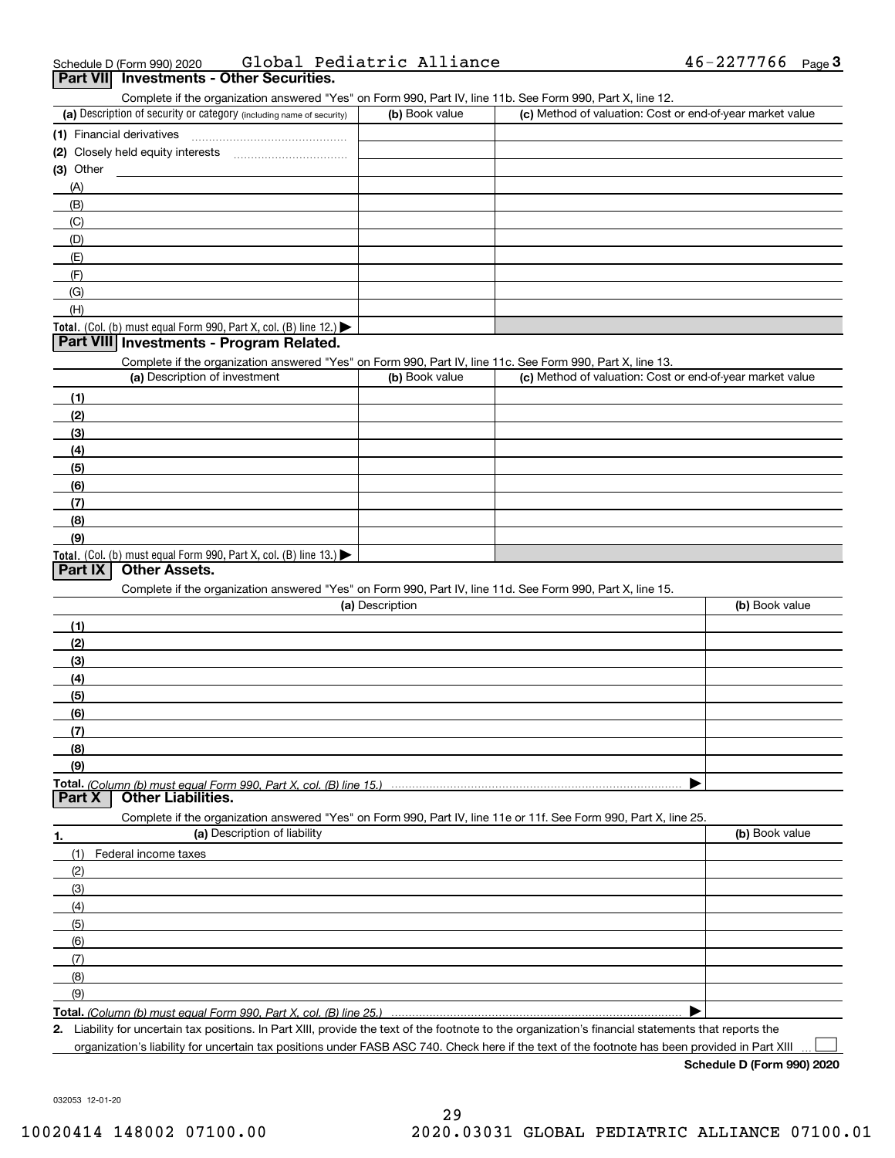| Schedule D (Form 990) 2020 |                                          | Global Pediatric Alliance |  | $46 - 2277766$ Page |  |
|----------------------------|------------------------------------------|---------------------------|--|---------------------|--|
|                            | Part VII Investments - Other Securities. |                           |  |                     |  |

## Complete if the organization answered "Yes" on Form 990, Part IV, line 11b. See Form 990, Part X, line 12.

| <u>OUTIPICIO II DIO ORGINZADOLE ALISTRO COLLECTI ONI LOSO, E ALETT, INICE I DI COCO E ONI LOSO, E ALETA, INICE IZI</u> |                |                                                           |
|------------------------------------------------------------------------------------------------------------------------|----------------|-----------------------------------------------------------|
| (a) Description of security or category (including name of security)                                                   | (b) Book value | (c) Method of valuation: Cost or end-of-year market value |
| (1) Financial derivatives                                                                                              |                |                                                           |
| (2) Closely held equity interests                                                                                      |                |                                                           |
| (3) Other                                                                                                              |                |                                                           |
| (A)                                                                                                                    |                |                                                           |
| (B)                                                                                                                    |                |                                                           |
| (C)                                                                                                                    |                |                                                           |
| (D)                                                                                                                    |                |                                                           |
| (E)                                                                                                                    |                |                                                           |
| (F)                                                                                                                    |                |                                                           |
| (G)                                                                                                                    |                |                                                           |
| (H)                                                                                                                    |                |                                                           |
| <b>Total.</b> (Col. (b) must equal Form 990, Part X, col. (B) line 12.) $\blacktriangleright$                          |                |                                                           |

### **Part VIII Investments - Program Related.**

Complete if the organization answered "Yes" on Form 990, Part IV, line 11c. See Form 990, Part X, line 13.

| (a) Description of investment                                                          | (b) Book value | (c) Method of valuation: Cost or end-of-year market value |
|----------------------------------------------------------------------------------------|----------------|-----------------------------------------------------------|
| (1)                                                                                    |                |                                                           |
| (2)                                                                                    |                |                                                           |
| $\frac{1}{2}$                                                                          |                |                                                           |
| (4)                                                                                    |                |                                                           |
| (5)                                                                                    |                |                                                           |
| (6)                                                                                    |                |                                                           |
| (7)                                                                                    |                |                                                           |
| (8)                                                                                    |                |                                                           |
| (9)                                                                                    |                |                                                           |
| Total. (Col. (b) must equal Form 990, Part X, col. (B) line 13.) $\blacktriangleright$ |                |                                                           |

### **Part IX Other Assets.**

Complete if the organization answered "Yes" on Form 990, Part IV, line 11d. See Form 990, Part X, line 15.

| (a) Description                                                                                                   | (b) Book value                                                       |
|-------------------------------------------------------------------------------------------------------------------|----------------------------------------------------------------------|
| (1)                                                                                                               |                                                                      |
| (2)                                                                                                               |                                                                      |
| $\qquad \qquad (3)$                                                                                               |                                                                      |
| (4)                                                                                                               |                                                                      |
| (5)                                                                                                               |                                                                      |
| (6)                                                                                                               |                                                                      |
| (7)                                                                                                               |                                                                      |
| (8)                                                                                                               |                                                                      |
| (9)                                                                                                               |                                                                      |
|                                                                                                                   |                                                                      |
| Other Liabilities.<br><b>Part X</b>                                                                               |                                                                      |
| Complete if the organization answered "Yes" on Form 990, Part IV, line 11e or 11f. See Form 990, Part X, line 25. |                                                                      |
| <b>I all the accountance of the latter of</b>                                                                     | $\mathbf{A}$ . A $\mathbf{B}$ and the set of the set of $\mathbf{A}$ |

| 1.  | (a) Description of liability | (b) Book value |
|-----|------------------------------|----------------|
| (1) | Federal income taxes         |                |
| (2) |                              |                |
| (3) |                              |                |
| (4) |                              |                |
| (5) |                              |                |
| (6) |                              |                |
| (7) |                              |                |
| (8) |                              |                |
| (9) |                              |                |
|     |                              |                |

*(Column (b) must equal Form 990, Part X, col. (B) line 25.)* 

**2.**Liability for uncertain tax positions. In Part XIII, provide the text of the footnote to the organization's financial statements that reports the organization's liability for uncertain tax positions under FASB ASC 740. Check here if the text of the footnote has been provided in Part XIII

**Schedule D (Form 990) 2020**

 $\mathcal{L}^{\text{max}}$ 

032053 12-01-20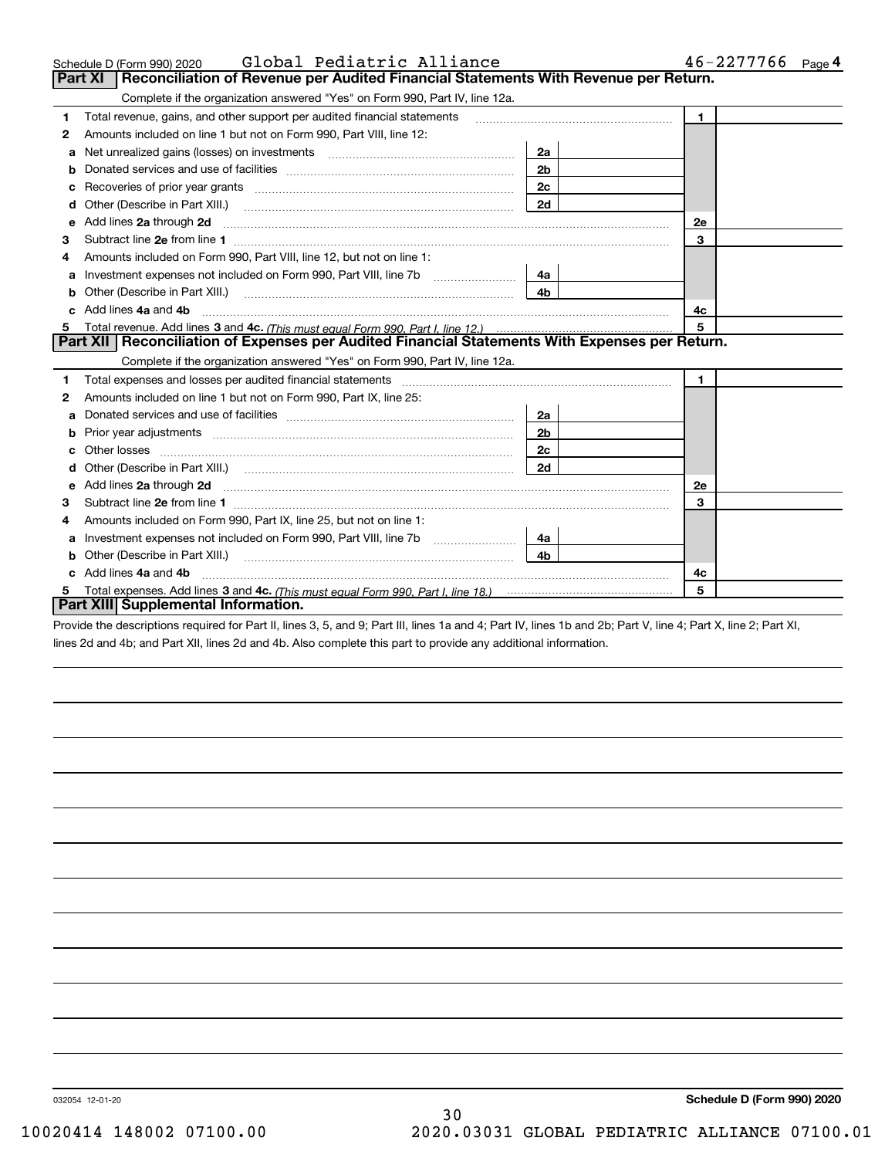|    | Global Pediatric Alliance<br>Schedule D (Form 990) 2020                                                                                                                                                                             |                | 46-2277766<br>Page <sup>4</sup> |
|----|-------------------------------------------------------------------------------------------------------------------------------------------------------------------------------------------------------------------------------------|----------------|---------------------------------|
|    | <b>Part XI</b><br>Reconciliation of Revenue per Audited Financial Statements With Revenue per Return.                                                                                                                               |                |                                 |
|    | Complete if the organization answered "Yes" on Form 990, Part IV, line 12a.                                                                                                                                                         |                |                                 |
| 1  | Total revenue, gains, and other support per audited financial statements                                                                                                                                                            |                | $\blacktriangleleft$            |
| 2  | Amounts included on line 1 but not on Form 990, Part VIII, line 12:                                                                                                                                                                 |                |                                 |
| a  | Net unrealized gains (losses) on investments [11] matter contracts and the unrealized gains (losses) on investments                                                                                                                 | 2a             |                                 |
|    |                                                                                                                                                                                                                                     | 2 <sub>b</sub> |                                 |
|    |                                                                                                                                                                                                                                     | 2c             |                                 |
|    |                                                                                                                                                                                                                                     | 2d             |                                 |
| е  | Add lines 2a through 2d <b>minimum contained a contract and a</b> contract a contract of the contract of the contract of the contract of the contract of the contract of the contract of the contract of the contract of the contra |                | 2e                              |
| 3  |                                                                                                                                                                                                                                     |                | 3                               |
| 4  | Amounts included on Form 990, Part VIII, line 12, but not on line 1:                                                                                                                                                                |                |                                 |
|    |                                                                                                                                                                                                                                     | 4a             |                                 |
| b  |                                                                                                                                                                                                                                     | 4 <sub>b</sub> |                                 |
| c. | Add lines 4a and 4b                                                                                                                                                                                                                 |                | 4с                              |
| 5  |                                                                                                                                                                                                                                     |                | 5                               |
|    | Part XII   Reconciliation of Expenses per Audited Financial Statements With Expenses per Return.                                                                                                                                    |                |                                 |
|    | Complete if the organization answered "Yes" on Form 990, Part IV, line 12a.                                                                                                                                                         |                |                                 |
| 1. | Total expenses and losses per audited financial statements [11] [12] contraction control in the statements [15] [15] and the statements [15] and the statements [15] and the statements and the statements and the statements       |                | $\mathbf{1}$                    |
| 2  | Amounts included on line 1 but not on Form 990, Part IX, line 25:                                                                                                                                                                   |                |                                 |
| a  |                                                                                                                                                                                                                                     | 2a             |                                 |
|    |                                                                                                                                                                                                                                     | 2 <sub>b</sub> |                                 |
| c  |                                                                                                                                                                                                                                     | 2c             |                                 |
|    |                                                                                                                                                                                                                                     | 2d             |                                 |
| е  | Add lines 2a through 2d <b>contained a contained a contained a contained a</b> contained a contact the state of the state of the state of the state of the state of the state of the state of the state of the state of the state o |                | 2e                              |
| 3  |                                                                                                                                                                                                                                     |                | 3                               |
| 4  | Amounts included on Form 990, Part IX, line 25, but not on line 1:                                                                                                                                                                  |                |                                 |
| a  |                                                                                                                                                                                                                                     | 4a             |                                 |
| b  |                                                                                                                                                                                                                                     | 4b             |                                 |
|    | Add lines 4a and 4b                                                                                                                                                                                                                 |                | 4с                              |
|    |                                                                                                                                                                                                                                     |                | 5                               |
|    | Part XIII Supplemental Information.                                                                                                                                                                                                 |                |                                 |

Provide the descriptions required for Part II, lines 3, 5, and 9; Part III, lines 1a and 4; Part IV, lines 1b and 2b; Part V, line 4; Part X, line 2; Part XI, lines 2d and 4b; and Part XII, lines 2d and 4b. Also complete this part to provide any additional information.

032054 12-01-20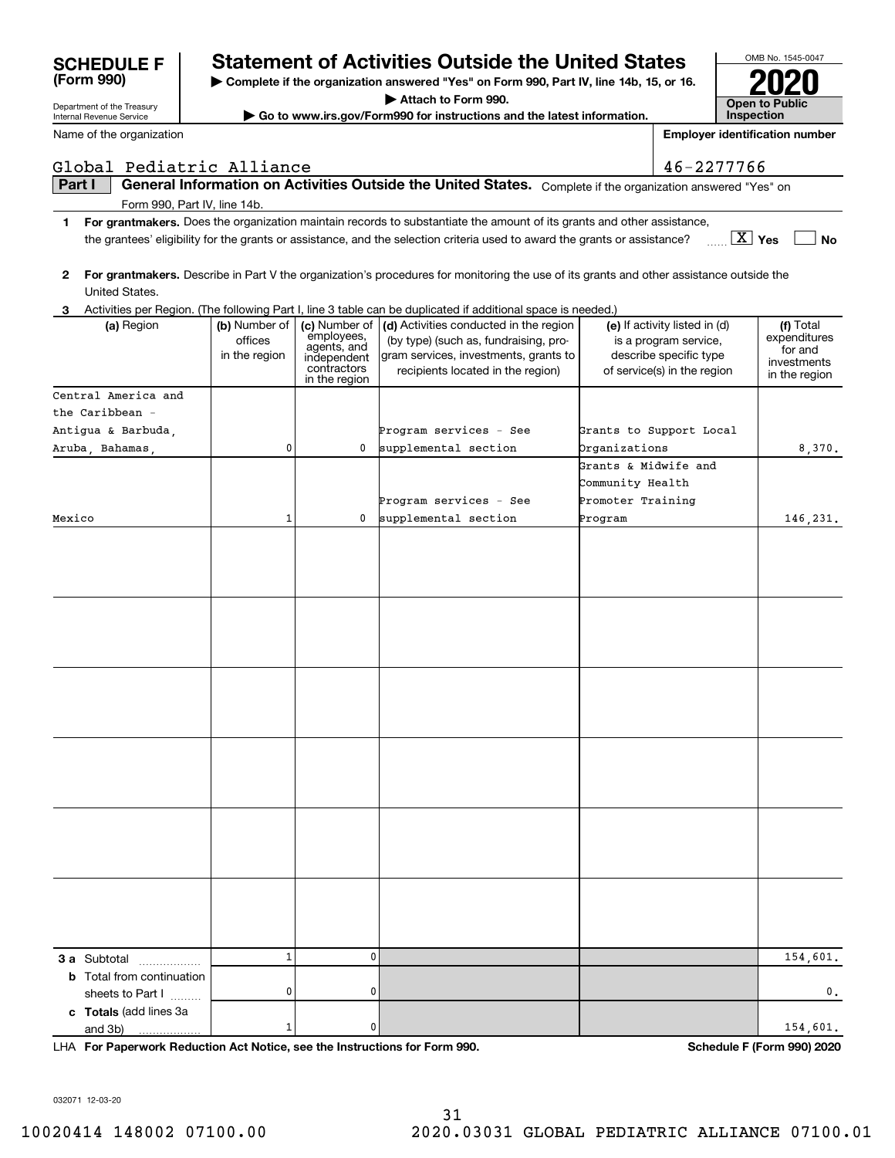|                 | Global Pediatric Alliance             |                          |                             |                                                                                                                                         | $46 - 2277766$                                         |                                     |
|-----------------|---------------------------------------|--------------------------|-----------------------------|-----------------------------------------------------------------------------------------------------------------------------------------|--------------------------------------------------------|-------------------------------------|
| Part I          |                                       |                          |                             | General Information on Activities Outside the United States. Complete if the organization answered "Yes" on                             |                                                        |                                     |
|                 | Form 990, Part IV, line 14b.          |                          |                             |                                                                                                                                         |                                                        |                                     |
| 1               |                                       |                          |                             | For grantmakers. Does the organization maintain records to substantiate the amount of its grants and other assistance,                  |                                                        |                                     |
|                 |                                       |                          |                             | the grantees' eligibility for the grants or assistance, and the selection criteria used to award the grants or assistance?              |                                                        | $\boxed{\text{X}}$ Yes<br><b>No</b> |
|                 |                                       |                          |                             |                                                                                                                                         |                                                        |                                     |
| 2               |                                       |                          |                             | For grantmakers. Describe in Part V the organization's procedures for monitoring the use of its grants and other assistance outside the |                                                        |                                     |
|                 | United States.                        |                          |                             |                                                                                                                                         |                                                        |                                     |
| 3.              |                                       |                          |                             | Activities per Region. (The following Part I, line 3 table can be duplicated if additional space is needed.)                            |                                                        |                                     |
|                 | (a) Region                            | (b) Number of<br>offices | (c) Number of<br>employees, | (d) Activities conducted in the region<br>(by type) (such as, fundraising, pro-                                                         | (e) If activity listed in (d)<br>is a program service, | (f) Total<br>expenditures           |
|                 |                                       | in the region            | agents, and<br>independent  | gram services, investments, grants to                                                                                                   | describe specific type                                 | for and                             |
|                 |                                       |                          | contractors                 | recipients located in the region)                                                                                                       | of service(s) in the region                            | investments<br>in the region        |
|                 | Central America and                   |                          | in the region               |                                                                                                                                         |                                                        |                                     |
| the Caribbean - |                                       |                          |                             |                                                                                                                                         |                                                        |                                     |
|                 | Antigua & Barbuda,                    |                          |                             | Program services - See                                                                                                                  | Grants to Support Local                                |                                     |
| Aruba, Bahamas, |                                       | 0                        | 0                           | supplemental section                                                                                                                    | Organizations                                          | 8,370.                              |
|                 |                                       |                          |                             |                                                                                                                                         | Grants & Midwife and                                   |                                     |
|                 |                                       |                          |                             |                                                                                                                                         | Community Health                                       |                                     |
|                 |                                       |                          |                             | Program services - See                                                                                                                  | Promoter Training                                      |                                     |
| Mexico          |                                       | 1                        | 0                           | supplemental section                                                                                                                    | Program                                                | 146,231.                            |
|                 |                                       |                          |                             |                                                                                                                                         |                                                        |                                     |
|                 |                                       |                          |                             |                                                                                                                                         |                                                        |                                     |
|                 |                                       |                          |                             |                                                                                                                                         |                                                        |                                     |
|                 |                                       |                          |                             |                                                                                                                                         |                                                        |                                     |
|                 |                                       |                          |                             |                                                                                                                                         |                                                        |                                     |
|                 |                                       |                          |                             |                                                                                                                                         |                                                        |                                     |
|                 |                                       |                          |                             |                                                                                                                                         |                                                        |                                     |
|                 |                                       |                          |                             |                                                                                                                                         |                                                        |                                     |
|                 |                                       |                          |                             |                                                                                                                                         |                                                        |                                     |
|                 |                                       |                          |                             |                                                                                                                                         |                                                        |                                     |
|                 |                                       |                          |                             |                                                                                                                                         |                                                        |                                     |
|                 |                                       |                          |                             |                                                                                                                                         |                                                        |                                     |
|                 |                                       |                          |                             |                                                                                                                                         |                                                        |                                     |
|                 |                                       |                          |                             |                                                                                                                                         |                                                        |                                     |
|                 |                                       |                          |                             |                                                                                                                                         |                                                        |                                     |
|                 |                                       |                          |                             |                                                                                                                                         |                                                        |                                     |
|                 |                                       |                          |                             |                                                                                                                                         |                                                        |                                     |
|                 |                                       |                          |                             |                                                                                                                                         |                                                        |                                     |
|                 |                                       |                          |                             |                                                                                                                                         |                                                        |                                     |
|                 |                                       |                          |                             |                                                                                                                                         |                                                        |                                     |
|                 |                                       |                          |                             |                                                                                                                                         |                                                        |                                     |
|                 |                                       |                          |                             |                                                                                                                                         |                                                        |                                     |
|                 |                                       |                          |                             |                                                                                                                                         |                                                        |                                     |
| 3 a Subtotal    |                                       | $\mathbf{1}$             | 0                           |                                                                                                                                         |                                                        | 154,601.                            |
|                 | .<br><b>b</b> Total from continuation |                          |                             |                                                                                                                                         |                                                        |                                     |
|                 | sheets to Part I                      | 0                        | 0                           |                                                                                                                                         |                                                        | 0.                                  |
|                 | c Totals (add lines 3a                |                          |                             |                                                                                                                                         |                                                        |                                     |
| and 3b)         |                                       | 1                        | 0                           |                                                                                                                                         |                                                        | 154,601.                            |

**For Paperwork Reduction Act Notice, see the Instructions for Form 990. Schedule F (Form 990) 2020** LHA

032071 12-03-20

Department of the Treasury Internal Revenue Service

**(Form 990)**

Name of the organization

# **SCHEDULE F Statement of Activities Outside the United States**

**| Complete if the organization answered "Yes" on Form 990, Part IV, line 14b, 15, or 16.**

**| Attach to Form 990.**

**| Go to www.irs.gov/Form990 for instructions and the latest information.**

OMB No. 1545-0047 **Open to Public Inspection2020**

**Employer identification number**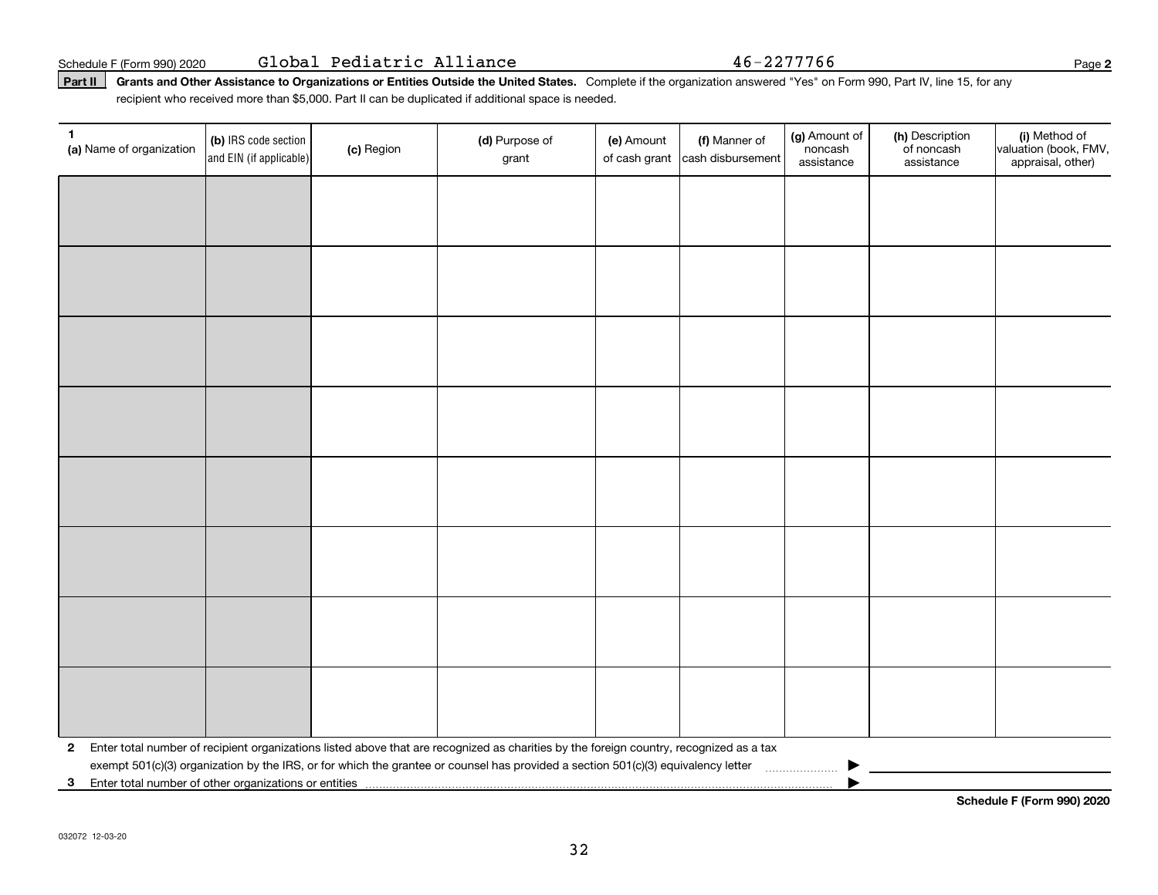Schedule F (Form 990) 2020 Page Global Pediatric Alliance 46-2277766

Part II | Grants and Other Assistance to Organizations or Entities Outside the United States. Complete if the organization answered "Yes" on Form 990, Part IV, line 15, for any recipient who received more than \$5,000. Part II can be duplicated if additional space is needed.

| 1.<br>(a) Name of organization | (b) IRS code section<br>and EIN (if applicable) | (c) Region | (d) Purpose of<br>grant                                                                                                                 | (e) Amount<br>of cash grant | (f) Manner of<br>cash disbursement | (g) Amount of<br>noncash<br>assistance | (h) Description<br>of noncash<br>assistance | (i) Method of<br>valuation (book, FMV,<br>appraisal, other) |
|--------------------------------|-------------------------------------------------|------------|-----------------------------------------------------------------------------------------------------------------------------------------|-----------------------------|------------------------------------|----------------------------------------|---------------------------------------------|-------------------------------------------------------------|
|                                |                                                 |            |                                                                                                                                         |                             |                                    |                                        |                                             |                                                             |
|                                |                                                 |            |                                                                                                                                         |                             |                                    |                                        |                                             |                                                             |
|                                |                                                 |            |                                                                                                                                         |                             |                                    |                                        |                                             |                                                             |
|                                |                                                 |            |                                                                                                                                         |                             |                                    |                                        |                                             |                                                             |
|                                |                                                 |            |                                                                                                                                         |                             |                                    |                                        |                                             |                                                             |
|                                |                                                 |            |                                                                                                                                         |                             |                                    |                                        |                                             |                                                             |
|                                |                                                 |            |                                                                                                                                         |                             |                                    |                                        |                                             |                                                             |
|                                |                                                 |            |                                                                                                                                         |                             |                                    |                                        |                                             |                                                             |
|                                |                                                 |            |                                                                                                                                         |                             |                                    |                                        |                                             |                                                             |
|                                |                                                 |            |                                                                                                                                         |                             |                                    |                                        |                                             |                                                             |
|                                |                                                 |            |                                                                                                                                         |                             |                                    |                                        |                                             |                                                             |
|                                |                                                 |            |                                                                                                                                         |                             |                                    |                                        |                                             |                                                             |
|                                |                                                 |            |                                                                                                                                         |                             |                                    |                                        |                                             |                                                             |
|                                |                                                 |            |                                                                                                                                         |                             |                                    |                                        |                                             |                                                             |
|                                |                                                 |            |                                                                                                                                         |                             |                                    |                                        |                                             |                                                             |
|                                |                                                 |            |                                                                                                                                         |                             |                                    |                                        |                                             |                                                             |
| $\mathbf{2}$                   |                                                 |            | Enter total number of recipient organizations listed above that are recognized as charities by the foreign country, recognized as a tax |                             |                                    |                                        |                                             |                                                             |
|                                |                                                 |            | exempt 501(c)(3) organization by the IRS, or for which the grantee or counsel has provided a section 501(c)(3) equivalency letter       |                             |                                    |                                        |                                             |                                                             |
| 3                              |                                                 |            |                                                                                                                                         |                             |                                    |                                        |                                             |                                                             |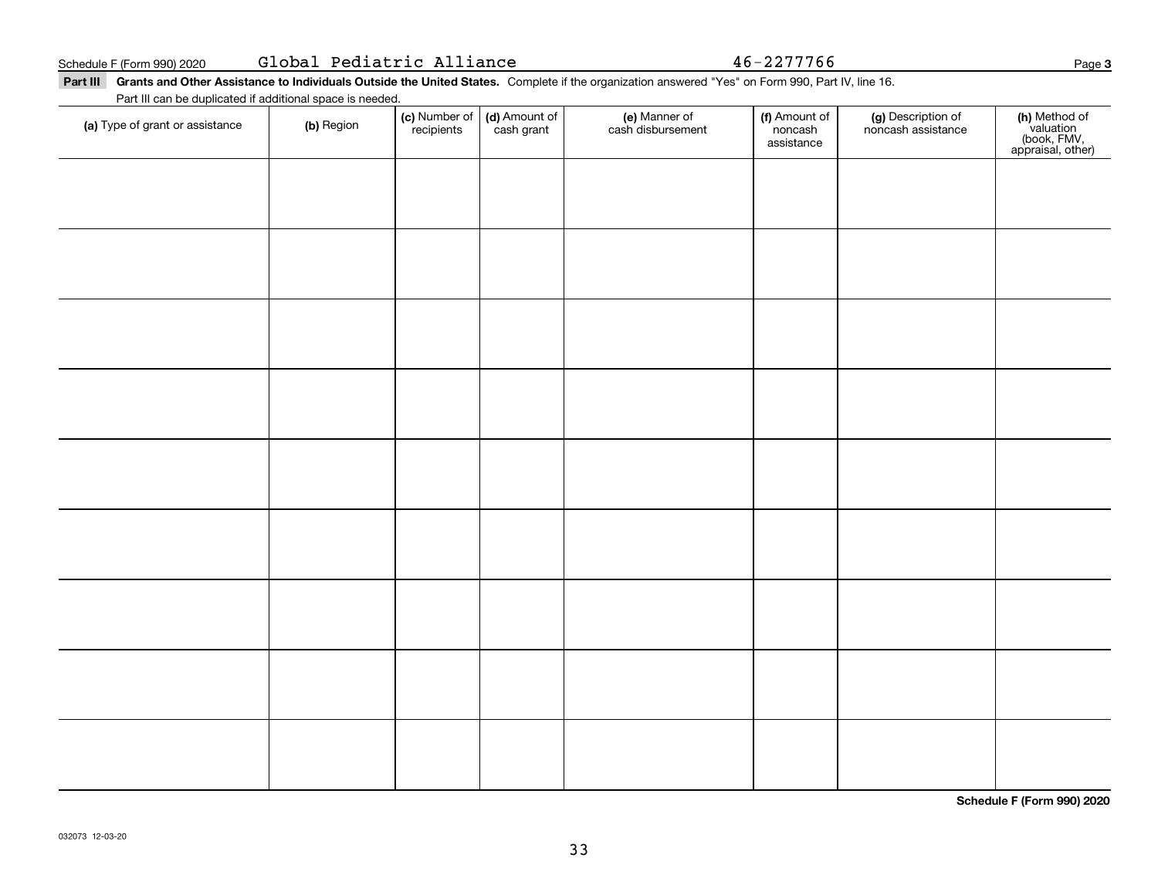| Global : |  | Pediatric Alliance |  |  |  |
|----------|--|--------------------|--|--|--|
|----------|--|--------------------|--|--|--|

Global Pediatric Alliance 46-2277766

Part III Grants and Other Assistance to Individuals Outside the United States. Complete if the organization answered "Yes" on Form 990, Part IV, line 16. Part III can be duplicated if additional space is needed.

| r art in cari be adplicated in additional c<br>(a) Type of grant or assistance | (b) Region | (c) Number of<br>recipients | (d) Amount of<br>cash grant | (e) Manner of<br>cash disbursement | (f) Amount of<br>noncash<br>assistance | (g) Description of<br>noncash assistance | (h) Method of<br>valuation<br>(book, FMV,<br>appraisal, other) |
|--------------------------------------------------------------------------------|------------|-----------------------------|-----------------------------|------------------------------------|----------------------------------------|------------------------------------------|----------------------------------------------------------------|
|                                                                                |            |                             |                             |                                    |                                        |                                          |                                                                |
|                                                                                |            |                             |                             |                                    |                                        |                                          |                                                                |
|                                                                                |            |                             |                             |                                    |                                        |                                          |                                                                |
|                                                                                |            |                             |                             |                                    |                                        |                                          |                                                                |
|                                                                                |            |                             |                             |                                    |                                        |                                          |                                                                |
|                                                                                |            |                             |                             |                                    |                                        |                                          |                                                                |
|                                                                                |            |                             |                             |                                    |                                        |                                          |                                                                |
|                                                                                |            |                             |                             |                                    |                                        |                                          |                                                                |
|                                                                                |            |                             |                             |                                    |                                        |                                          |                                                                |
|                                                                                |            |                             |                             |                                    |                                        |                                          |                                                                |
|                                                                                |            |                             |                             |                                    |                                        |                                          |                                                                |
|                                                                                |            |                             |                             |                                    |                                        |                                          |                                                                |

**Schedule F (Form 990) 2020**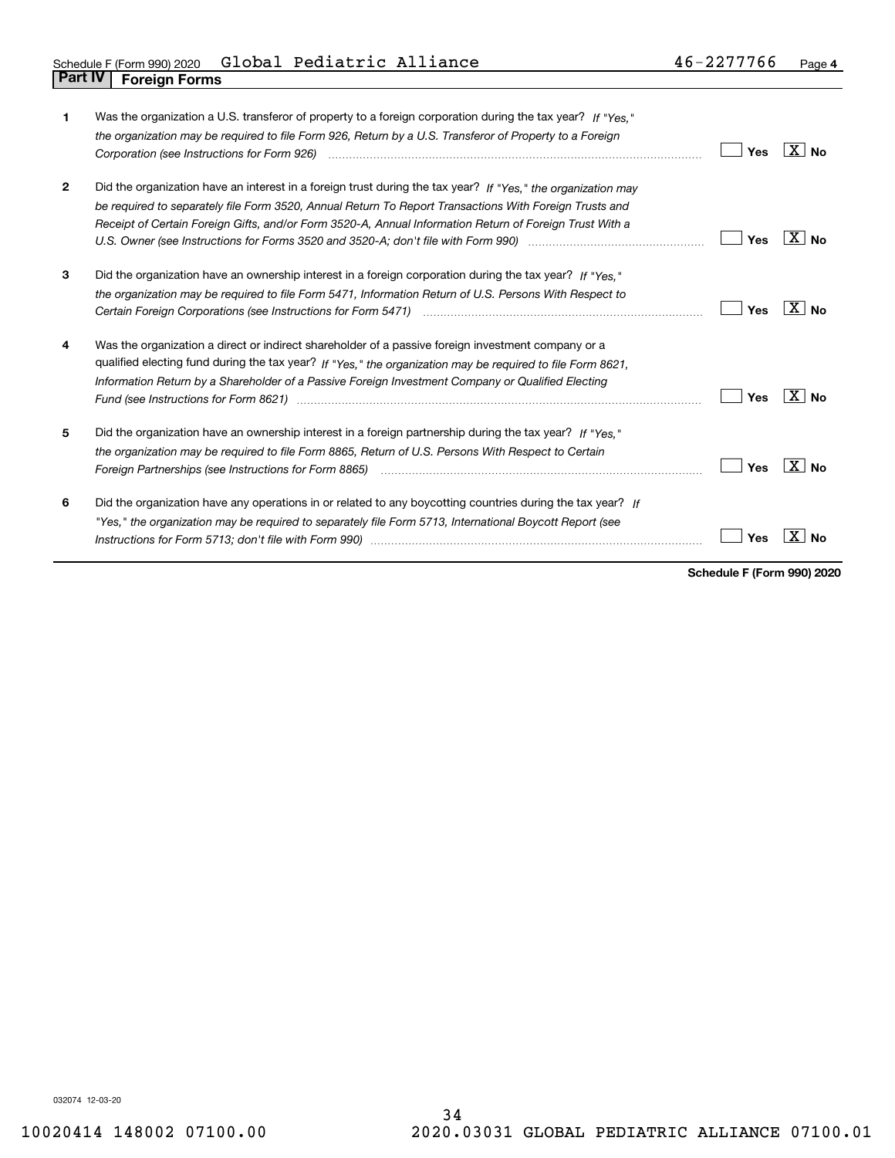| 1            | Was the organization a U.S. transferor of property to a foreign corporation during the tax year? If "Yes."<br>the organization may be required to file Form 926, Return by a U.S. Transferor of Property to a Foreign<br>Corporation (see Instructions for Form 926) <i>manual content content corporation</i> (see Instructions for Form 926) | <b>Yes</b> | ⊦X I No      |
|--------------|------------------------------------------------------------------------------------------------------------------------------------------------------------------------------------------------------------------------------------------------------------------------------------------------------------------------------------------------|------------|--------------|
| $\mathbf{2}$ | Did the organization have an interest in a foreign trust during the tax year? If "Yes," the organization may<br>be required to separately file Form 3520, Annual Return To Report Transactions With Foreign Trusts and<br>Receipt of Certain Foreign Gifts, and/or Form 3520-A, Annual Information Return of Foreign Trust With a              | <b>Yes</b> | X  <br>Nο    |
| 3            | Did the organization have an ownership interest in a foreign corporation during the tax year? If "Yes,"<br>the organization may be required to file Form 5471, Information Return of U.S. Persons With Respect to<br>Certain Foreign Corporations (see Instructions for Form 5471) <i>[100]</i> [100] [100] [100] [100] [100] [100] [100] [    | Yes        | $X \mid N_0$ |
| 4            | Was the organization a direct or indirect shareholder of a passive foreign investment company or a<br>qualified electing fund during the tax year? If "Yes," the organization may be required to file Form 8621,<br>Information Return by a Shareholder of a Passive Foreign Investment Company or Qualified Electing                          | Yes        | ΧI<br>No     |
| 5            | Did the organization have an ownership interest in a foreign partnership during the tax year? If "Yes."<br>the organization may be required to file Form 8865, Return of U.S. Persons With Respect to Certain<br>Foreign Partnerships (see Instructions for Form 8865)                                                                         | Yes        | $X \mid N_0$ |
| 6            | Did the organization have any operations in or related to any boycotting countries during the tax year? If<br>"Yes," the organization may be required to separately file Form 5713, International Boycott Report (see                                                                                                                          | Yes        |              |

**Schedule F (Form 990) 2020**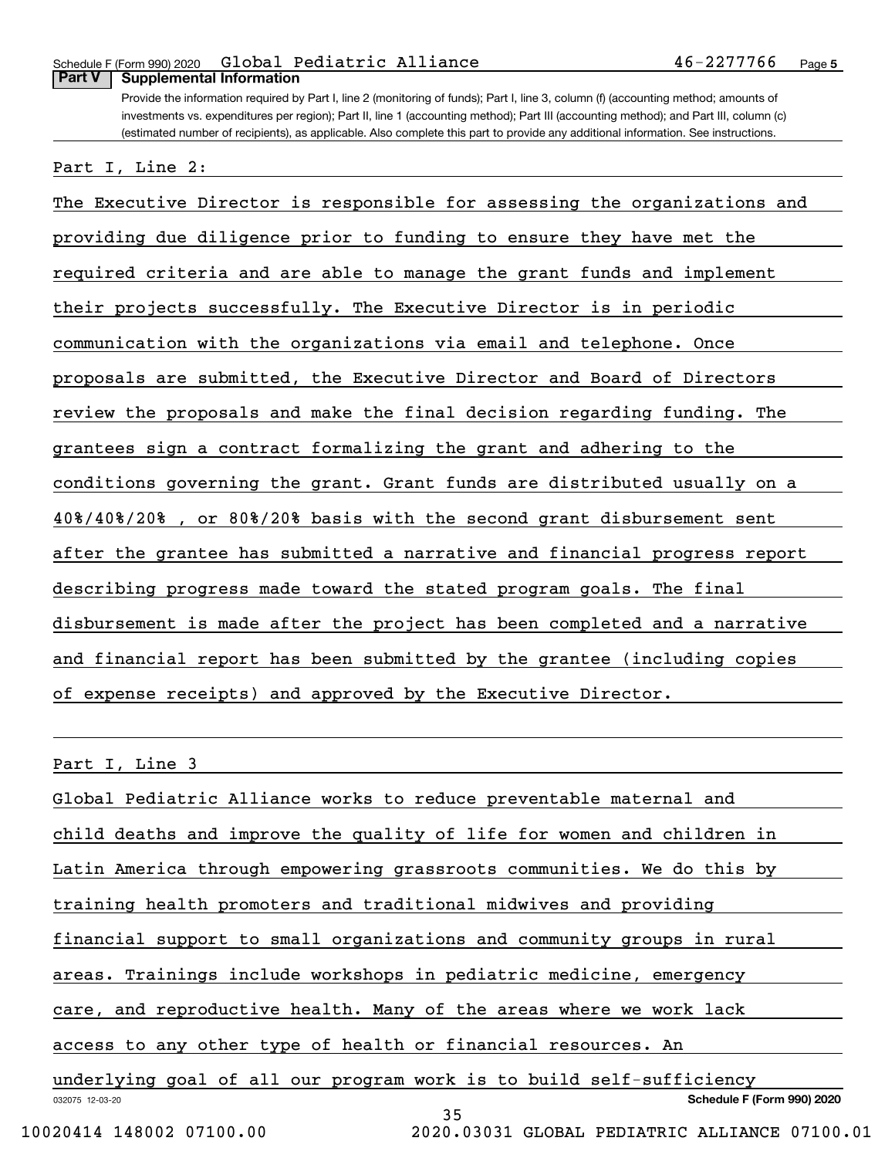### **Part V Supplemental Information**

Provide the information required by Part I, line 2 (monitoring of funds); Part I, line 3, column (f) (accounting method; amounts of investments vs. expenditures per region); Part II, line 1 (accounting method); Part III (accounting method); and Part III, column (c) (estimated number of recipients), as applicable. Also complete this part to provide any additional information. See instructions.

Part I, Line 2:

The Executive Director is responsible for assessing the organizations and providing due diligence prior to funding to ensure they have met the required criteria and are able to manage the grant funds and implement their projects successfully. The Executive Director is in periodic communication with the organizations via email and telephone. Once proposals are submitted, the Executive Director and Board of Directors review the proposals and make the final decision regarding funding. The grantees sign a contract formalizing the grant and adhering to the conditions governing the grant. Grant funds are distributed usually on a 40%/40%/20% , or 80%/20% basis with the second grant disbursement sent after the grantee has submitted a narrative and financial progress report describing progress made toward the stated program goals. The final disbursement is made after the project has been completed and a narrative and financial report has been submitted by the grantee (including copies of expense receipts) and approved by the Executive Director.

Part I, Line 3

| Global Pediatric Alliance works to reduce preventable maternal and     |                                                                        |  |  |  |  |
|------------------------------------------------------------------------|------------------------------------------------------------------------|--|--|--|--|
|                                                                        | child deaths and improve the quality of life for women and children in |  |  |  |  |
|                                                                        | Latin America through empowering grassroots communities. We do this by |  |  |  |  |
| training health promoters and traditional midwives and providing       |                                                                        |  |  |  |  |
| financial support to small organizations and community groups in rural |                                                                        |  |  |  |  |
|                                                                        | areas. Trainings include workshops in pediatric medicine, emergency    |  |  |  |  |
| care, and reproductive health. Many of the areas where we work lack    |                                                                        |  |  |  |  |
| access to any other type of health or financial resources. An          |                                                                        |  |  |  |  |
|                                                                        | underlying goal of all our program work is to build self-sufficiency   |  |  |  |  |
| 032075 12-03-20                                                        | <b>Schedule F (Form 990) 2020</b><br>35                                |  |  |  |  |
| 10020414 148002 07100.00                                               | 2020.03031 GLOBAL PEDIATRIC ALLIANCE 07100.01                          |  |  |  |  |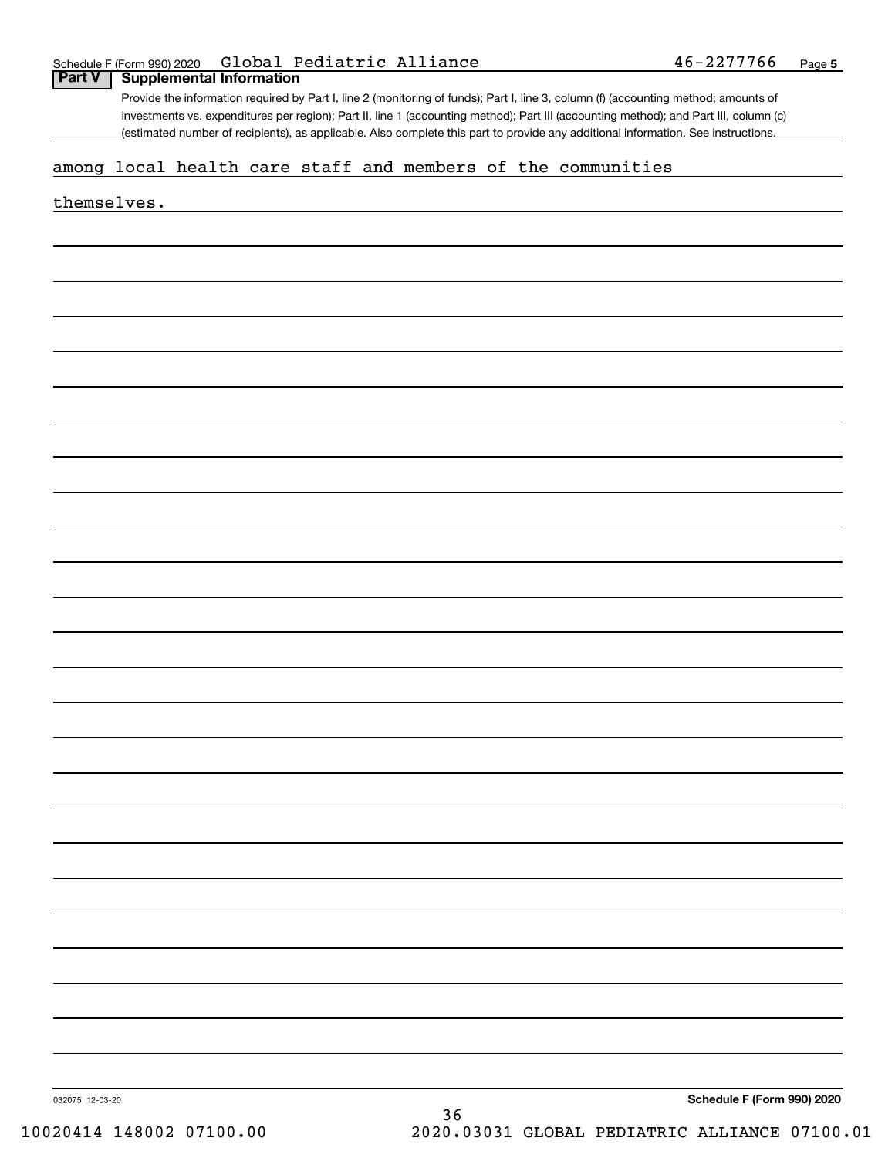Provide the information required by Part I, line 2 (monitoring of funds); Part I, line 3, column (f) (accounting method; amounts of investments vs. expenditures per region); Part II, line 1 (accounting method); Part III (accounting method); and Part III, column (c) (estimated number of recipients), as applicable. Also complete this part to provide any additional information. See instructions.

## among local health care staff and members of the communities

### themselves.

**Schedule F (Form 990) 2020**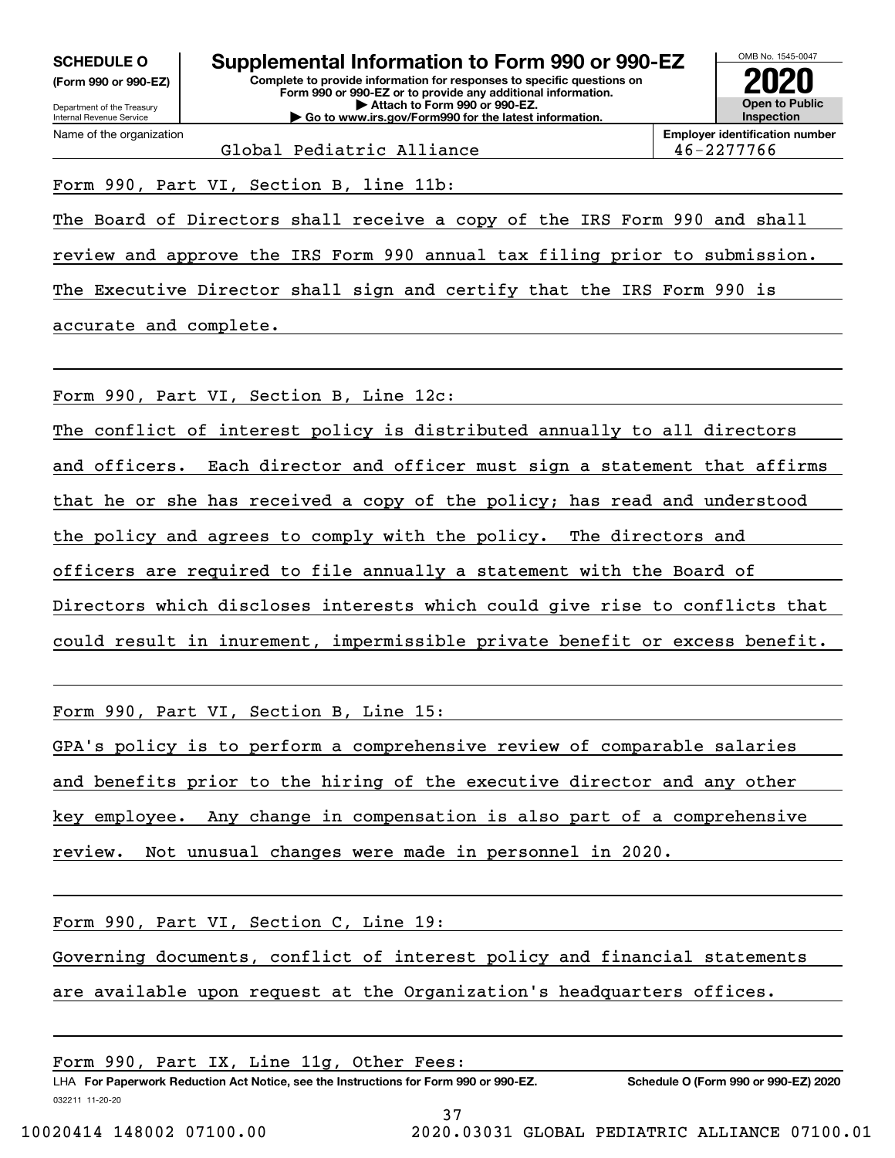**(Form 990 or 990-EZ)**

**Complete to provide information for responses to specific questions on Form 990 or 990-EZ or to provide any additional information. | Attach to Form 990 or 990-EZ. | Go to www.irs.gov/Form990 for the latest information. SCHEDULE O Supplemental Information to Form 990 or 990-EZ**



**Employer identification number** Global Pediatric Alliance  $\vert$  46-2277766

Form 990, Part VI, Section B, line 11b:

The Board of Directors shall receive a copy of the IRS Form 990 and shall

review and approve the IRS Form 990 annual tax filing prior to submission. The Executive Director shall sign and certify that the IRS Form 990 is accurate and complete.

Form 990, Part VI, Section B, Line 12c:

The conflict of interest policy is distributed annually to all directors and officers. Each director and officer must sign a statement that affirms that he or she has received a copy of the policy; has read and understood the policy and agrees to comply with the policy. The directors and officers are required to file annually a statement with the Board of Directors which discloses interests which could give rise to conflicts that could result in inurement, impermissible private benefit or excess benefit.

Form 990, Part VI, Section B, Line 15:

GPA's policy is to perform a comprehensive review of comparable salaries

and benefits prior to the hiring of the executive director and any other

key employee. Any change in compensation is also part of a comprehensive

review. Not unusual changes were made in personnel in 2020.

Form 990, Part VI, Section C, Line 19:

Governing documents, conflict of interest policy and financial statements

are available upon request at the Organization's headquarters offices.

032211 11-20-20 LHA For Paperwork Reduction Act Notice, see the Instructions for Form 990 or 990-EZ. Schedule O (Form 990 or 990-EZ) 2020 Form 990, Part IX, Line 11g, Other Fees: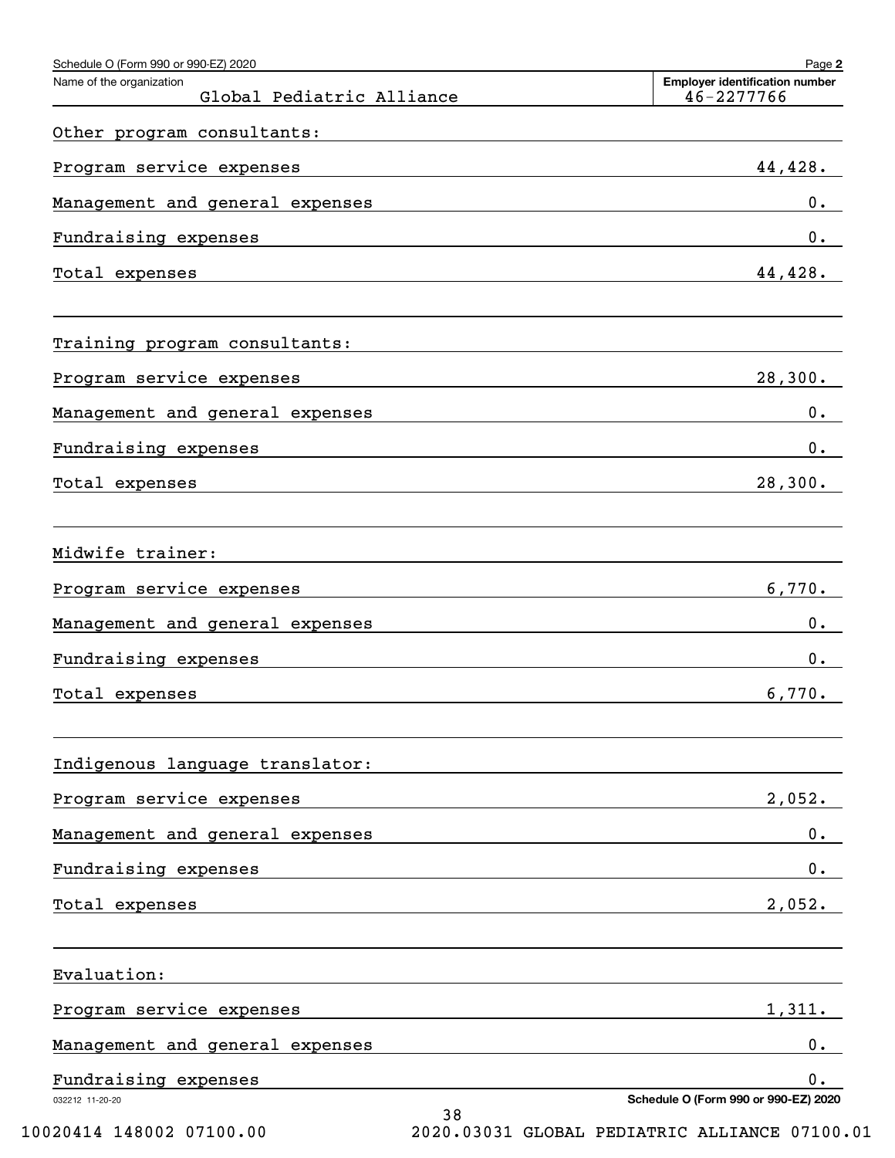| Schedule O (Form 990 or 990-EZ) 2020                                                                                                         | Page 2                                              |  |
|----------------------------------------------------------------------------------------------------------------------------------------------|-----------------------------------------------------|--|
| Name of the organization<br>Global Pediatric Alliance                                                                                        | <b>Employer identification number</b><br>46-2277766 |  |
| Other program consultants:                                                                                                                   |                                                     |  |
| Program service expenses                                                                                                                     | 44,428.                                             |  |
| Management and general expenses                                                                                                              | 0.                                                  |  |
| Fundraising expenses<br><u> 1989 - John Stein, mars and de Britain and de Britain and de Britain and de Britain and de Britain and de Br</u> | $0$ .                                               |  |
| Total expenses                                                                                                                               | 44,428.                                             |  |
| Training program consultants:                                                                                                                |                                                     |  |
| Program service expenses                                                                                                                     | 28,300.                                             |  |
| Management and general expenses                                                                                                              | 0.                                                  |  |
| Fundraising expenses                                                                                                                         | $0$ .                                               |  |
|                                                                                                                                              | 28,300.                                             |  |
| Total expenses<br>and the control of the control of the control of the control of the control of the control of the control of the           |                                                     |  |
| Midwife trainer:                                                                                                                             |                                                     |  |
| Program service expenses                                                                                                                     | 6,770.                                              |  |
| Management and general expenses                                                                                                              | 0.                                                  |  |
| Fundraising expenses                                                                                                                         | $0$ .                                               |  |
| Total expenses                                                                                                                               | 6,770.                                              |  |
| Indigenous language translator:                                                                                                              |                                                     |  |
| Program service expenses                                                                                                                     | 2,052.                                              |  |
| Management and general expenses                                                                                                              | $0$ .                                               |  |
| Fundraising expenses                                                                                                                         | $0$ .                                               |  |
| Total expenses                                                                                                                               | 2,052.                                              |  |
| Evaluation:                                                                                                                                  |                                                     |  |
| Program service expenses                                                                                                                     | 1,311.                                              |  |
| Management and general expenses                                                                                                              | 0.                                                  |  |
| Fundraising expenses                                                                                                                         | 0.                                                  |  |
| 032212 11-20-20<br>38                                                                                                                        | Schedule O (Form 990 or 990-EZ) 2020                |  |

10020414 148002 07100.00 2020.03031 GLOBAL PEDIATRIC ALLIANCE 07100.01